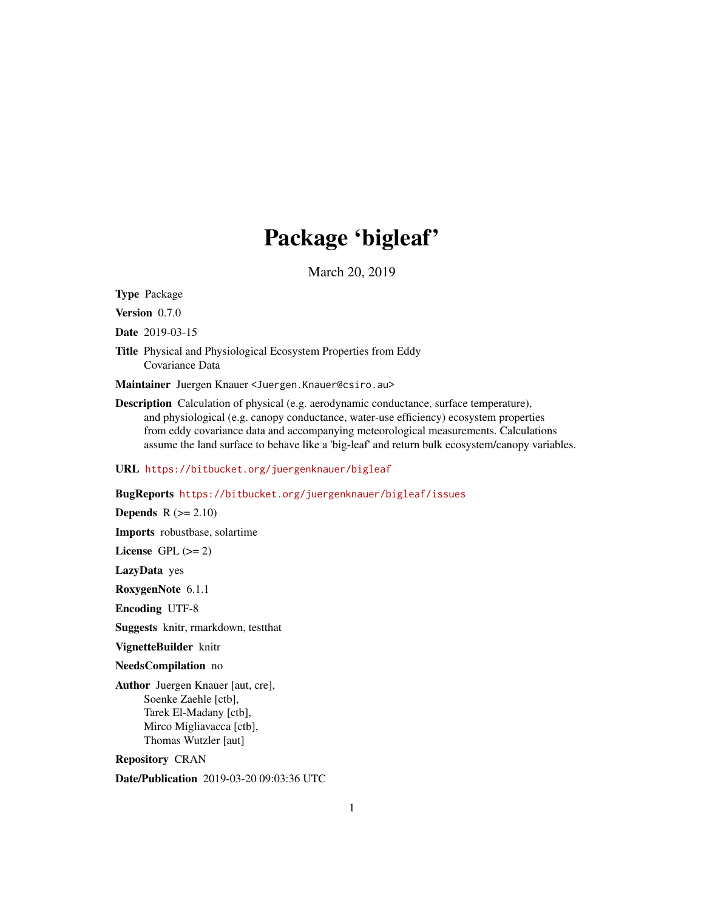# Package 'bigleaf'

March 20, 2019

<span id="page-0-0"></span>Type Package

Version 0.7.0

Date 2019-03-15

Title Physical and Physiological Ecosystem Properties from Eddy Covariance Data

Maintainer Juergen Knauer <Juergen.Knauer@csiro.au>

Description Calculation of physical (e.g. aerodynamic conductance, surface temperature), and physiological (e.g. canopy conductance, water-use efficiency) ecosystem properties from eddy covariance data and accompanying meteorological measurements. Calculations assume the land surface to behave like a 'big-leaf' and return bulk ecosystem/canopy variables.

# URL <https://bitbucket.org/juergenknauer/bigleaf>

# BugReports <https://bitbucket.org/juergenknauer/bigleaf/issues>

Depends  $R (= 2.10)$ 

Imports robustbase, solartime

License GPL  $(>= 2)$ 

LazyData yes

RoxygenNote 6.1.1

Encoding UTF-8

Suggests knitr, rmarkdown, testthat

VignetteBuilder knitr

NeedsCompilation no

Author Juergen Knauer [aut, cre], Soenke Zaehle [ctb], Tarek El-Madany [ctb], Mirco Migliavacca [ctb], Thomas Wutzler [aut]

Repository CRAN

Date/Publication 2019-03-20 09:03:36 UTC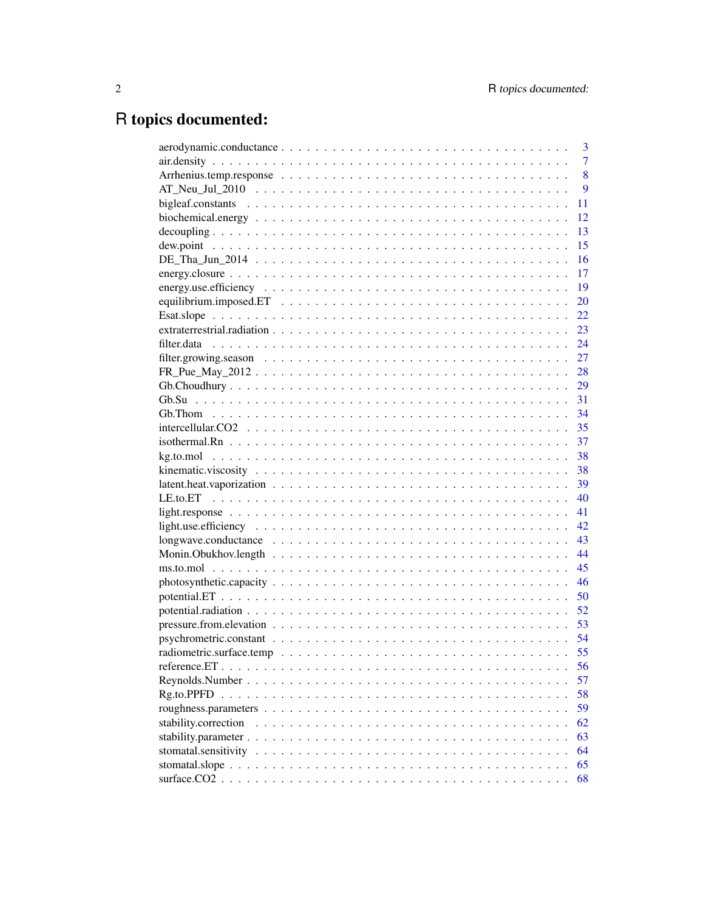# R topics documented:

|                                                                                                        | 3              |
|--------------------------------------------------------------------------------------------------------|----------------|
|                                                                                                        | $\overline{7}$ |
|                                                                                                        | 8              |
|                                                                                                        | 9              |
|                                                                                                        | 11             |
|                                                                                                        | 12             |
|                                                                                                        | 13             |
|                                                                                                        | 15             |
|                                                                                                        | 16             |
|                                                                                                        | 17             |
|                                                                                                        | 19             |
|                                                                                                        | 20             |
|                                                                                                        | 22             |
|                                                                                                        | 23             |
|                                                                                                        | 24             |
|                                                                                                        | 27             |
|                                                                                                        | 28             |
|                                                                                                        | 29             |
|                                                                                                        |                |
|                                                                                                        | 34             |
|                                                                                                        |                |
|                                                                                                        | 37             |
|                                                                                                        | 38             |
|                                                                                                        | 38             |
|                                                                                                        | 39             |
|                                                                                                        | 40             |
|                                                                                                        | 41             |
|                                                                                                        | 42             |
|                                                                                                        | 43             |
|                                                                                                        | 44             |
|                                                                                                        | 45             |
|                                                                                                        | 46             |
|                                                                                                        | 50             |
|                                                                                                        | 52             |
|                                                                                                        | 53             |
|                                                                                                        |                |
|                                                                                                        | 55             |
|                                                                                                        | 56             |
| Reynolds. Number $\ldots \ldots \ldots \ldots \ldots \ldots \ldots \ldots \ldots \ldots \ldots \ldots$ | 57             |
|                                                                                                        | 58             |
|                                                                                                        | 59             |
| stability.correction                                                                                   | 62             |
|                                                                                                        | 63             |
|                                                                                                        | 64             |
|                                                                                                        | 65             |
|                                                                                                        | 68             |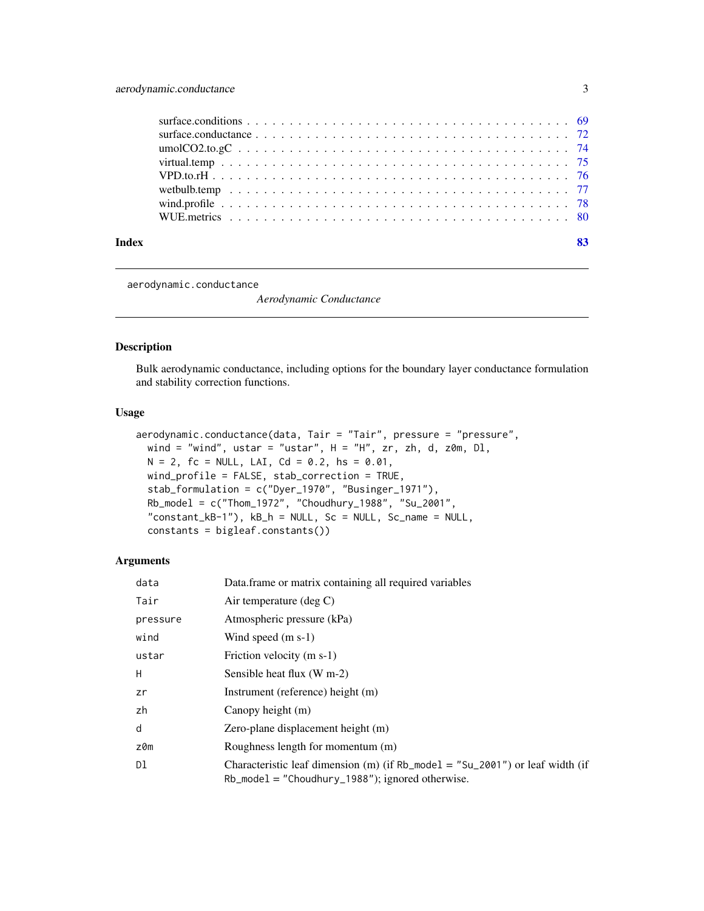<span id="page-2-0"></span>

<span id="page-2-1"></span>aerodynamic.conductance

*Aerodynamic Conductance*

# Description

Bulk aerodynamic conductance, including options for the boundary layer conductance formulation and stability correction functions.

#### Usage

```
aerodynamic.conductance(data, Tair = "Tair", pressure = "pressure",
 wind = "wind", ustar = "ustar", H = "H", zr, zh, d, z0m, D1,N = 2, fc = NULL, LAI, Cd = 0.2, hs = 0.01,
 wind_profile = FALSE, stab_correction = TRUE,
  stab_formulation = c("Dyer_1970", "Businger_1971"),
 Rb_model = c("Thom_1972", "Choudhury_1988", "Su_2001",
  "constant_kB-1"), kB_h = NULL, Sc = NULL, Sc_name = NULL,
  constants = bigleaf.constants())
```

| data     | Data frame or matrix containing all required variables                                                                                 |
|----------|----------------------------------------------------------------------------------------------------------------------------------------|
| Tair     | Air temperature (deg $C$ )                                                                                                             |
| pressure | Atmospheric pressure (kPa)                                                                                                             |
| wind     | Wind speed $(m s-1)$                                                                                                                   |
| ustar    | Friction velocity (m s-1)                                                                                                              |
| H        | Sensible heat flux (W m-2)                                                                                                             |
| zr       | Instrument (reference) height (m)                                                                                                      |
| zh       | Canopy height (m)                                                                                                                      |
| d        | Zero-plane displacement height (m)                                                                                                     |
| z0m      | Roughness length for momentum (m)                                                                                                      |
| Dl       | Characteristic leaf dimension (m) (if Rb_mode1 = "Su_2001") or leaf width (if<br>$Rb$ mode $l =$ "Choudhury 1988"); ignored otherwise. |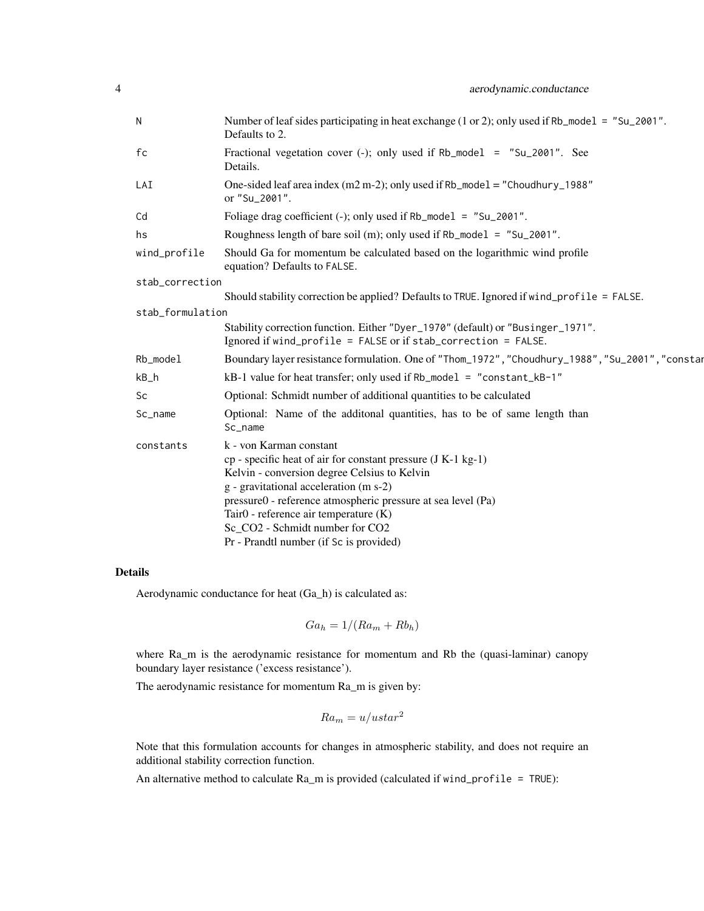| $\mathsf{N}$     | Number of leaf sides participating in heat exchange (1 or 2); only used if Rb_mode1 = "Su_2001".<br>Defaults to 2.                                |
|------------------|---------------------------------------------------------------------------------------------------------------------------------------------------|
| fc               | Fractional vegetation cover $(-)$ ; only used if Rb_model = "Su_2001". See<br>Details.                                                            |
| LAI              | One-sided leaf area index (m2 m-2); only used if $Rb$ _model = "Choudhury_1988"<br>or "Su_2001".                                                  |
| Cd               | Foliage drag coefficient (-); only used if $Rb$ _model = "Su_2001".                                                                               |
| hs               | Roughness length of bare soil (m); only used if $Rb$ _model = "Su_2001".                                                                          |
| wind_profile     | Should Ga for momentum be calculated based on the logarithmic wind profile<br>equation? Defaults to FALSE.                                        |
| stab_correction  |                                                                                                                                                   |
|                  | Should stability correction be applied? Defaults to TRUE. Ignored if wind_profile = FALSE.                                                        |
| stab_formulation |                                                                                                                                                   |
|                  | Stability correction function. Either "Dyer_1970" (default) or "Businger_1971".<br>Ignored if wind_profile = FALSE or if stab_correction = FALSE. |
| Rb_model         | Boundary layer resistance formulation. One of "Thom_1972", "Choudhury_1988", "Su_2001", "constar                                                  |
| $kB_h$           | $kB-1$ value for heat transfer; only used if $Rb$ _model = "constant_ $kB-1$ "                                                                    |
| Sc               | Optional: Schmidt number of additional quantities to be calculated                                                                                |
| Sc_name          | Optional: Name of the additonal quantities, has to be of same length than<br>Sc_name                                                              |
| constants        | k - von Karman constant                                                                                                                           |
|                  | $cp$ - specific heat of air for constant pressure $(J K-1 kg-1)$                                                                                  |
|                  | Kelvin - conversion degree Celsius to Kelvin<br>g - gravitational acceleration (m s-2)                                                            |
|                  | pressure0 - reference atmospheric pressure at sea level (Pa)                                                                                      |
|                  | Tair $0$ - reference air temperature $(K)$                                                                                                        |
|                  | Sc CO2 - Schmidt number for CO2                                                                                                                   |
|                  | Pr - Prandtl number (if Sc is provided)                                                                                                           |

Aerodynamic conductance for heat (Ga\_h) is calculated as:

$$
Ga_h = 1/(Ra_m + Rb_h)
$$

where Ra\_m is the aerodynamic resistance for momentum and Rb the (quasi-laminar) canopy boundary layer resistance ('excess resistance').

The aerodynamic resistance for momentum Ra\_m is given by:

$$
Ra_m = u/ustar^2
$$

Note that this formulation accounts for changes in atmospheric stability, and does not require an additional stability correction function.

An alternative method to calculate Ra\_m is provided (calculated if wind\_profile = TRUE):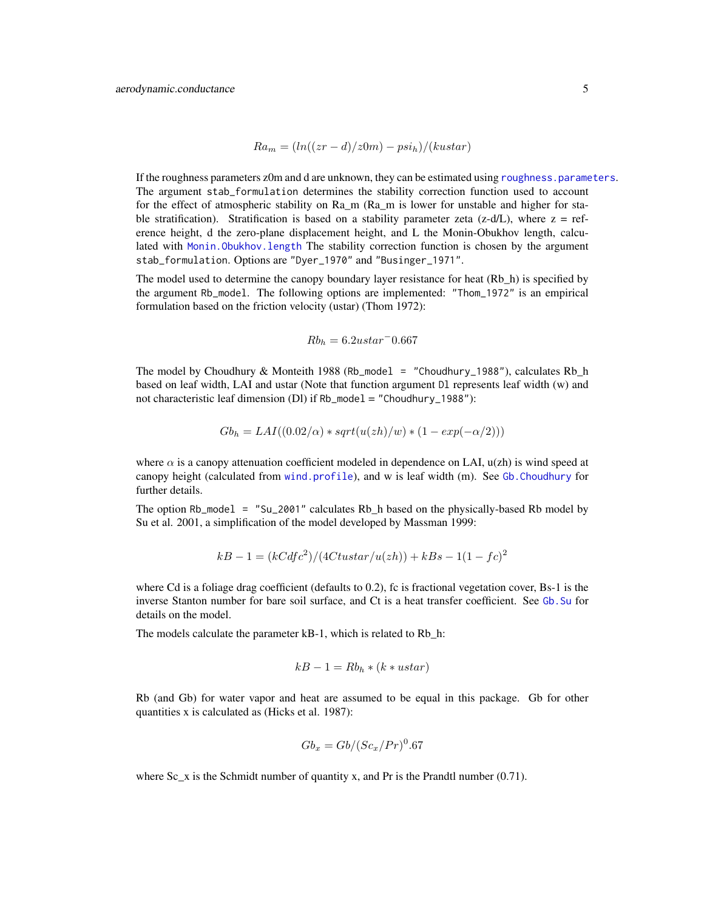$$
Ra_m = (ln((zr - d)/z0m) - psi_h)/(kustar)
$$

If the roughness parameters z0m and d are unknown, they can be estimated using [roughness.parameters](#page-58-1). The argument stab\_formulation determines the stability correction function used to account for the effect of atmospheric stability on Ra\_m (Ra\_m is lower for unstable and higher for stable stratification). Stratification is based on a stability parameter zeta (z-d/L), where  $z = ref$ erence height, d the zero-plane displacement height, and L the Monin-Obukhov length, calculated with [Monin.Obukhov.length](#page-43-1) The stability correction function is chosen by the argument stab\_formulation. Options are "Dyer\_1970" and "Businger\_1971".

The model used to determine the canopy boundary layer resistance for heat (Rb\_h) is specified by the argument Rb\_model. The following options are implemented: "Thom\_1972" is an empirical formulation based on the friction velocity (ustar) (Thom 1972):

$$
Rb_h = 6.2ustar^{-}0.667
$$

The model by Choudhury & Monteith 1988 (Rb\_model = "Choudhury\_1988"), calculates Rb\_h based on leaf width, LAI and ustar (Note that function argument Dl represents leaf width (w) and not characteristic leaf dimension (Dl) if Rb\_model = "Choudhury\_1988"):

$$
Gbh = LAI((0.02/\alpha) * sqrt(u(zh)/w) * (1 - exp(-\alpha/2)))
$$

where  $\alpha$  is a canopy attenuation coefficient modeled in dependence on LAI,  $u(zh)$  is wind speed at canopy height (calculated from [wind.profile](#page-77-1)), and w is leaf width (m). See [Gb.Choudhury](#page-28-1) for further details.

The option Rb\_model = "Su\_2001" calculates Rb\_h based on the physically-based Rb model by Su et al. 2001, a simplification of the model developed by Massman 1999:

$$
kB - 1 = (kCdfc^2)/(4Ctustar/u(zh)) + kBs - 1(1 - fc)^2
$$

where Cd is a foliage drag coefficient (defaults to 0.2), fc is fractional vegetation cover, Bs-1 is the inverse Stanton number for bare soil surface, and Ct is a heat transfer coefficient. See [Gb.Su](#page-30-1) for details on the model.

The models calculate the parameter kB-1, which is related to Rb h:

$$
kB - 1 = Rb_h * (k * ustar)
$$

Rb (and Gb) for water vapor and heat are assumed to be equal in this package. Gb for other quantities x is calculated as (Hicks et al. 1987):

$$
Gb_x = Gb/(Sc_x/Pr)^0.67
$$

where Sc<sub>\_</sub>x is the Schmidt number of quantity x, and Pr is the Prandtl number (0.71).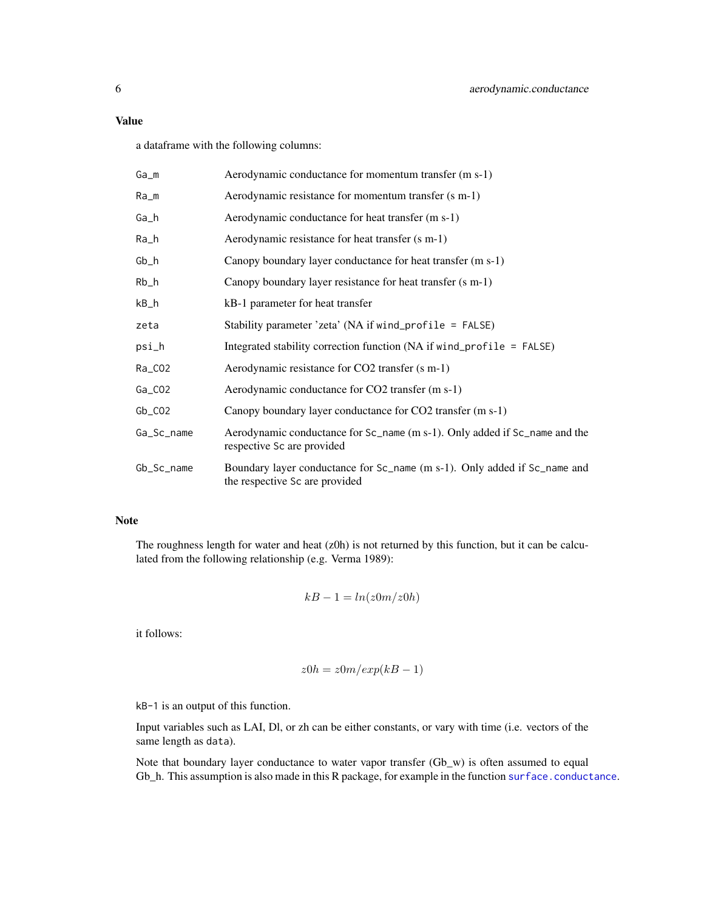a dataframe with the following columns:

| Ga_m       | Aerodynamic conductance for momentum transfer (m s-1)                                                       |
|------------|-------------------------------------------------------------------------------------------------------------|
| Ra_m       | Aerodynamic resistance for momentum transfer (s m-1)                                                        |
| Ga_h       | Aerodynamic conductance for heat transfer (m s-1)                                                           |
| Ra_h       | Aerodynamic resistance for heat transfer (s m-1)                                                            |
| Gb_h       | Canopy boundary layer conductance for heat transfer (m s-1)                                                 |
| Rb_h       | Canopy boundary layer resistance for heat transfer (s m-1)                                                  |
| kB_h       | kB-1 parameter for heat transfer                                                                            |
| zeta       | Stability parameter 'zeta' (NA if wind_profile = FALSE)                                                     |
| psi_h      | Integrated stability correction function (NA if wind_profile = $FALSE$ )                                    |
| Ra_CO2     | Aerodynamic resistance for CO2 transfer (s m-1)                                                             |
| Ga_CO2     | Aerodynamic conductance for CO2 transfer (m s-1)                                                            |
| $Gb_C02$   | Canopy boundary layer conductance for CO2 transfer (m s-1)                                                  |
| Ga_Sc_name | Aerodynamic conductance for Sc_name (m s-1). Only added if Sc_name and the<br>respective Sc are provided    |
| Gb_Sc_name | Boundary layer conductance for Sc_name (m s-1). Only added if Sc_name and<br>the respective Sc are provided |

# Note

The roughness length for water and heat (z0h) is not returned by this function, but it can be calculated from the following relationship (e.g. Verma 1989):

$$
kB - 1 = ln(z0m/z0h)
$$

it follows:

$$
z0h = z0m/exp(kB - 1)
$$

kB-1 is an output of this function.

Input variables such as LAI, Dl, or zh can be either constants, or vary with time (i.e. vectors of the same length as data).

Note that boundary layer conductance to water vapor transfer (Gb\_w) is often assumed to equal Gb\_h. This assumption is also made in this R package, for example in the function [surface.conductance](#page-71-1).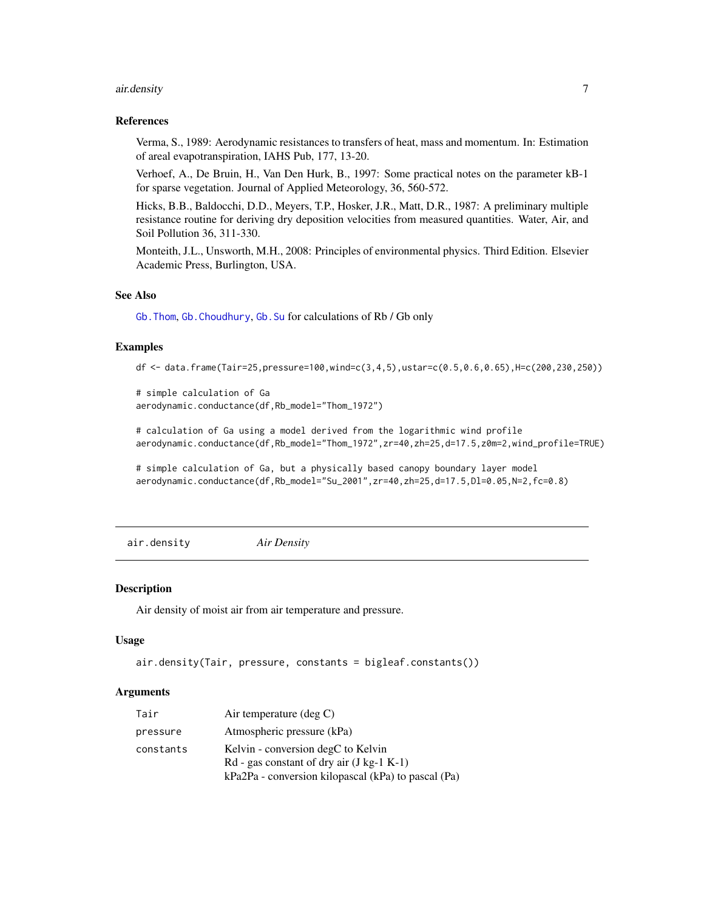#### <span id="page-6-0"></span>air.density 7

#### References

Verma, S., 1989: Aerodynamic resistances to transfers of heat, mass and momentum. In: Estimation of areal evapotranspiration, IAHS Pub, 177, 13-20.

Verhoef, A., De Bruin, H., Van Den Hurk, B., 1997: Some practical notes on the parameter kB-1 for sparse vegetation. Journal of Applied Meteorology, 36, 560-572.

Hicks, B.B., Baldocchi, D.D., Meyers, T.P., Hosker, J.R., Matt, D.R., 1987: A preliminary multiple resistance routine for deriving dry deposition velocities from measured quantities. Water, Air, and Soil Pollution 36, 311-330.

Monteith, J.L., Unsworth, M.H., 2008: Principles of environmental physics. Third Edition. Elsevier Academic Press, Burlington, USA.

#### See Also

[Gb.Thom](#page-33-1), [Gb.Choudhury](#page-28-1), [Gb.Su](#page-30-1) for calculations of Rb / Gb only

#### Examples

df <- data.frame(Tair=25,pressure=100,wind=c(3,4,5),ustar=c(0.5,0.6,0.65),H=c(200,230,250))

```
# simple calculation of Ga
aerodynamic.conductance(df,Rb_model="Thom_1972")
```
# calculation of Ga using a model derived from the logarithmic wind profile aerodynamic.conductance(df,Rb\_model="Thom\_1972",zr=40,zh=25,d=17.5,z0m=2,wind\_profile=TRUE)

# simple calculation of Ga, but a physically based canopy boundary layer model aerodynamic.conductance(df,Rb\_model="Su\_2001",zr=40,zh=25,d=17.5,Dl=0.05,N=2,fc=0.8)

air.density *Air Density*

#### **Description**

Air density of moist air from air temperature and pressure.

#### Usage

```
air.density(Tair, pressure, constants = bigleaf.constants())
```

| Tair      | Air temperature $(\text{deg } C)$                                                                                                        |
|-----------|------------------------------------------------------------------------------------------------------------------------------------------|
| pressure  | Atmospheric pressure (kPa)                                                                                                               |
| constants | Kelvin - conversion degC to Kelvin<br>$Rd$ - gas constant of dry air (J kg-1 K-1)<br>kPa2Pa - conversion kilopascal (kPa) to pascal (Pa) |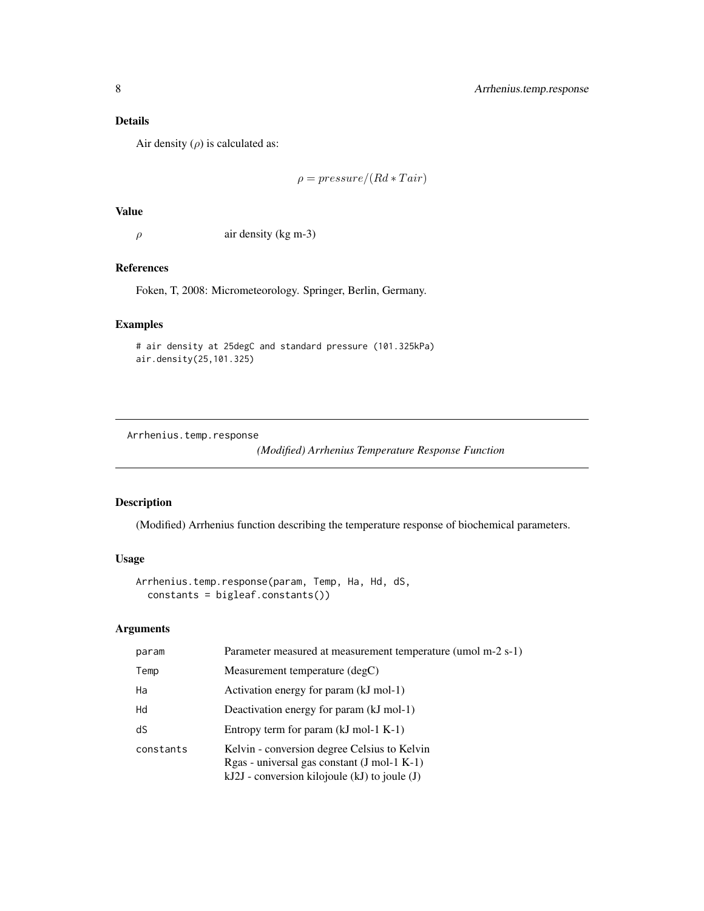<span id="page-7-0"></span>Air density  $(\rho)$  is calculated as:

$$
\rho = pressure/(Rd * Tair)
$$

# Value

 $\rho$  air density (kg m-3)

# References

Foken, T, 2008: Micrometeorology. Springer, Berlin, Germany.

### Examples

# air density at 25degC and standard pressure (101.325kPa) air.density(25,101.325)

Arrhenius.temp.response

*(Modified) Arrhenius Temperature Response Function*

# Description

(Modified) Arrhenius function describing the temperature response of biochemical parameters.

# Usage

```
Arrhenius.temp.response(param, Temp, Ha, Hd, dS,
  constants = bigleaf.constants())
```

| param     | Parameter measured at measurement temperature (umol m-2 s-1)                                                                                     |
|-----------|--------------------------------------------------------------------------------------------------------------------------------------------------|
| Temp      | Measurement temperature (degC)                                                                                                                   |
| Ha        | Activation energy for param (kJ mol-1)                                                                                                           |
| Hd        | Deactivation energy for param (kJ mol-1)                                                                                                         |
| dS        | Entropy term for param $(kJ \text{ mol-1 K-1})$                                                                                                  |
| constants | Kelvin - conversion degree Celsius to Kelvin<br>$Rgas - universal gas constant (J mol-1 K-1)$<br>$kJ2J$ - conversion kilojoule (kJ) to joule (J) |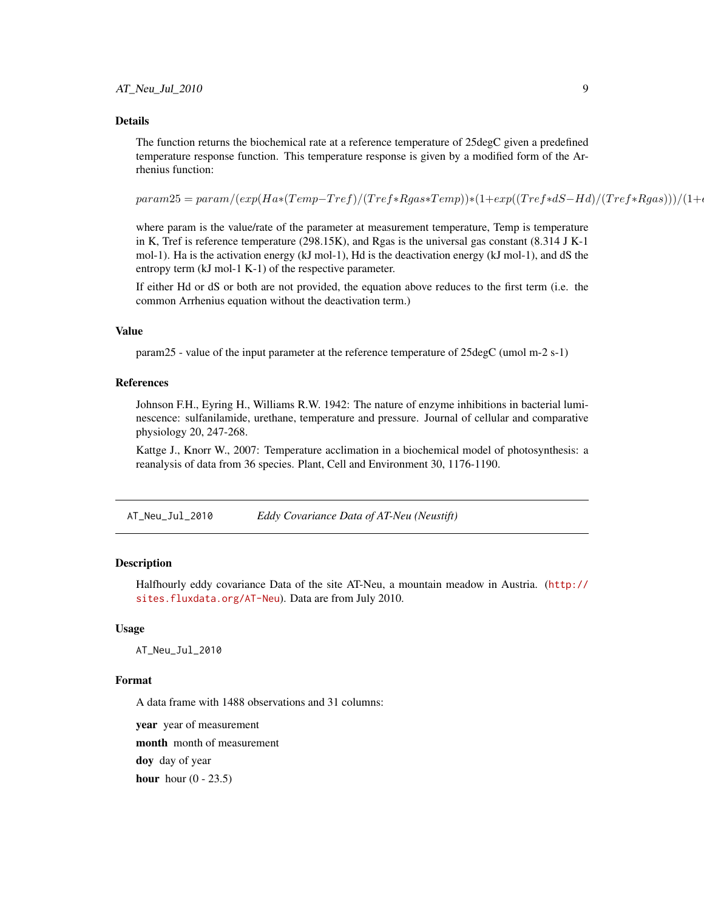<span id="page-8-0"></span>The function returns the biochemical rate at a reference temperature of 25degC given a predefined temperature response function. This temperature response is given by a modified form of the Arrhenius function:

 $param25 = param/(exp(Ha*(Temp-Tref)/(Tref*Rgas*Temp))*(1+exp((Tref*dS-Hd)/(Tref*Rgas)))/(1+e^{kT}exp((Tref*dS-Hd)/(Tref*Rgas)))$ 

where param is the value/rate of the parameter at measurement temperature, Temp is temperature in K, Tref is reference temperature (298.15K), and Rgas is the universal gas constant (8.314 J K-1 mol-1). Ha is the activation energy (kJ mol-1), Hd is the deactivation energy (kJ mol-1), and dS the entropy term (kJ mol-1 K-1) of the respective parameter.

If either Hd or dS or both are not provided, the equation above reduces to the first term (i.e. the common Arrhenius equation without the deactivation term.)

## Value

param25 - value of the input parameter at the reference temperature of 25degC (umol m-2 s-1)

#### References

Johnson F.H., Eyring H., Williams R.W. 1942: The nature of enzyme inhibitions in bacterial luminescence: sulfanilamide, urethane, temperature and pressure. Journal of cellular and comparative physiology 20, 247-268.

Kattge J., Knorr W., 2007: Temperature acclimation in a biochemical model of photosynthesis: a reanalysis of data from 36 species. Plant, Cell and Environment 30, 1176-1190.

AT\_Neu\_Jul\_2010 *Eddy Covariance Data of AT-Neu (Neustift)*

#### **Description**

Halfhourly eddy covariance Data of the site AT-Neu, a mountain meadow in Austria. ([http://](http://sites.fluxdata.org/AT-Neu) [sites.fluxdata.org/AT-Neu](http://sites.fluxdata.org/AT-Neu)). Data are from July 2010.

#### Usage

AT\_Neu\_Jul\_2010

#### Format

A data frame with 1488 observations and 31 columns:

year year of measurement

month month of measurement

doy day of year

hour hour  $(0 - 23.5)$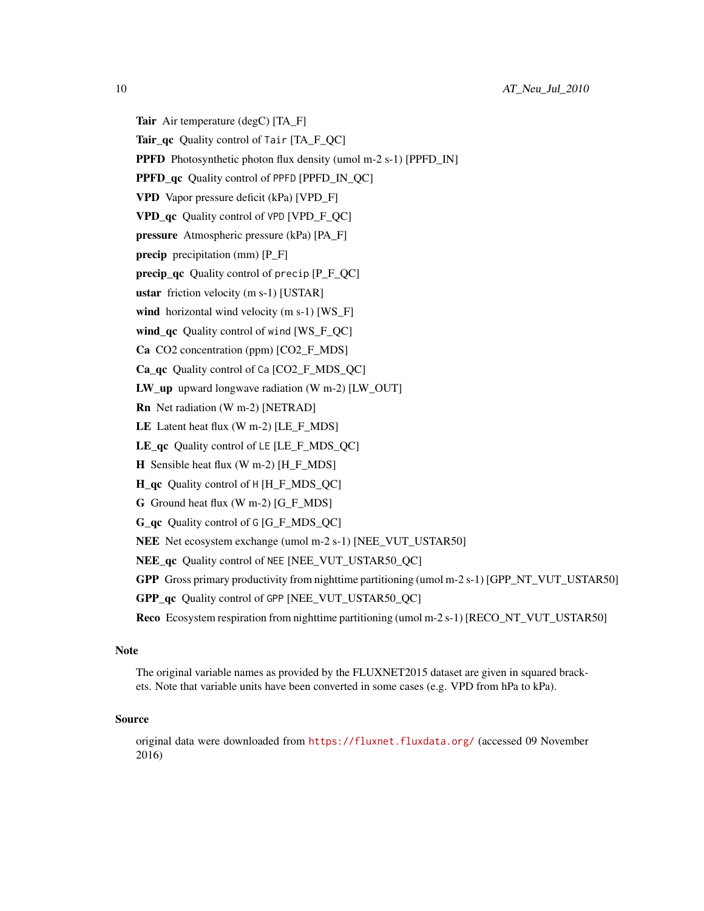- Tair Air temperature (degC) [TA\_F]
- Tair\_qc Quality control of Tair [TA\_F\_QC]
- PPFD Photosynthetic photon flux density (umol m-2 s-1) [PPFD\_IN]
- PPFD qc Quality control of PPFD [PPFD\_IN\_QC]
- VPD Vapor pressure deficit (kPa) [VPD\_F]
- VPD qc Quality control of VPD [VPD\_F\_QC]
- pressure Atmospheric pressure (kPa) [PA\_F]
- **precip** precipitation (mm) [P\_F]
- precip\_qc Quality control of precip  $[P_F_QC]$
- ustar friction velocity (m s-1) [USTAR]
- wind horizontal wind velocity (m s-1) [WS\_F]
- wind qc Quality control of wind [WS\_F\_QC]
- Ca CO2 concentration (ppm) [CO2\_F\_MDS]
- Ca\_qc Quality control of Ca [CO2\_F\_MDS\_QC]
- LW\_up upward longwave radiation (W m-2) [LW\_OUT]
- Rn Net radiation (W m-2) [NETRAD]
- LE Latent heat flux  $(W m-2)$  [LE F MDS]
- LE qc Quality control of LE [LE F\_MDS\_QC]
- H Sensible heat flux (W m-2) [H\_F\_MDS]
- H\_qc Quality control of H [H\_F\_MDS\_QC]
- G Ground heat flux (W m-2) [G\_F\_MDS]
- G\_qc Quality control of G [G\_F\_MDS\_QC]
- NEE Net ecosystem exchange (umol m-2 s-1) [NEE\_VUT\_USTAR50]
- NEE\_qc Quality control of NEE [NEE\_VUT\_USTAR50\_QC]
- GPP Gross primary productivity from nighttime partitioning (umol m-2 s-1) [GPP\_NT\_VUT\_USTAR50]
- GPP\_qc Quality control of GPP [NEE\_VUT\_USTAR50\_QC]
- Reco Ecosystem respiration from nighttime partitioning (umol m-2 s-1) [RECO\_NT\_VUT\_USTAR50]

### Note

The original variable names as provided by the FLUXNET2015 dataset are given in squared brackets. Note that variable units have been converted in some cases (e.g. VPD from hPa to kPa).

# Source

original data were downloaded from <https://fluxnet.fluxdata.org/> (accessed 09 November 2016)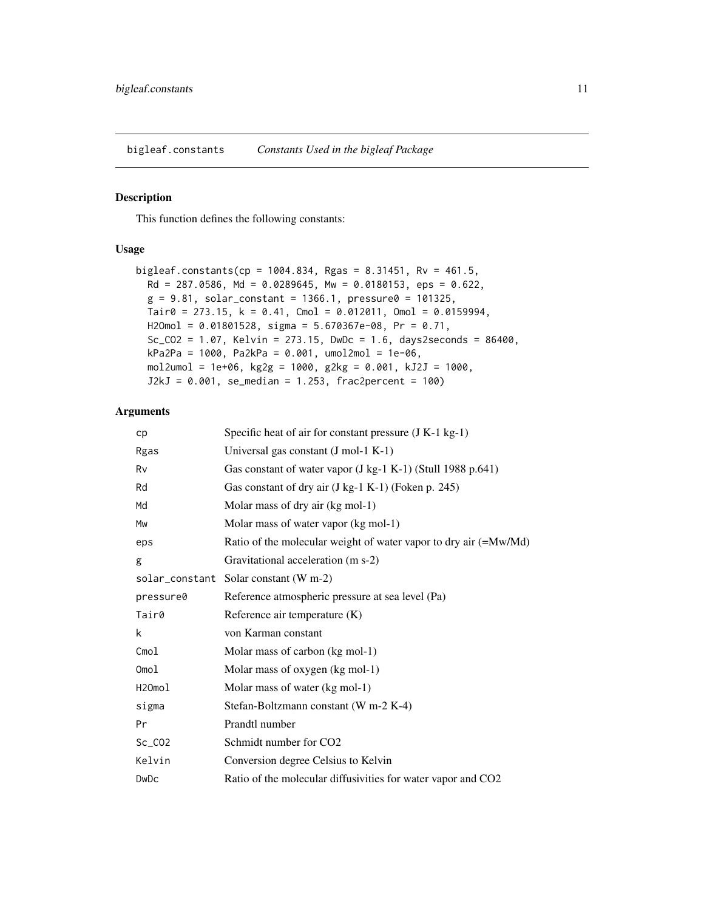<span id="page-10-0"></span>bigleaf.constants *Constants Used in the bigleaf Package*

#### Description

This function defines the following constants:

#### Usage

```
bigleaf.constants(cp = 1004.834, Rgas = 8.31451, Rv = 461.5,
 Rd = 287.0586, Md = 0.0289645, Mw = 0.0180153, eps = 0.622,
 g = 9.81, solar_constant = 1366.1, pressure0 = 101325,
 Tair0 = 273.15, k = 0.41, Cmol = 0.012011, Omol = 0.0159994,
 H2Omol = 0.01801528, sigma = 5.670367e-08, Pr = 0.71,
 Sc_CO2 = 1.07, Kelvin = 273.15, DwDc = 1.6, days2seconds = 86400,
 kPa2Pa = 1000, Pa2kPa = 0.001, umol2mol = 1e-06,
 mol2umol = 1e+06, kg2g = 1000, g2kg = 0.001, kJ2J = 1000,
  J2kJ = 0.001, se_median = 1.253, frac2percent = 100)
```

| cp           | Specific heat of air for constant pressure (J K-1 kg-1)               |
|--------------|-----------------------------------------------------------------------|
| Rgas         | Universal gas constant (J mol-1 K-1)                                  |
| Rv           | Gas constant of water vapor $(J \text{ kg-1 K-1})$ (Stull 1988 p.641) |
| Rd           | Gas constant of dry air (J kg-1 K-1) (Foken p. 245)                   |
| Md           | Molar mass of dry air (kg mol-1)                                      |
| Mw           | Molar mass of water vapor (kg mol-1)                                  |
| eps          | Ratio of the molecular weight of water vapor to dry air (=Mw/Md)      |
| g            | Gravitational acceleration (m s-2)                                    |
|              | solar_constant Solar constant (W m-2)                                 |
| pressure0    | Reference atmospheric pressure at sea level (Pa)                      |
| Tair0        | Reference air temperature (K)                                         |
| k            | von Karman constant                                                   |
| Cmol         | Molar mass of carbon (kg mol-1)                                       |
| Omol         | Molar mass of oxygen (kg mol-1)                                       |
| H2Omol       | Molar mass of water (kg mol-1)                                        |
| sigma        | Stefan-Boltzmann constant (W m-2 K-4)                                 |
| Pr           | Prandtl number                                                        |
| $Sc_C$ $CO2$ | Schmidt number for CO <sub>2</sub>                                    |
| Kelvin       | Conversion degree Celsius to Kelvin                                   |
| DwDc         | Ratio of the molecular diffusivities for water vapor and CO2          |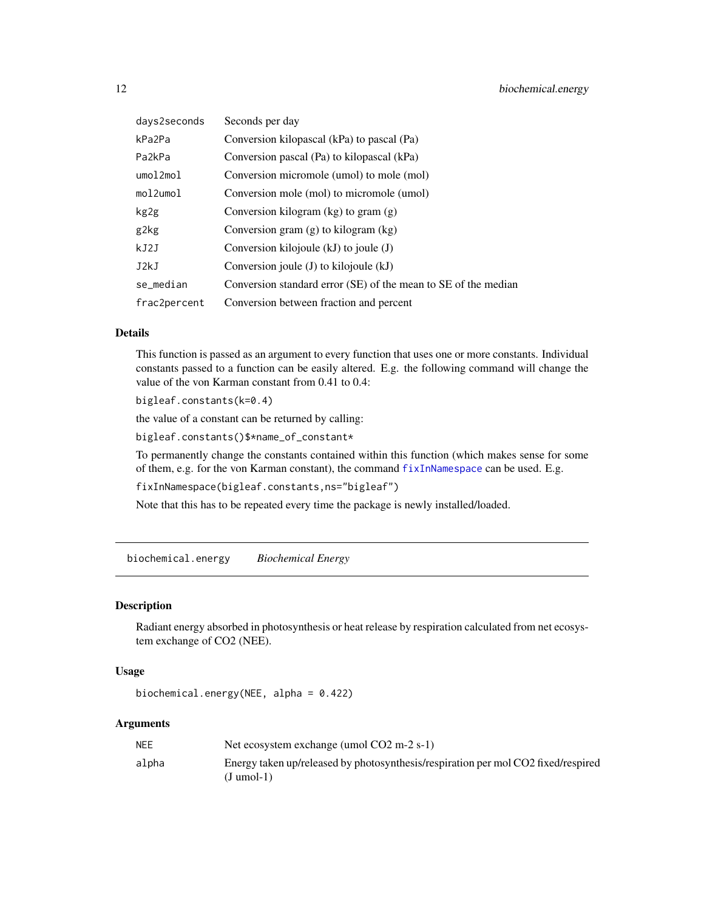<span id="page-11-0"></span>

| days2seconds | Seconds per day                                                |
|--------------|----------------------------------------------------------------|
| kPa2Pa       | Conversion kilopascal (kPa) to pascal (Pa)                     |
| Pa2kPa       | Conversion pascal (Pa) to kilopascal (kPa)                     |
| umol2mol     | Conversion micromole (umol) to mole (mol)                      |
| mol2umol     | Conversion mole (mol) to micromole (umol)                      |
| kg2g         | Conversion kilogram $(kg)$ to gram $(g)$                       |
| g2kg         | Conversion gram $(g)$ to kilogram $(kg)$                       |
| kJ2J         | Conversion kilojoule $(kJ)$ to joule $(J)$                     |
| J2kJ         | Conversion joule $(J)$ to kilojoule $(kJ)$                     |
| se_median    | Conversion standard error (SE) of the mean to SE of the median |
| frac2percent | Conversion between fraction and percent                        |

This function is passed as an argument to every function that uses one or more constants. Individual constants passed to a function can be easily altered. E.g. the following command will change the value of the von Karman constant from 0.41 to 0.4:

bigleaf.constants(k=0.4)

the value of a constant can be returned by calling:

bigleaf.constants()\$\*name\_of\_constant\*

To permanently change the constants contained within this function (which makes sense for some of them, e.g. for the von Karman constant), the command [fixInNamespace](#page-0-0) can be used. E.g.

fixInNamespace(bigleaf.constants,ns="bigleaf")

Note that this has to be repeated every time the package is newly installed/loaded.

biochemical.energy *Biochemical Energy*

# Description

Radiant energy absorbed in photosynthesis or heat release by respiration calculated from net ecosystem exchange of CO2 (NEE).

#### Usage

biochemical.energy(NEE, alpha = 0.422)

| <b>NEE</b> | Net ecosystem exchange (umol $CO2 \text{ m-}2 \text{ s-}1$ )                                      |
|------------|---------------------------------------------------------------------------------------------------|
| alpha      | Energy taken up/released by photosynthesis/respiration per mol CO2 fixed/respired<br>$(J$ umol-1) |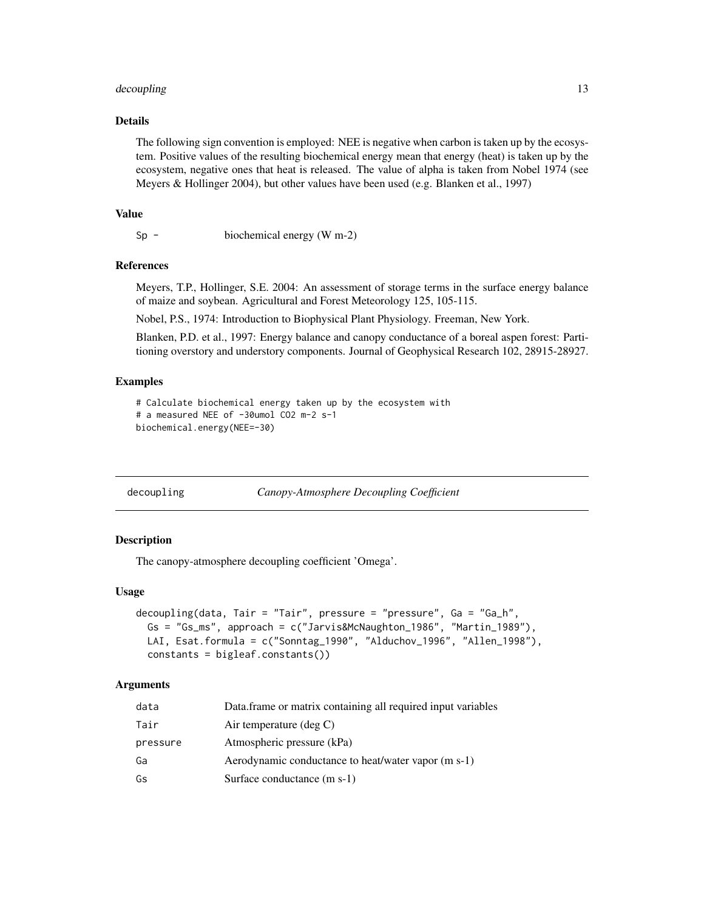#### <span id="page-12-0"></span>decoupling the state of the state of the state of the state of the state of the state of the state of the state of the state of the state of the state of the state of the state of the state of the state of the state of the

# Details

The following sign convention is employed: NEE is negative when carbon is taken up by the ecosystem. Positive values of the resulting biochemical energy mean that energy (heat) is taken up by the ecosystem, negative ones that heat is released. The value of alpha is taken from Nobel 1974 (see Meyers & Hollinger 2004), but other values have been used (e.g. Blanken et al., 1997)

## Value

Sp - biochemical energy (W m-2)

#### References

Meyers, T.P., Hollinger, S.E. 2004: An assessment of storage terms in the surface energy balance of maize and soybean. Agricultural and Forest Meteorology 125, 105-115.

Nobel, P.S., 1974: Introduction to Biophysical Plant Physiology. Freeman, New York.

Blanken, P.D. et al., 1997: Energy balance and canopy conductance of a boreal aspen forest: Partitioning overstory and understory components. Journal of Geophysical Research 102, 28915-28927.

#### Examples

```
# Calculate biochemical energy taken up by the ecosystem with
# a measured NEE of -30umol CO2 m-2 s-1
biochemical.energy(NEE=-30)
```
<span id="page-12-1"></span>decoupling *Canopy-Atmosphere Decoupling Coefficient*

# **Description**

The canopy-atmosphere decoupling coefficient 'Omega'.

#### Usage

```
decoupling(data, Tair = "Tair", pressure = "pressure", Ga = "Ga_h",
 Gs = "Gs_ms", approach = c("Jarvis&McNaughton_1986", "Martin_1989"),
 LAI, Esat.formula = c("Sonntag_1990", "Alduchov_1996", "Allen_1998"),
  constants = bigleaf.constants())
```

| data     | Data frame or matrix containing all required input variables |
|----------|--------------------------------------------------------------|
| Tair     | Air temperature $(\text{deg } C)$                            |
| pressure | Atmospheric pressure (kPa)                                   |
| Ga       | Aerodynamic conductance to heat/water vapor (m s-1)          |
| Gs       | Surface conductance (m s-1)                                  |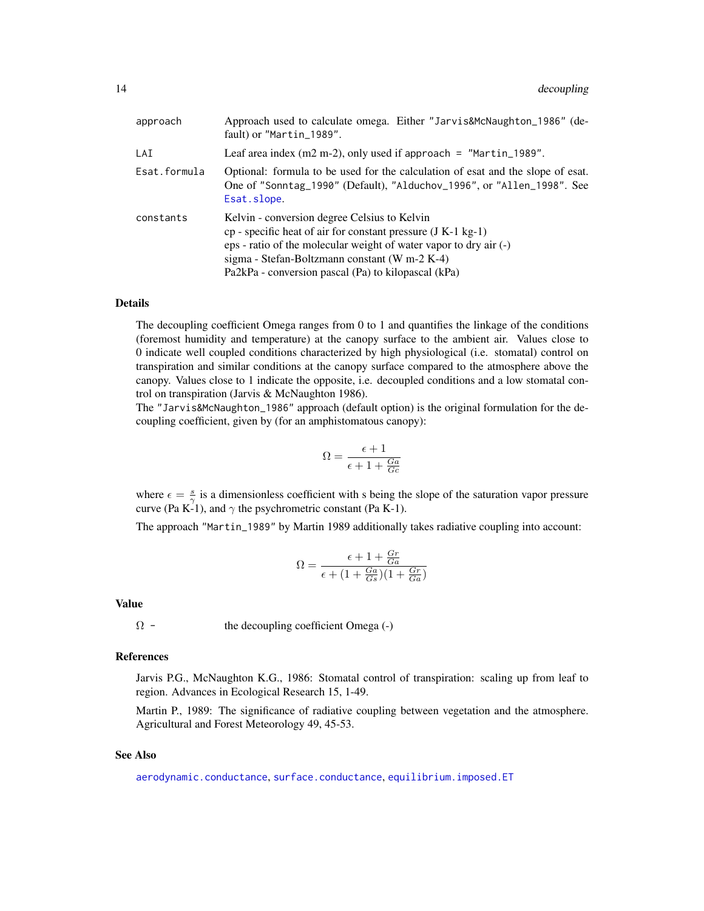| approach     | Approach used to calculate omega. Either "Jarvis&McNaughton_1986" (de-<br>fault) or "Martin_1989".                                                                                                                                                                                          |
|--------------|---------------------------------------------------------------------------------------------------------------------------------------------------------------------------------------------------------------------------------------------------------------------------------------------|
| LAI          | Leaf area index $(m2 m-2)$ , only used if approach = "Martin_1989".                                                                                                                                                                                                                         |
| Esat.formula | Optional: formula to be used for the calculation of esat and the slope of esat.<br>One of "Sonntag_1990" (Default), "Alduchov_1996", or "Allen_1998". See<br>Esat.slope.                                                                                                                    |
| constants    | Kelvin - conversion degree Celsius to Kelvin<br>$cp$ - specific heat of air for constant pressure (J K-1 kg-1)<br>eps - ratio of the molecular weight of water vapor to dry air (-)<br>sigma - Stefan-Boltzmann constant (W m-2 K-4)<br>Pa2kPa - conversion pascal (Pa) to kilopascal (kPa) |

The decoupling coefficient Omega ranges from 0 to 1 and quantifies the linkage of the conditions (foremost humidity and temperature) at the canopy surface to the ambient air. Values close to 0 indicate well coupled conditions characterized by high physiological (i.e. stomatal) control on transpiration and similar conditions at the canopy surface compared to the atmosphere above the canopy. Values close to 1 indicate the opposite, i.e. decoupled conditions and a low stomatal control on transpiration (Jarvis & McNaughton 1986).

The "Jarvis&McNaughton\_1986" approach (default option) is the original formulation for the decoupling coefficient, given by (for an amphistomatous canopy):

$$
\Omega = \frac{\epsilon + 1}{\epsilon + 1 + \frac{Ga}{Gc}}
$$

where  $\epsilon = \frac{s}{\gamma}$  is a dimensionless coefficient with s being the slope of the saturation vapor pressure curve (Pa K-1), and  $\gamma$  the psychrometric constant (Pa K-1).

The approach "Martin\_1989" by Martin 1989 additionally takes radiative coupling into account:

$$
\Omega = \frac{\epsilon + 1 + \frac{Gr}{Ga}}{\epsilon + (1 + \frac{Ga}{Gs})(1 + \frac{Gr}{Ga})}
$$

#### Value

 $\Omega$  - the decoupling coefficient Omega (-)

#### References

Jarvis P.G., McNaughton K.G., 1986: Stomatal control of transpiration: scaling up from leaf to region. Advances in Ecological Research 15, 1-49.

Martin P., 1989: The significance of radiative coupling between vegetation and the atmosphere. Agricultural and Forest Meteorology 49, 45-53.

# See Also

[aerodynamic.conductance](#page-2-1), [surface.conductance](#page-71-1), [equilibrium.imposed.ET](#page-19-1)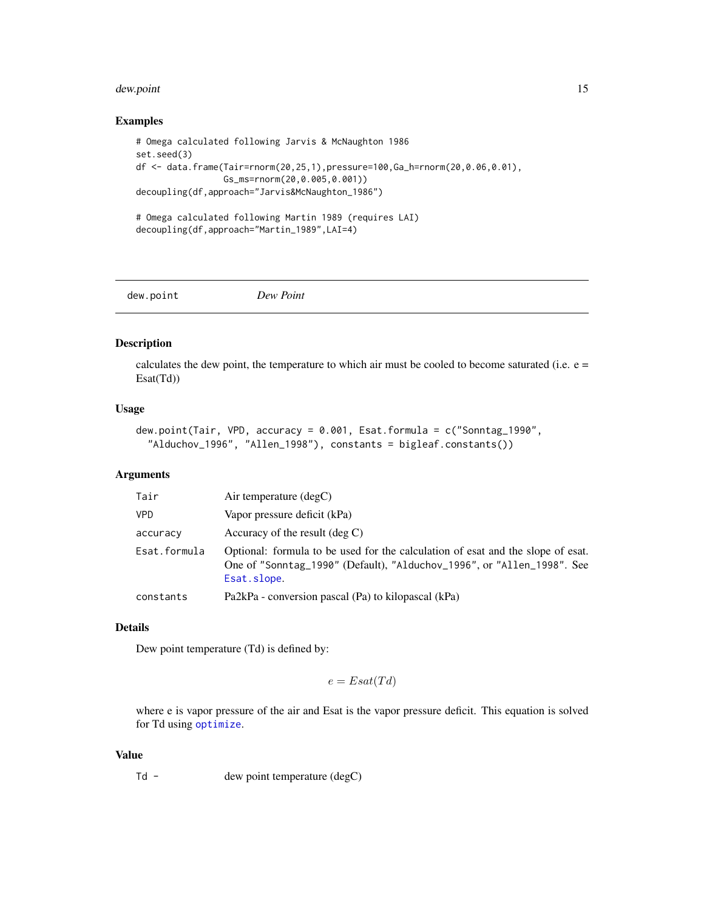#### <span id="page-14-0"></span>dew.point 15

#### Examples

```
# Omega calculated following Jarvis & McNaughton 1986
set.seed(3)
df <- data.frame(Tair=rnorm(20,25,1),pressure=100,Ga_h=rnorm(20,0.06,0.01),
                Gs_ms=rnorm(20,0.005,0.001))
decoupling(df,approach="Jarvis&McNaughton_1986")
# Omega calculated following Martin 1989 (requires LAI)
decoupling(df,approach="Martin_1989",LAI=4)
```
dew.point *Dew Point*

#### Description

calculates the dew point, the temperature to which air must be cooled to become saturated (i.e.  $e =$ Esat(Td))

#### Usage

```
dew.point(Tair, VPD, accuracy = 0.001, Esat.formula = c("Sonntag_1990",
  "Alduchov_1996", "Allen_1998"), constants = bigleaf.constants())
```
# Arguments

| Tair         | Air temperature $(\text{deg} C)$                                                                                                                                         |
|--------------|--------------------------------------------------------------------------------------------------------------------------------------------------------------------------|
| <b>VPD</b>   | Vapor pressure deficit (kPa)                                                                                                                                             |
| accuracy     | Accuracy of the result $(\deg C)$                                                                                                                                        |
| Esat.formula | Optional: formula to be used for the calculation of esat and the slope of esat.<br>One of "Sonntag_1990" (Default), "Alduchov_1996", or "Allen_1998". See<br>Esat.slope. |
| constants    | Pa2kPa - conversion pascal (Pa) to kilopascal (kPa)                                                                                                                      |

# Details

Dew point temperature (Td) is defined by:

$$
e = Esat(Td)
$$

where e is vapor pressure of the air and Esat is the vapor pressure deficit. This equation is solved for Td using [optimize](#page-0-0).

# Value

Td - dew point temperature (degC)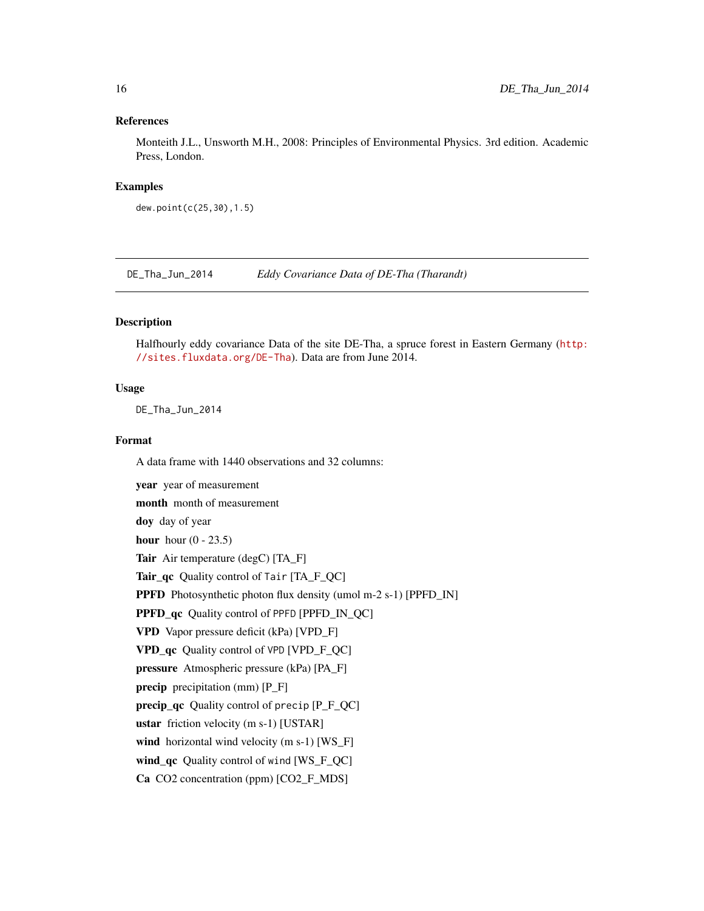#### <span id="page-15-0"></span>References

Monteith J.L., Unsworth M.H., 2008: Principles of Environmental Physics. 3rd edition. Academic Press, London.

#### Examples

dew.point(c(25,30),1.5)

DE\_Tha\_Jun\_2014 *Eddy Covariance Data of DE-Tha (Tharandt)*

# Description

Halfhourly eddy covariance Data of the site DE-Tha, a spruce forest in Eastern Germany ([http:](http://sites.fluxdata.org/DE-Tha) [//sites.fluxdata.org/DE-Tha](http://sites.fluxdata.org/DE-Tha)). Data are from June 2014.

#### Usage

DE\_Tha\_Jun\_2014

#### Format

A data frame with 1440 observations and 32 columns:

year year of measurement month month of measurement doy day of year hour hour  $(0 - 23.5)$ Tair Air temperature (degC) [TA\_F] Tair qc Quality control of Tair [TA\_F\_QC] PPFD Photosynthetic photon flux density (umol m-2 s-1) [PPFD\_IN] PPFD\_qc Quality control of PPFD [PPFD\_IN\_QC] VPD Vapor pressure deficit (kPa) [VPD\_F] VPD\_qc Quality control of VPD [VPD\_F\_QC] pressure Atmospheric pressure (kPa) [PA\_F] precip precipitation (mm) [P\_F] precip\_qc Quality control of precip [P\_F\_QC] ustar friction velocity (m s-1) [USTAR] wind horizontal wind velocity (m s-1) [WS\_F] wind\_qc Quality control of wind [WS\_F\_QC] Ca CO2 concentration (ppm) [CO2\_F\_MDS]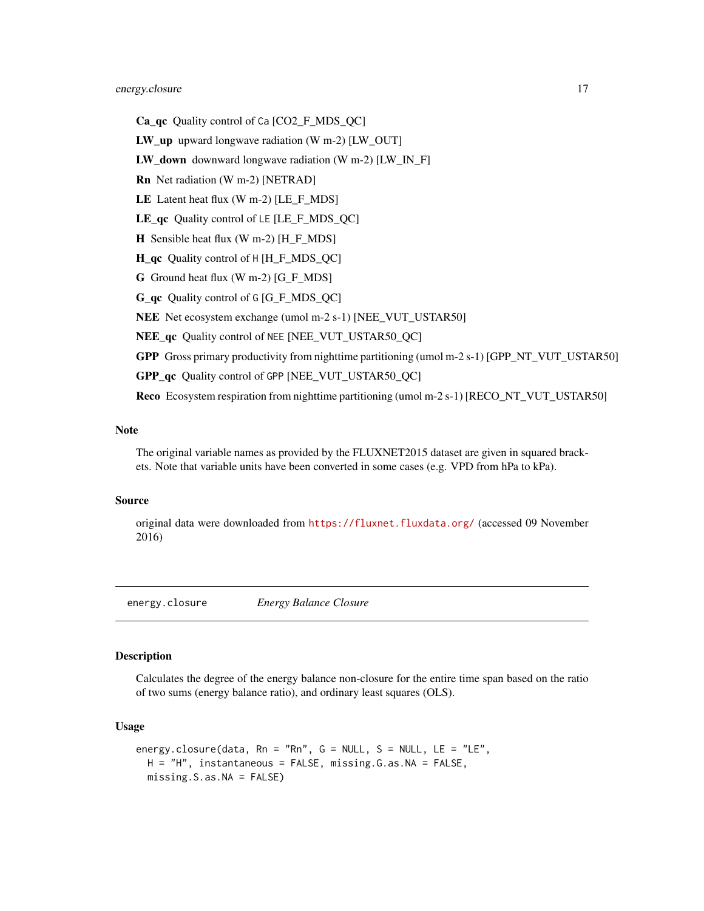# <span id="page-16-0"></span>energy.closure 17

- Ca\_qc Quality control of Ca [CO2\_F\_MDS\_QC]
- **LW** up upward longwave radiation (W m-2)  $[LW~OUT]$
- **LW** down downward longwave radiation (W m-2) [LW IN F]
- Rn Net radiation (W m-2) [NETRAD]
- LE Latent heat flux (W m-2) [LE\_F\_MDS]
- LE\_qc Quality control of LE [LE\_F\_MDS\_QC]
- H Sensible heat flux (W m-2) [H\_F\_MDS]
- H\_qc Quality control of H [H\_F\_MDS\_QC]
- G Ground heat flux (W m-2) [G\_F\_MDS]
- G\_qc Quality control of G [G\_F\_MDS\_QC]
- NEE Net ecosystem exchange (umol m-2 s-1) [NEE\_VUT\_USTAR50]
- NEE qc Quality control of NEE [NEE\_VUT\_USTAR50\_QC]
- GPP Gross primary productivity from nighttime partitioning (umol m-2 s-1) [GPP\_NT\_VUT\_USTAR50]
- GPP\_qc\_Ouality control of GPP [NEE\_VUT\_USTAR50\_OC]

Reco Ecosystem respiration from nighttime partitioning (umol m-2 s-1) [RECO\_NT\_VUT\_USTAR50]

# Note

The original variable names as provided by the FLUXNET2015 dataset are given in squared brackets. Note that variable units have been converted in some cases (e.g. VPD from hPa to kPa).

#### Source

original data were downloaded from <https://fluxnet.fluxdata.org/> (accessed 09 November 2016)

energy.closure *Energy Balance Closure*

#### Description

Calculates the degree of the energy balance non-closure for the entire time span based on the ratio of two sums (energy balance ratio), and ordinary least squares (OLS).

#### Usage

```
energy.closure(data, Rn = "Rn", G = NULL, S = NULL, LE = "LE",
 H = "H", instantaneous = FALSE, missing.G.as.NA = FALSE,
 missing.S.as.NA = FALSE)
```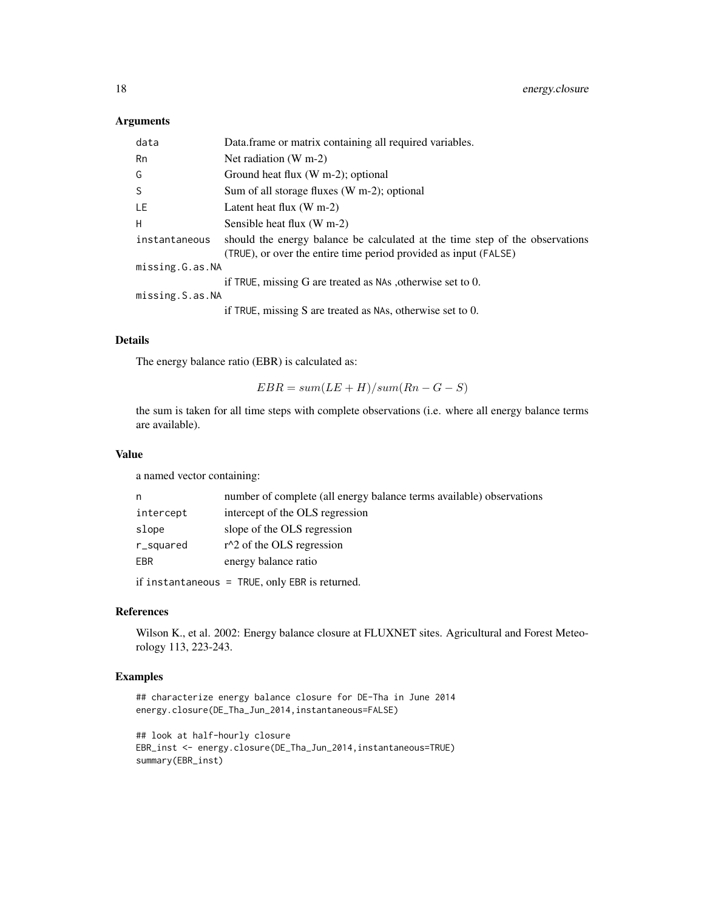# Arguments

| data            | Data.frame or matrix containing all required variables.                                                                                          |  |
|-----------------|--------------------------------------------------------------------------------------------------------------------------------------------------|--|
| Rn              | Net radiation $(W m-2)$                                                                                                                          |  |
| G               | Ground heat flux $(W m-2)$ ; optional                                                                                                            |  |
| S.              | Sum of all storage fluxes (W m-2); optional                                                                                                      |  |
| LE              | Latent heat flux $(W m-2)$                                                                                                                       |  |
| H               | Sensible heat flux (W m-2)                                                                                                                       |  |
| instantaneous   | should the energy balance be calculated at the time step of the observations<br>(TRUE), or over the entire time period provided as input (FALSE) |  |
| missing.G.as.NA |                                                                                                                                                  |  |
|                 | if TRUE, missing G are treated as NAs, otherwise set to 0.                                                                                       |  |
| missing.S.as.NA |                                                                                                                                                  |  |
|                 | if TRUE, missing S are treated as NAs, otherwise set to $0$ .                                                                                    |  |

#### Details

The energy balance ratio (EBR) is calculated as:

```
EBR = sum(LE + H)/sum(Rn - G - S)
```
the sum is taken for all time steps with complete observations (i.e. where all energy balance terms are available).

# Value

a named vector containing:

| n         | number of complete (all energy balance terms available) observations |
|-----------|----------------------------------------------------------------------|
| intercept | intercept of the OLS regression                                      |
| slope     | slope of the OLS regression                                          |
| r_squared | $r^2$ of the OLS regression                                          |
| EBR       | energy balance ratio                                                 |
|           |                                                                      |

if instantaneous = TRUE, only EBR is returned.

# References

Wilson K., et al. 2002: Energy balance closure at FLUXNET sites. Agricultural and Forest Meteorology 113, 223-243.

# Examples

```
## characterize energy balance closure for DE-Tha in June 2014
energy.closure(DE_Tha_Jun_2014,instantaneous=FALSE)
```

```
## look at half-hourly closure
EBR_inst <- energy.closure(DE_Tha_Jun_2014,instantaneous=TRUE)
summary(EBR_inst)
```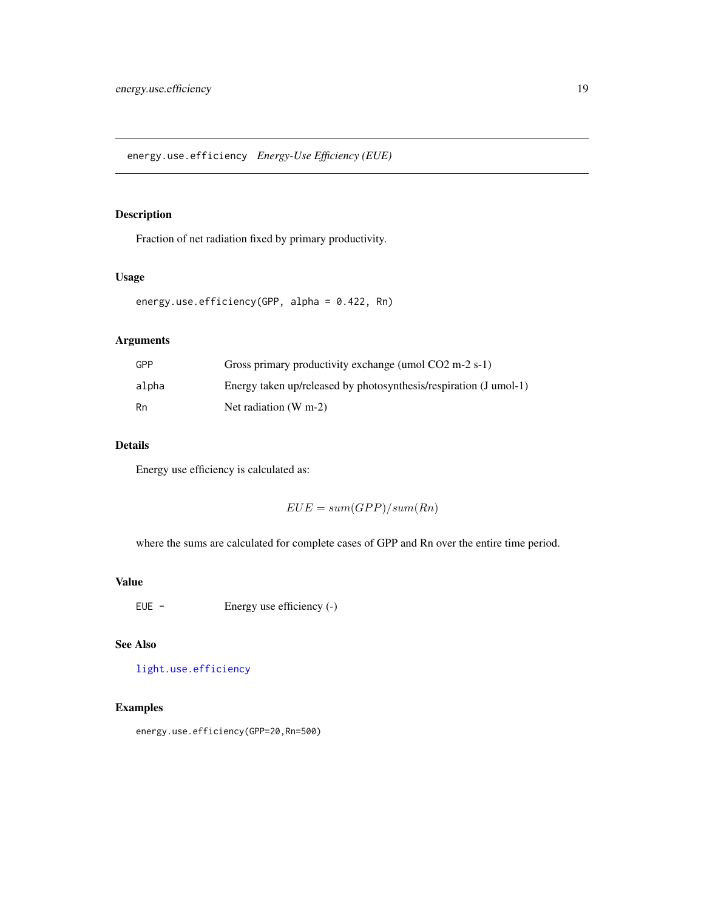<span id="page-18-0"></span>energy.use.efficiency *Energy-Use Efficiency (EUE)*

# Description

Fraction of net radiation fixed by primary productivity.

# Usage

```
energy.use.efficiency(GPP, alpha = 0.422, Rn)
```
# Arguments

| GPP   | Gross primary productivity exchange (umol $CO2 \text{ m-}2 \text{ s-}1$ ) |
|-------|---------------------------------------------------------------------------|
| alpha | Energy taken up/released by photosynthesis/respiration (J umol-1)         |
| Rn    | Net radiation $(W m-2)$                                                   |

# Details

Energy use efficiency is calculated as:

 $EUE = sum(GPP)/sum(Rn)$ 

where the sums are calculated for complete cases of GPP and Rn over the entire time period.

# Value

EUE - Energy use efficiency (-)

# See Also

[light.use.efficiency](#page-41-1)

# Examples

energy.use.efficiency(GPP=20,Rn=500)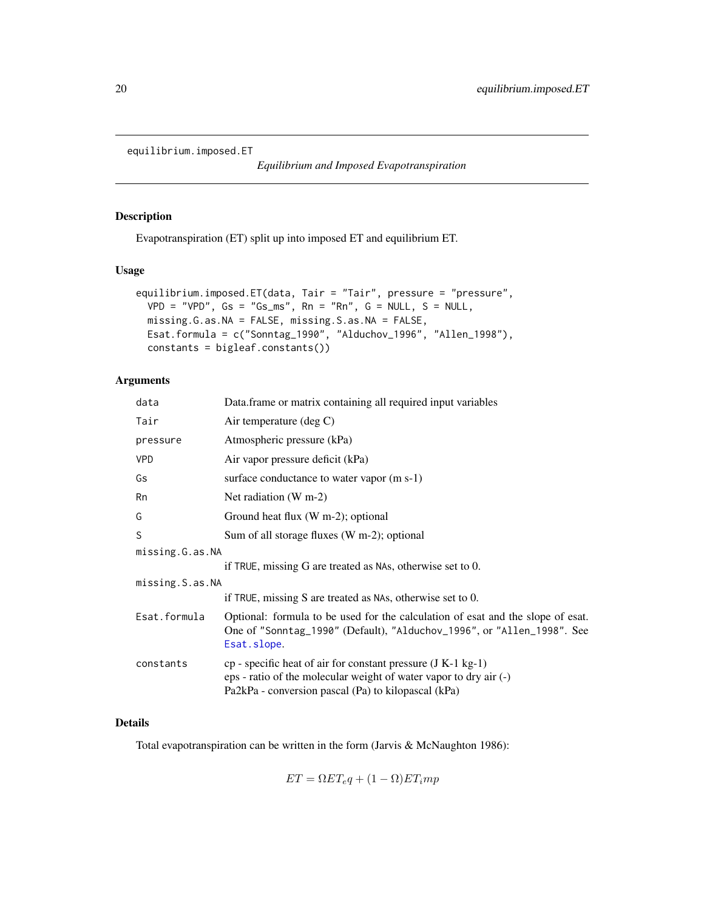<span id="page-19-1"></span><span id="page-19-0"></span>equilibrium.imposed.ET

*Equilibrium and Imposed Evapotranspiration*

# Description

Evapotranspiration (ET) split up into imposed ET and equilibrium ET.

# Usage

```
equilibrium.imposed.ET(data, Tair = "Tair", pressure = "pressure",
 VPD = "VPD", Gs = "Gs_m's", Rn = "Rn", G = NULL, S = NULL,missing.G.as.NA = FALSE, missing.S.as.NA = FALSE,
 Esat.formula = c("Sonntag_1990", "Alduchov_1996", "Allen_1998"),
 constants = bigleaf.constants())
```
# Arguments

| data            | Data frame or matrix containing all required input variables                                                                                                                               |  |
|-----------------|--------------------------------------------------------------------------------------------------------------------------------------------------------------------------------------------|--|
| Tair            | Air temperature (deg C)                                                                                                                                                                    |  |
| pressure        | Atmospheric pressure (kPa)                                                                                                                                                                 |  |
| <b>VPD</b>      | Air vapor pressure deficit (kPa)                                                                                                                                                           |  |
| Gs              | surface conductance to water vapor (m s-1)                                                                                                                                                 |  |
| Rn              | Net radiation $(W m-2)$                                                                                                                                                                    |  |
| G               | Ground heat flux (W m-2); optional                                                                                                                                                         |  |
| S               | Sum of all storage fluxes (W m-2); optional                                                                                                                                                |  |
| missing.G.as.NA |                                                                                                                                                                                            |  |
|                 | if TRUE, missing G are treated as NAs, otherwise set to 0.                                                                                                                                 |  |
| missing.S.as.NA |                                                                                                                                                                                            |  |
|                 | if TRUE, missing S are treated as NAs, otherwise set to 0.                                                                                                                                 |  |
| Esat.formula    | Optional: formula to be used for the calculation of esat and the slope of esat.<br>One of "Sonntag_1990" (Default), "Alduchov_1996", or "Allen_1998". See<br>Esat.slope.                   |  |
| constants       | $cp$ - specific heat of air for constant pressure (J K-1 kg-1)<br>eps - ratio of the molecular weight of water vapor to dry air (-)<br>Pa2kPa - conversion pascal (Pa) to kilopascal (kPa) |  |
|                 |                                                                                                                                                                                            |  |

## Details

Total evapotranspiration can be written in the form (Jarvis & McNaughton 1986):

 $ET = \Omega ET_e q + (1 - \Omega) ET_i mp$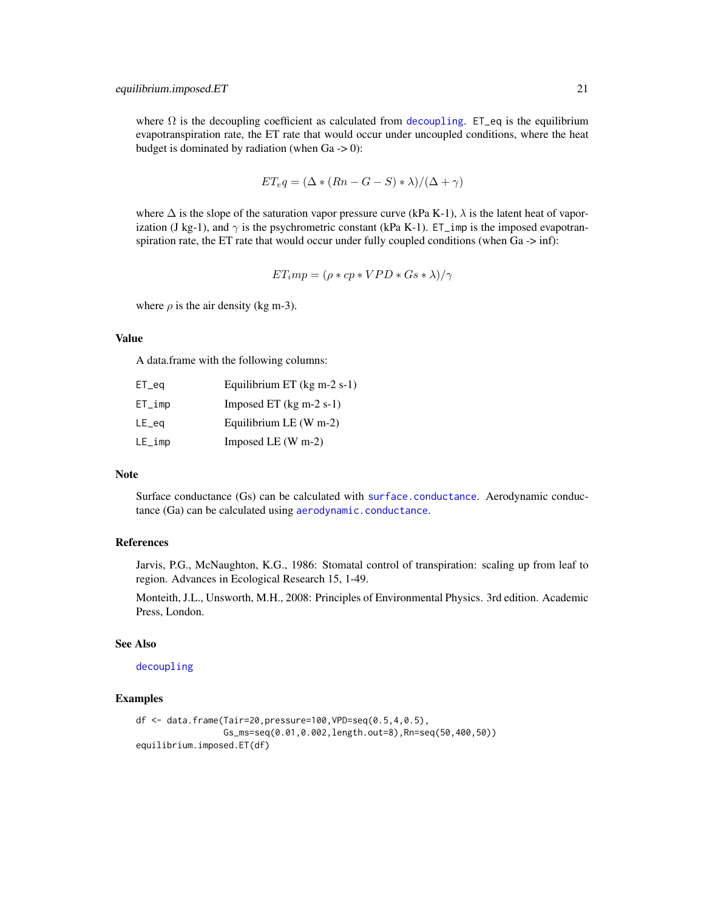where  $\Omega$  is the [decoupling](#page-12-1) coefficient as calculated from decoupling. ET\_eq is the equilibrium evapotranspiration rate, the ET rate that would occur under uncoupled conditions, where the heat budget is dominated by radiation (when  $Ga \rightarrow 0$ ):

$$
ET_{e}q = (\Delta * (Rn - G - S) * \lambda)/(\Delta + \gamma)
$$

where  $\Delta$  is the slope of the saturation vapor pressure curve (kPa K-1),  $\lambda$  is the latent heat of vaporization (J kg-1), and  $\gamma$  is the psychrometric constant (kPa K-1). ET\_imp is the imposed evapotranspiration rate, the ET rate that would occur under fully coupled conditions (when Ga -> inf):

$$
ET_imp = (\rho * cp * VPD * Gs * \lambda)/\gamma
$$

where  $\rho$  is the air density (kg m-3).

# Value

A data.frame with the following columns:

| $ET_{eq}$ | Equilibrium ET $(kg m-2 s-1)$ |
|-----------|-------------------------------|
| $ET_imp$  | Imposed ET $(kg m-2 s-1)$     |
| $LE$ eq   | Equilibrium LE $(W m-2)$      |
| $LE_i$ mp | Imposed LE $(W m-2)$          |

# Note

Surface conductance (Gs) can be calculated with [surface.conductance](#page-71-1). Aerodynamic conductance (Ga) can be calculated using [aerodynamic.conductance](#page-2-1).

#### References

Jarvis, P.G., McNaughton, K.G., 1986: Stomatal control of transpiration: scaling up from leaf to region. Advances in Ecological Research 15, 1-49.

Monteith, J.L., Unsworth, M.H., 2008: Principles of Environmental Physics. 3rd edition. Academic Press, London.

# See Also

[decoupling](#page-12-1)

#### Examples

```
df <- data.frame(Tair=20,pressure=100,VPD=seq(0.5,4,0.5),
                Gs_ms=seq(0.01,0.002,length.out=8),Rn=seq(50,400,50))
equilibrium.imposed.ET(df)
```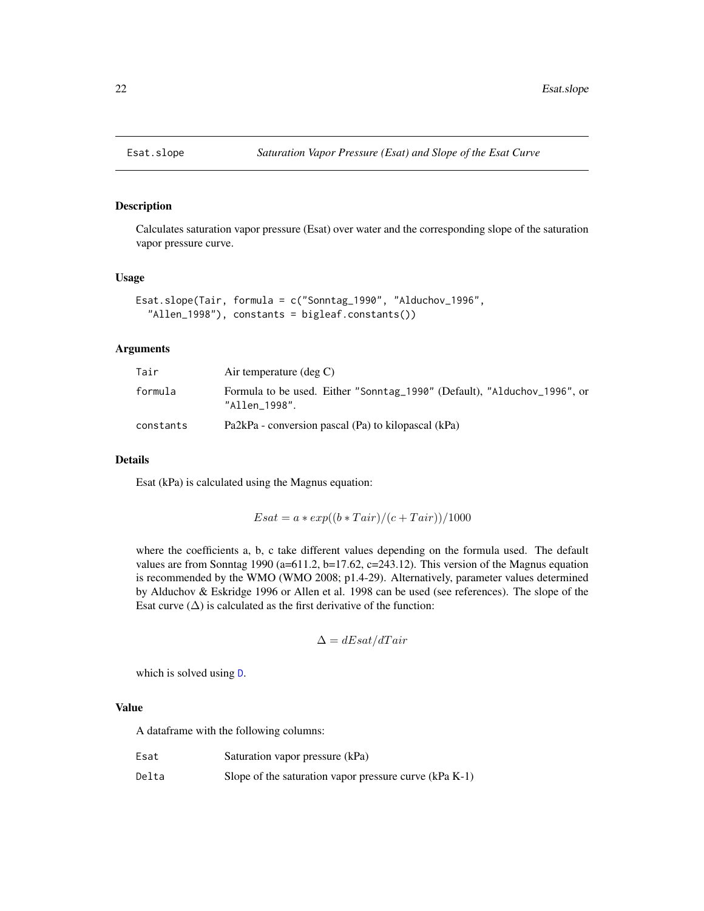<span id="page-21-1"></span><span id="page-21-0"></span>

### Description

Calculates saturation vapor pressure (Esat) over water and the corresponding slope of the saturation vapor pressure curve.

# Usage

```
Esat.slope(Tair, formula = c("Sonntag_1990", "Alduchov_1996",
  "Allen_1998"), constants = bigleaf.constants())
```
#### Arguments

| Tair      | Air temperature $(\text{deg } C)$                                                         |  |
|-----------|-------------------------------------------------------------------------------------------|--|
| formula   | Formula to be used. Either "Sonntag_1990" (Default), "Alduchov_1996", or<br>"Allen 1998". |  |
| constants | Pa2kPa - conversion pascal (Pa) to kilopascal (kPa)                                       |  |

# Details

Esat (kPa) is calculated using the Magnus equation:

$$
Esat = a * exp((b * Tair)/(c + Tair))/1000
$$

where the coefficients a, b, c take different values depending on the formula used. The default values are from Sonntag 1990 (a=611.2, b=17.62, c=243.12). This version of the Magnus equation is recommended by the WMO (WMO 2008; p1.4-29). Alternatively, parameter values determined by Alduchov & Eskridge 1996 or Allen et al. 1998 can be used (see references). The slope of the Esat curve  $(\Delta)$  is calculated as the first derivative of the function:

$$
\Delta = dEsat/dTair
$$

which is solved using [D](#page-0-0).

# Value

A dataframe with the following columns:

| Esat  | Saturation vapor pressure (kPa)                          |
|-------|----------------------------------------------------------|
| Delta | Slope of the saturation vapor pressure curve $(kPa K-1)$ |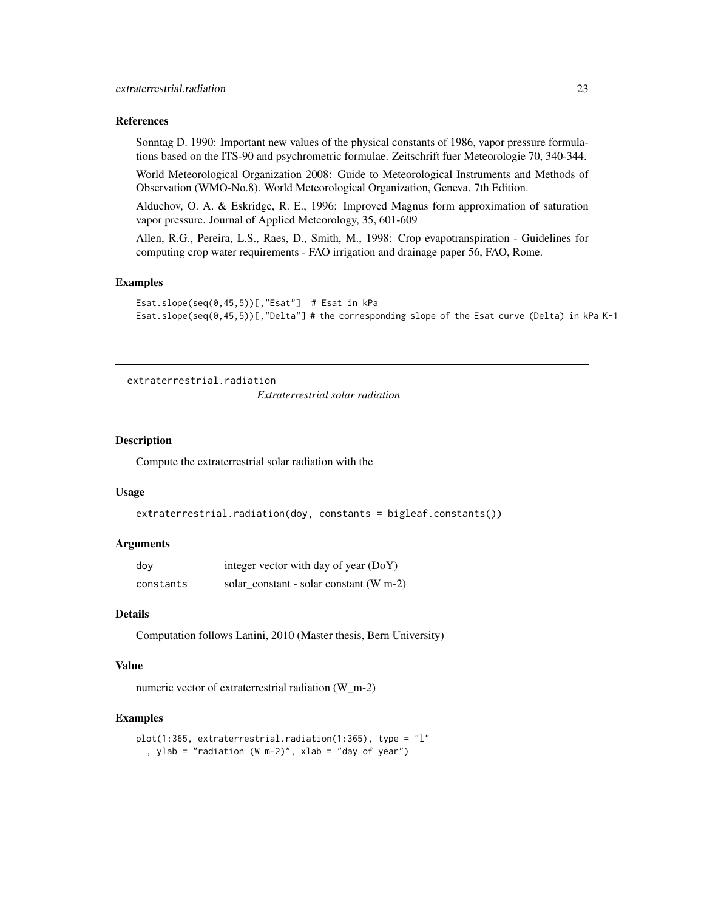#### <span id="page-22-0"></span>References

Sonntag D. 1990: Important new values of the physical constants of 1986, vapor pressure formulations based on the ITS-90 and psychrometric formulae. Zeitschrift fuer Meteorologie 70, 340-344.

World Meteorological Organization 2008: Guide to Meteorological Instruments and Methods of Observation (WMO-No.8). World Meteorological Organization, Geneva. 7th Edition.

Alduchov, O. A. & Eskridge, R. E., 1996: Improved Magnus form approximation of saturation vapor pressure. Journal of Applied Meteorology, 35, 601-609

Allen, R.G., Pereira, L.S., Raes, D., Smith, M., 1998: Crop evapotranspiration - Guidelines for computing crop water requirements - FAO irrigation and drainage paper 56, FAO, Rome.

# Examples

```
Esat.slope(seq(0,45,5))[,"Esat"] # Esat in kPa
Esat.slope(seq(0,45,5))[,"Delta"] # the corresponding slope of the Esat curve (Delta) in kPa K-1
```

```
extraterrestrial.radiation
                          Extraterrestrial solar radiation
```
#### Description

Compute the extraterrestrial solar radiation with the

#### Usage

```
extraterrestrial.radiation(doy, constants = bigleaf.constants())
```
# Arguments

| dov       | integer vector with day of year (DoY)     |
|-----------|-------------------------------------------|
| constants | solar constant - solar constant $(W m-2)$ |

# Details

Computation follows Lanini, 2010 (Master thesis, Bern University)

### Value

numeric vector of extraterrestrial radiation (W\_m-2)

#### Examples

```
plot(1:365, extraterrestrial.radiation(1:365), type = "l"
  , ylab = "radiation (W m-2)", xlab = "day of year")
```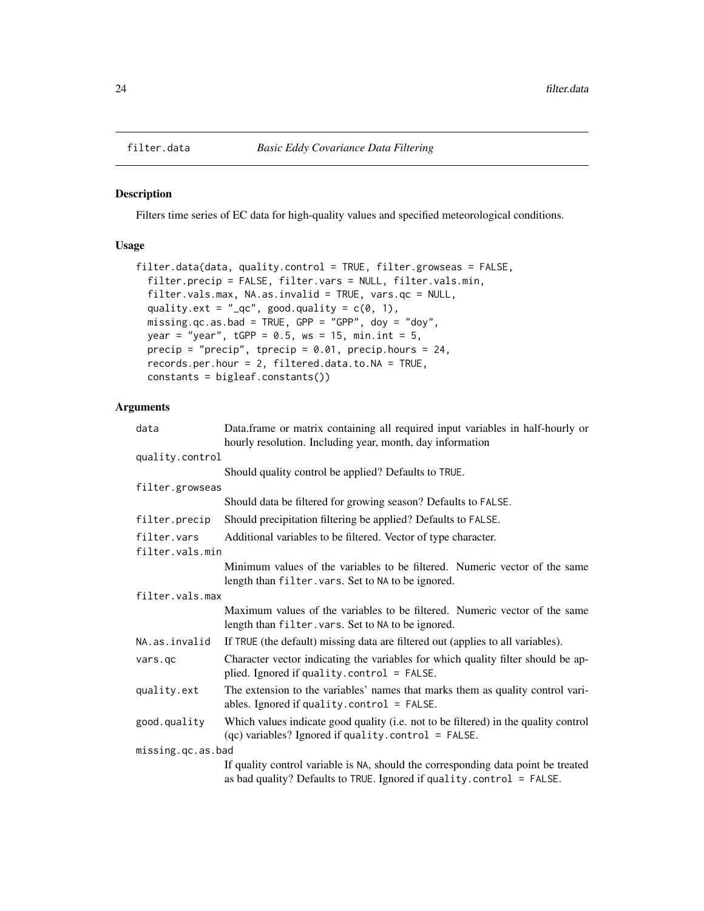<span id="page-23-0"></span>

#### Description

Filters time series of EC data for high-quality values and specified meteorological conditions.

# Usage

```
filter.data(data, quality.control = TRUE, filter.growseas = FALSE,
  filter.precip = FALSE, filter.vars = NULL, filter.vals.min,
  filter.vals.max, NA.as.invalid = TRUE, vars.qc = NULL,
  quality.ext = "_{-}qc", good.quality = c(0, 1),
  missing.qc.as.bad = TRUE, GPP = "GPP", doy = "doy",
 year = "year", tGPP = 0.5, ws = 15, min.int = 5,precip = "precip", tprecip = 0.01, precip.hours = 24,
  records.per.hour = 2, filtered.data.to.NA = TRUE,
  constants = bigleaf.constants())
```

| data              | Data.frame or matrix containing all required input variables in half-hourly or<br>hourly resolution. Including year, month, day information                |
|-------------------|------------------------------------------------------------------------------------------------------------------------------------------------------------|
| quality.control   |                                                                                                                                                            |
|                   | Should quality control be applied? Defaults to TRUE.                                                                                                       |
| filter.growseas   |                                                                                                                                                            |
|                   | Should data be filtered for growing season? Defaults to FALSE.                                                                                             |
| filter.precip     | Should precipitation filtering be applied? Defaults to FALSE.                                                                                              |
| filter.vars       | Additional variables to be filtered. Vector of type character.                                                                                             |
| filter.vals.min   |                                                                                                                                                            |
|                   | Minimum values of the variables to be filtered. Numeric vector of the same<br>length than filter. vars. Set to NA to be ignored.                           |
| filter.vals.max   |                                                                                                                                                            |
|                   | Maximum values of the variables to be filtered. Numeric vector of the same<br>length than filter. vars. Set to NA to be ignored.                           |
| NA.as.invalid     | If TRUE (the default) missing data are filtered out (applies to all variables).                                                                            |
| vars.qc           | Character vector indicating the variables for which quality filter should be ap-<br>plied. Ignored if quality.control = FALSE.                             |
| quality.ext       | The extension to the variables' names that marks them as quality control vari-<br>ables. Ignored if quality. $control = FALSE$ .                           |
| good.quality      | Which values indicate good quality (i.e. not to be filtered) in the quality control<br>$(qc)$ variables? Ignored if quality.control = FALSE.               |
| missing.qc.as.bad |                                                                                                                                                            |
|                   | If quality control variable is NA, should the corresponding data point be treated<br>as bad quality? Defaults to TRUE. Ignored if quality.control = FALSE. |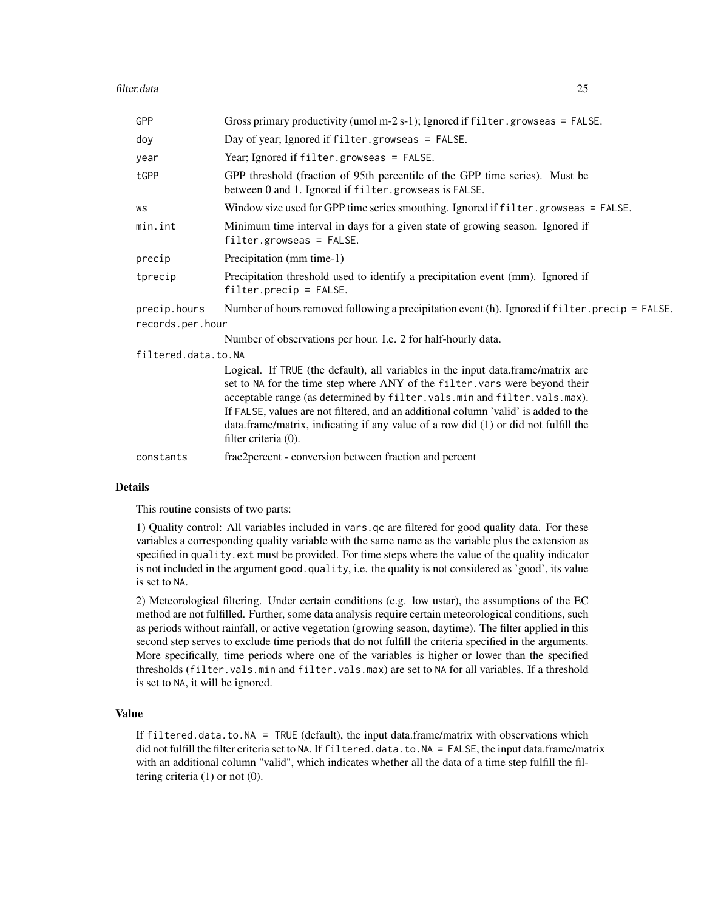| GPP                 | Gross primary productivity (umol m-2 s-1); Ignored if $filter.growses = FALSE$ .                                                                                                                                                                                                                                                                                                                                                                 |
|---------------------|--------------------------------------------------------------------------------------------------------------------------------------------------------------------------------------------------------------------------------------------------------------------------------------------------------------------------------------------------------------------------------------------------------------------------------------------------|
| doy                 | Day of year; Ignored if filter.growseas = FALSE.                                                                                                                                                                                                                                                                                                                                                                                                 |
| year                | Year; Ignored if filter.growseas = FALSE.                                                                                                                                                                                                                                                                                                                                                                                                        |
| tGPP                | GPP threshold (fraction of 95th percentile of the GPP time series). Must be<br>between 0 and 1. Ignored if filter.growseas is FALSE.                                                                                                                                                                                                                                                                                                             |
| WS                  | Window size used for GPP time series smoothing. Ignored if filter.growseas = FALSE.                                                                                                                                                                                                                                                                                                                                                              |
| min.int             | Minimum time interval in days for a given state of growing season. Ignored if<br>$filter.growses = FALSE.$                                                                                                                                                                                                                                                                                                                                       |
| precip              | Precipitation (mm time-1)                                                                                                                                                                                                                                                                                                                                                                                                                        |
| tprecip             | Precipitation threshold used to identify a precipitation event (mm). Ignored if<br>$filter. \text{precip} = FALSE.$                                                                                                                                                                                                                                                                                                                              |
| precip.hours        | Number of hours removed following a precipitation event (h). Ignored if filter precip = FALSE.                                                                                                                                                                                                                                                                                                                                                   |
| records.per.hour    |                                                                                                                                                                                                                                                                                                                                                                                                                                                  |
|                     | Number of observations per hour. I.e. 2 for half-hourly data.                                                                                                                                                                                                                                                                                                                                                                                    |
| filtered.data.to.NA |                                                                                                                                                                                                                                                                                                                                                                                                                                                  |
|                     | Logical. If TRUE (the default), all variables in the input data.frame/matrix are<br>set to NA for the time step where ANY of the filter. vars were beyond their<br>acceptable range (as determined by filter.vals.min and filter.vals.max).<br>If FALSE, values are not filtered, and an additional column 'valid' is added to the<br>data.frame/matrix, indicating if any value of a row did (1) or did not fulfill the<br>filter criteria (0). |
| constants           | frac2percent - conversion between fraction and percent                                                                                                                                                                                                                                                                                                                                                                                           |
|                     |                                                                                                                                                                                                                                                                                                                                                                                                                                                  |

This routine consists of two parts:

1) Quality control: All variables included in vars.qc are filtered for good quality data. For these variables a corresponding quality variable with the same name as the variable plus the extension as specified in quality.ext must be provided. For time steps where the value of the quality indicator is not included in the argument good.quality, i.e. the quality is not considered as 'good', its value is set to NA.

2) Meteorological filtering. Under certain conditions (e.g. low ustar), the assumptions of the EC method are not fulfilled. Further, some data analysis require certain meteorological conditions, such as periods without rainfall, or active vegetation (growing season, daytime). The filter applied in this second step serves to exclude time periods that do not fulfill the criteria specified in the arguments. More specifically, time periods where one of the variables is higher or lower than the specified thresholds (filter.vals.min and filter.vals.max) are set to NA for all variables. If a threshold is set to NA, it will be ignored.

#### Value

If  $filtered.data_to.NA = TRUE (default), the input data frame/matrix with observations which$ did not fulfill the filter criteria set to NA. If filtered.data.to.NA = FALSE, the input data.frame/matrix with an additional column "valid", which indicates whether all the data of a time step fulfill the filtering criteria (1) or not (0).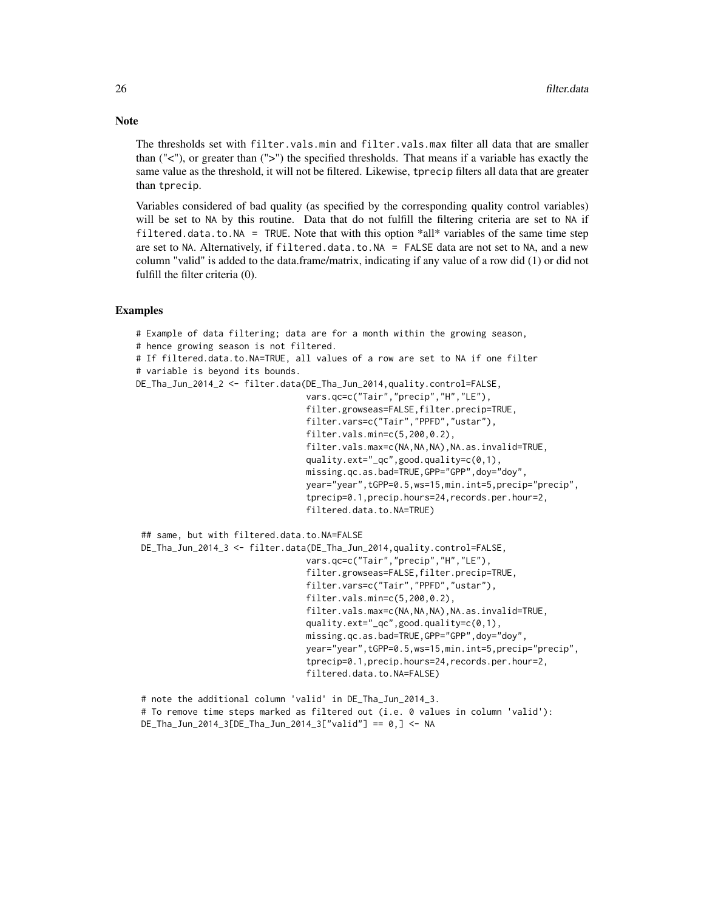The thresholds set with filter.vals.min and filter.vals.max filter all data that are smaller than ("<"), or greater than (">") the specified thresholds. That means if a variable has exactly the same value as the threshold, it will not be filtered. Likewise, tprecip filters all data that are greater than tprecip.

Variables considered of bad quality (as specified by the corresponding quality control variables) will be set to NA by this routine. Data that do not fulfill the filtering criteria are set to NA if filtered.data.to.NA = TRUE. Note that with this option  $\text{*all*}$  variables of the same time step are set to NA. Alternatively, if filtered.data.to.NA = FALSE data are not set to NA, and a new column "valid" is added to the data.frame/matrix, indicating if any value of a row did (1) or did not fulfill the filter criteria (0).

#### Examples

# Example of data filtering; data are for a month within the growing season, # hence growing season is not filtered. # If filtered.data.to.NA=TRUE, all values of a row are set to NA if one filter # variable is beyond its bounds. DE\_Tha\_Jun\_2014\_2 <- filter.data(DE\_Tha\_Jun\_2014,quality.control=FALSE, vars.qc=c("Tair","precip","H","LE"), filter.growseas=FALSE,filter.precip=TRUE, filter.vars=c("Tair","PPFD","ustar"), filter.vals.min=c(5,200,0.2), filter.vals.max=c(NA,NA,NA),NA.as.invalid=TRUE, quality.ext="\_qc",good.quality=c(0,1), missing.qc.as.bad=TRUE,GPP="GPP",doy="doy", year="year",tGPP=0.5,ws=15,min.int=5,precip="precip", tprecip=0.1,precip.hours=24,records.per.hour=2, filtered.data.to.NA=TRUE) ## same, but with filtered.data.to.NA=FALSE DE\_Tha\_Jun\_2014\_3 <- filter.data(DE\_Tha\_Jun\_2014,quality.control=FALSE, vars.qc=c("Tair","precip","H","LE"), filter.growseas=FALSE,filter.precip=TRUE, filter.vars=c("Tair","PPFD","ustar"), filter.vals.min=c(5,200,0.2), filter.vals.max=c(NA,NA,NA),NA.as.invalid=TRUE, quality.ext="\_qc",good.quality=c(0,1), missing.qc.as.bad=TRUE,GPP="GPP",doy="doy", year="year",tGPP=0.5,ws=15,min.int=5,precip="precip", tprecip=0.1,precip.hours=24,records.per.hour=2, filtered.data.to.NA=FALSE)

```
# note the additional column 'valid' in DE_Tha_Jun_2014_3.
# To remove time steps marked as filtered out (i.e. 0 values in column 'valid'):
DE_Tha_Jun_2014_3[DE_Tha_Jun_2014_3["valid"] == 0,] <- NA
```
# **Note**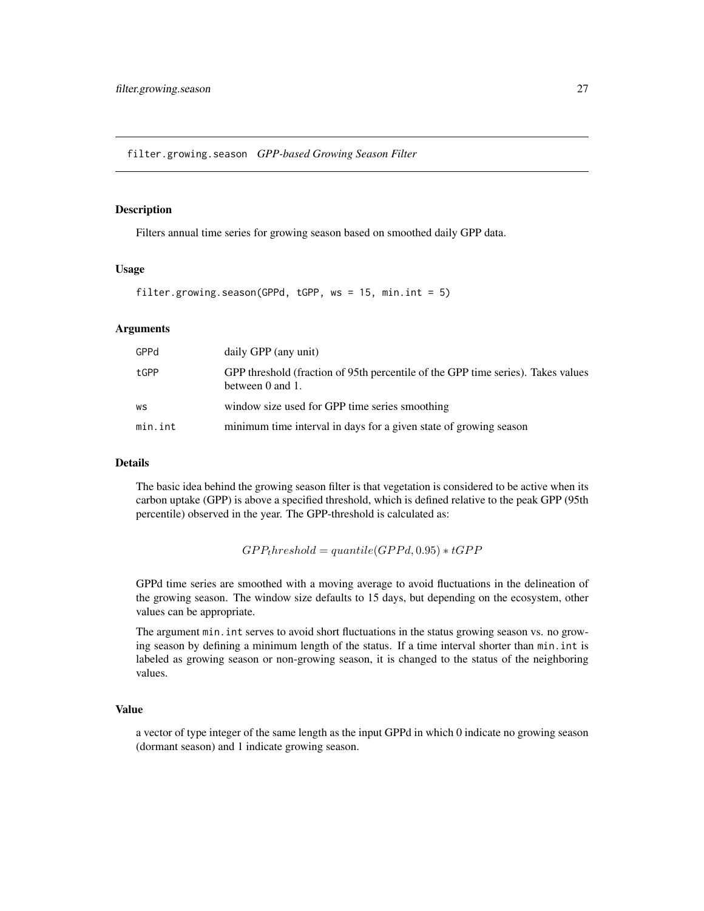<span id="page-26-0"></span>filter.growing.season *GPP-based Growing Season Filter*

# Description

Filters annual time series for growing season based on smoothed daily GPP data.

#### Usage

```
filter.growing.season(GPPd, tGPP, ws = 15, min.int = 5)
```
# Arguments

| GPPd    | daily GPP (any unit)                                                                                 |
|---------|------------------------------------------------------------------------------------------------------|
| tGPP    | GPP threshold (fraction of 95th percentile of the GPP time series). Takes values<br>between 0 and 1. |
| WS      | window size used for GPP time series smoothing                                                       |
| min.int | minimum time interval in days for a given state of growing season                                    |

# Details

The basic idea behind the growing season filter is that vegetation is considered to be active when its carbon uptake (GPP) is above a specified threshold, which is defined relative to the peak GPP (95th percentile) observed in the year. The GPP-threshold is calculated as:

```
GPP<sub>t</sub> hreshold = quantile (GPPd, 0.95) * tGPP
```
GPPd time series are smoothed with a moving average to avoid fluctuations in the delineation of the growing season. The window size defaults to 15 days, but depending on the ecosystem, other values can be appropriate.

The argument min.int serves to avoid short fluctuations in the status growing season vs. no growing season by defining a minimum length of the status. If a time interval shorter than min.int is labeled as growing season or non-growing season, it is changed to the status of the neighboring values.

# Value

a vector of type integer of the same length as the input GPPd in which 0 indicate no growing season (dormant season) and 1 indicate growing season.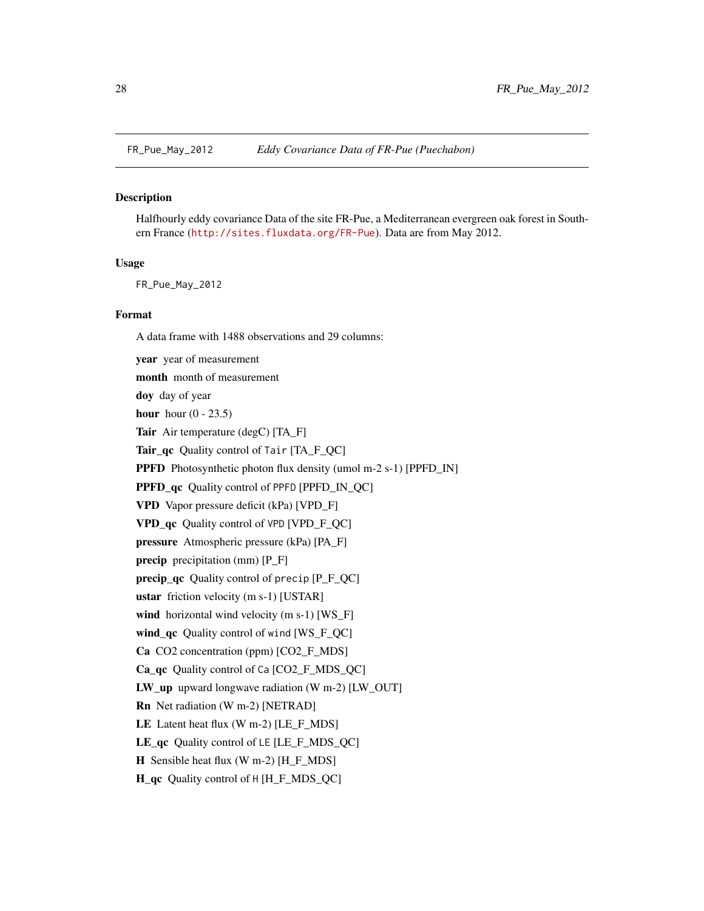<span id="page-27-0"></span>

#### **Description**

Halfhourly eddy covariance Data of the site FR-Pue, a Mediterranean evergreen oak forest in Southern France (<http://sites.fluxdata.org/FR-Pue>). Data are from May 2012.

#### Usage

FR\_Pue\_May\_2012

#### Format

A data frame with 1488 observations and 29 columns:

year year of measurement month month of measurement doy day of year hour hour  $(0 - 23.5)$ Tair Air temperature (degC) [TA\_F] Tair\_qc Quality control of Tair [TA\_F\_QC] PPFD Photosynthetic photon flux density (umol m-2 s-1) [PPFD\_IN] PPFD\_qc Quality control of PPFD [PPFD\_IN\_QC] VPD Vapor pressure deficit (kPa) [VPD\_F] VPD\_qc Quality control of VPD [VPD\_F\_QC] pressure Atmospheric pressure (kPa) [PA\_F] precip precipitation (mm) [P\_F] precip\_qc Quality control of precip [P\_F\_QC] ustar friction velocity (m s-1) [USTAR] wind horizontal wind velocity (m s-1) [WS\_F] wind\_qc Quality control of wind [WS\_F\_QC] Ca CO2 concentration (ppm) [CO2\_F\_MDS] Ca\_qc Quality control of Ca [CO2\_F\_MDS\_QC] LW\_up upward longwave radiation (W m-2) [LW\_OUT] Rn Net radiation (W m-2) [NETRAD] LE Latent heat flux (W m-2) [LE\_F\_MDS] LE\_qc Quality control of LE [LE\_F\_MDS\_QC] **H** Sensible heat flux (W m-2) [H  $\overline{F}$  MDS] H\_qc Quality control of H [H\_F\_MDS\_QC]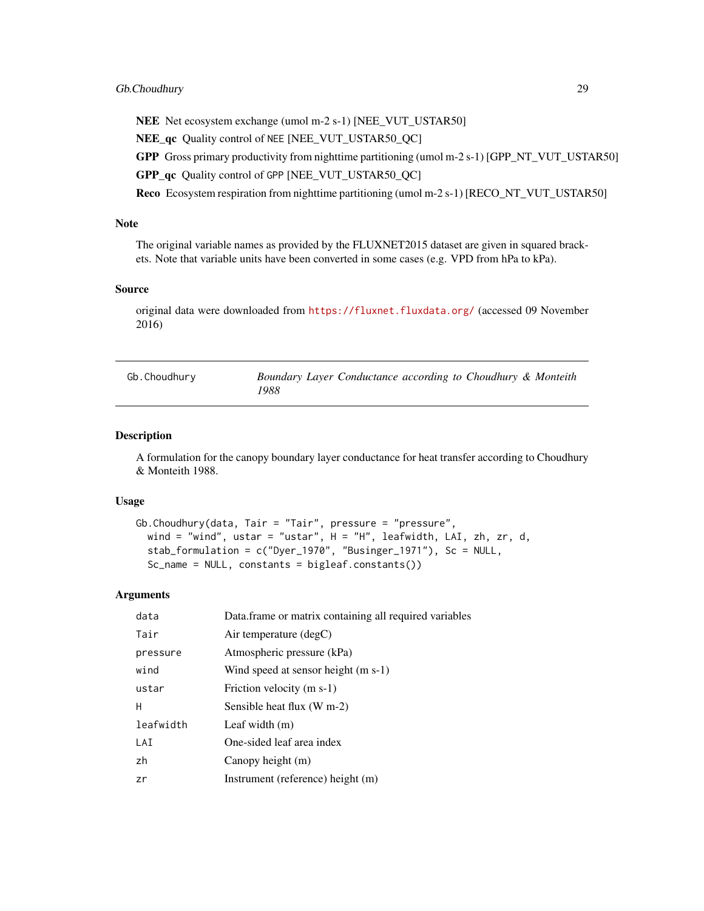# <span id="page-28-0"></span>Gb.Choudhury 29

NEE Net ecosystem exchange (umol m-2 s-1) [NEE\_VUT\_USTAR50]

NEE\_qc Quality control of NEE [NEE\_VUT\_USTAR50\_QC]

GPP Gross primary productivity from nighttime partitioning (umol m-2 s-1) [GPP\_NT\_VUT\_USTAR50]

GPP\_qc Quality control of GPP [NEE\_VUT\_USTAR50\_QC]

Reco Ecosystem respiration from nighttime partitioning (umol m-2 s-1) [RECO\_NT\_VUT\_USTAR50]

#### Note

The original variable names as provided by the FLUXNET2015 dataset are given in squared brackets. Note that variable units have been converted in some cases (e.g. VPD from hPa to kPa).

#### Source

original data were downloaded from <https://fluxnet.fluxdata.org/> (accessed 09 November 2016)

<span id="page-28-1"></span>

| Gb.Choudhury | Boundary Layer Conductance according to Choudhury & Monteith |  |
|--------------|--------------------------------------------------------------|--|
|              | 1988                                                         |  |

#### Description

A formulation for the canopy boundary layer conductance for heat transfer according to Choudhury & Monteith 1988.

#### Usage

```
Gb.Choudhury(data, Tair = "Tair", pressure = "pressure",
 wind = "wind", ustar = "ustar", H = "H", leafwidth, LAI, zh, zr, d,
  stab_formulation = c("Dyer_1970", "Businger_1971"), Sc = NULL,
  Sc_name = NULL, constants = bigleaf.constants())
```

| data      | Data.frame or matrix containing all required variables |
|-----------|--------------------------------------------------------|
| Tair      | Air temperature $(\text{deg} C)$                       |
| pressure  | Atmospheric pressure (kPa)                             |
| wind      | Wind speed at sensor height (m s-1)                    |
| ustar     | Friction velocity (m s-1)                              |
| н         | Sensible heat flux (W m-2)                             |
| leafwidth | Leaf width $(m)$                                       |
| LAI       | One-sided leaf area index                              |
| zh        | Canopy height (m)                                      |
| zr        | Instrument (reference) height (m)                      |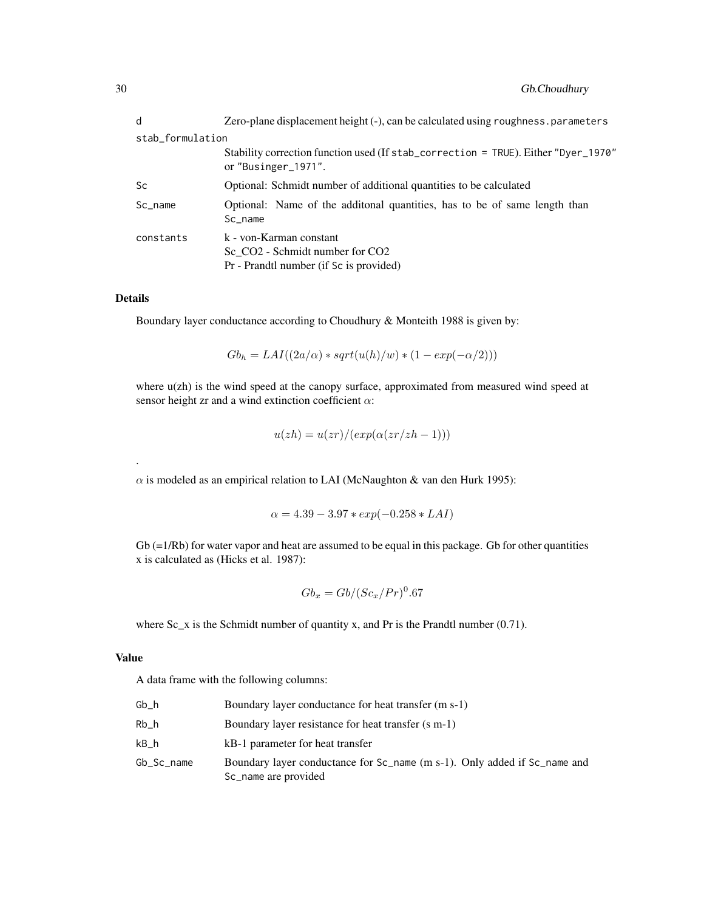| d                | Zero-plane displacement height (-), can be calculated using roughness parameters                                              |
|------------------|-------------------------------------------------------------------------------------------------------------------------------|
| stab_formulation |                                                                                                                               |
|                  | Stability correction function used (If stab_correction = TRUE). Either "Dyer_1970"<br>or "Businger_1971".                     |
| Sc               | Optional: Schmidt number of additional quantities to be calculated                                                            |
| Sc_name          | Optional: Name of the additonal quantities, has to be of same length than<br>Sc name                                          |
| constants        | k - von-Karman constant<br>Sc CO <sub>2</sub> - Schmidt number for CO <sub>2</sub><br>Pr - Prandtl number (if Sc is provided) |

.

Boundary layer conductance according to Choudhury & Monteith 1988 is given by:

$$
Gbh = LAI((2a/\alpha) * sqrt(u(h)/w) * (1 - exp(-\alpha/2)))
$$

where  $u(zh)$  is the wind speed at the canopy surface, approximated from measured wind speed at sensor height zr and a wind extinction coefficient  $\alpha$ :

$$
u(zh) = u(zr)/(exp(\alpha(zr/zh - 1)))
$$

 $\alpha$  is modeled as an empirical relation to LAI (McNaughton & van den Hurk 1995):

$$
\alpha = 4.39 - 3.97 \cdot exp(-0.258 \cdot LAI)
$$

 $Gb = 1/Rb$  for water vapor and heat are assumed to be equal in this package. Gb for other quantities x is calculated as (Hicks et al. 1987):

$$
Gb_x = Gb/(Sc_x/Pr)^0.67\,
$$

where  $Sc_x$  is the Schmidt number of quantity x, and Pr is the Prandtl number (0.71).

# Value

A data frame with the following columns:

| Gb h       | Boundary layer conductance for heat transfer (m s-1)                                                                    |
|------------|-------------------------------------------------------------------------------------------------------------------------|
| Rb h       | Boundary layer resistance for heat transfer (s m-1)                                                                     |
| kB h       | kB-1 parameter for heat transfer                                                                                        |
| Gb_Sc_name | Boundary layer conductance for Sc <sub>name</sub> (m s-1). Only added if Sc <sub>name</sub> and<br>Sc_name are provided |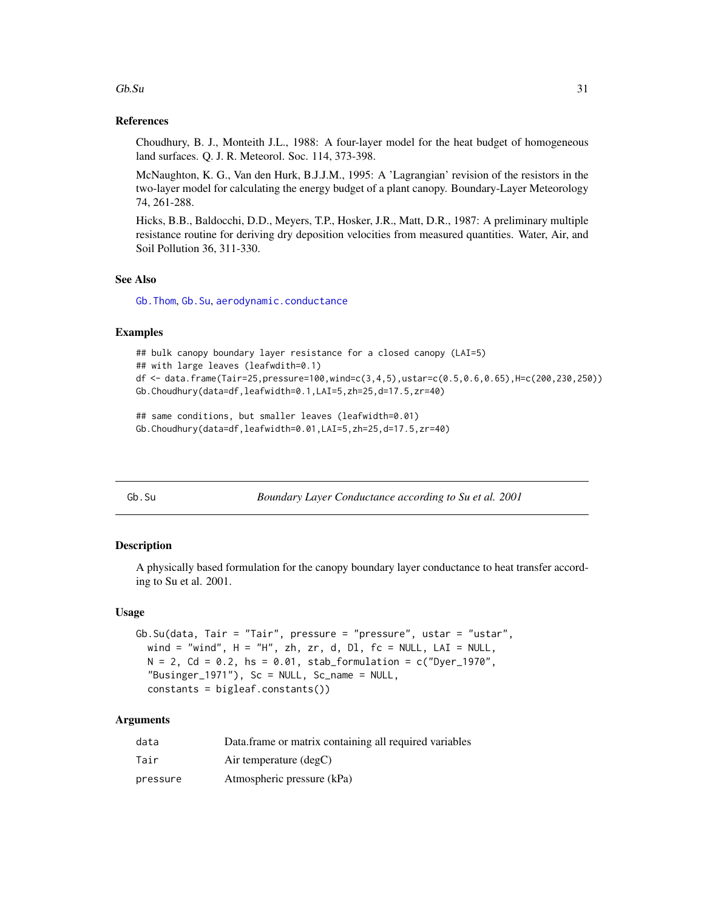#### <span id="page-30-0"></span> $Gb.$ Su  $31$

# References

Choudhury, B. J., Monteith J.L., 1988: A four-layer model for the heat budget of homogeneous land surfaces. Q. J. R. Meteorol. Soc. 114, 373-398.

McNaughton, K. G., Van den Hurk, B.J.J.M., 1995: A 'Lagrangian' revision of the resistors in the two-layer model for calculating the energy budget of a plant canopy. Boundary-Layer Meteorology 74, 261-288.

Hicks, B.B., Baldocchi, D.D., Meyers, T.P., Hosker, J.R., Matt, D.R., 1987: A preliminary multiple resistance routine for deriving dry deposition velocities from measured quantities. Water, Air, and Soil Pollution 36, 311-330.

#### See Also

[Gb.Thom](#page-33-1), [Gb.Su](#page-30-1), [aerodynamic.conductance](#page-2-1)

# Examples

```
## bulk canopy boundary layer resistance for a closed canopy (LAI=5)
## with large leaves (leafwdith=0.1)
df <- data.frame(Tair=25,pressure=100,wind=c(3,4,5),ustar=c(0.5,0.6,0.65),H=c(200,230,250))
Gb.Choudhury(data=df,leafwidth=0.1,LAI=5,zh=25,d=17.5,zr=40)
```

```
## same conditions, but smaller leaves (leafwidth=0.01)
```

```
Gb.Choudhury(data=df,leafwidth=0.01,LAI=5,zh=25,d=17.5,zr=40)
```
<span id="page-30-1"></span>Gb.Su *Boundary Layer Conductance according to Su et al. 2001*

#### **Description**

A physically based formulation for the canopy boundary layer conductance to heat transfer according to Su et al. 2001.

#### Usage

```
Gb. Su(data, Tair = "Tair", pressure = "pressure", ustar = "ustar",
 wind = "wind", H = "H", zh, zr, d, D1, fc = NULL, LAI = NULL,N = 2, Cd = 0.2, hs = 0.01, stab_formulation = c("Dyer_1970",
  "Businger_1971"), Sc = NULL, Sc_name = NULL,
 constants = bigleaf.constants())
```

| data     | Data frame or matrix containing all required variables |
|----------|--------------------------------------------------------|
| Tair     | Air temperature $(\text{deg} C)$                       |
| pressure | Atmospheric pressure (kPa)                             |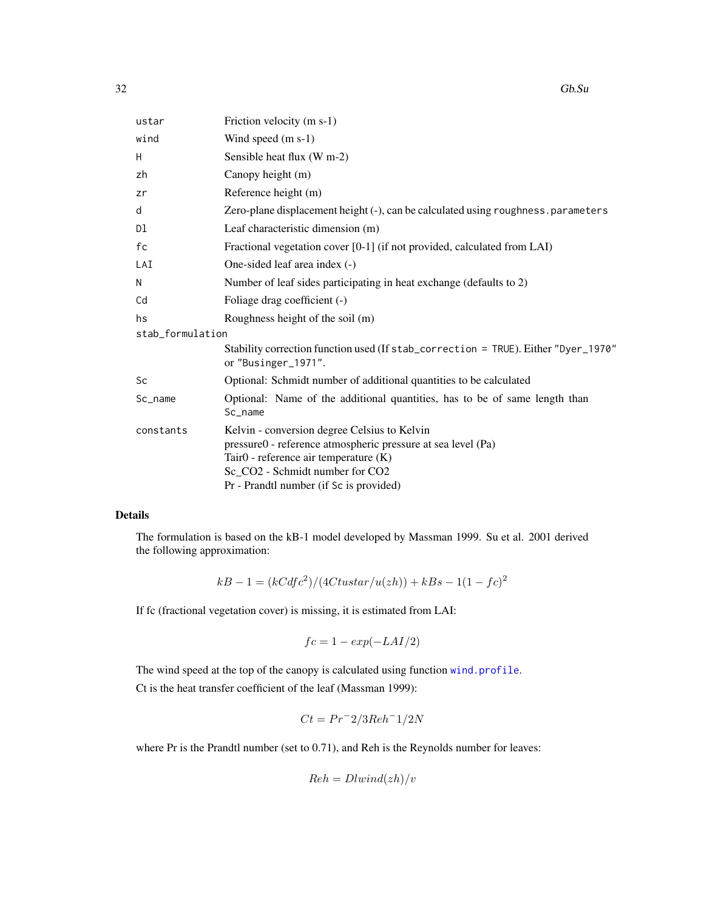| ustar            | Friction velocity (m s-1)                                                                                                                                                                                                           |
|------------------|-------------------------------------------------------------------------------------------------------------------------------------------------------------------------------------------------------------------------------------|
| wind             | Wind speed (m s-1)                                                                                                                                                                                                                  |
| H                | Sensible heat flux (W m-2)                                                                                                                                                                                                          |
| zh               | Canopy height (m)                                                                                                                                                                                                                   |
| zr               | Reference height (m)                                                                                                                                                                                                                |
| d                | Zero-plane displacement height (-), can be calculated using roughness. parameters                                                                                                                                                   |
| Dl               | Leaf characteristic dimension (m)                                                                                                                                                                                                   |
| fc               | Fractional vegetation cover [0-1] (if not provided, calculated from LAI)                                                                                                                                                            |
| LAI              | One-sided leaf area index (-)                                                                                                                                                                                                       |
| N                | Number of leaf sides participating in heat exchange (defaults to 2)                                                                                                                                                                 |
| Cd               | Foliage drag coefficient (-)                                                                                                                                                                                                        |
| hs               | Roughness height of the soil (m)                                                                                                                                                                                                    |
| stab_formulation |                                                                                                                                                                                                                                     |
|                  | Stability correction function used (If stab_correction = TRUE). Either "Dyer_1970"<br>or "Businger_1971".                                                                                                                           |
| Sc               | Optional: Schmidt number of additional quantities to be calculated                                                                                                                                                                  |
| $Sc_name$        | Optional: Name of the additional quantities, has to be of same length than<br>Sc_name                                                                                                                                               |
| constants        | Kelvin - conversion degree Celsius to Kelvin<br>pressure0 - reference atmospheric pressure at sea level (Pa)<br>Tair0 - reference air temperature (K)<br>Sc_CO2 - Schmidt number for CO2<br>Pr - Prandtl number (if Sc is provided) |

The formulation is based on the kB-1 model developed by Massman 1999. Su et al. 2001 derived the following approximation:

$$
kB - 1 = (kCdfc^2)/(4Ctustar/u(zh)) + kBs - 1(1 - fc)^2
$$

If fc (fractional vegetation cover) is missing, it is estimated from LAI:

$$
fc=1-\exp(-LAI/2)
$$

The wind speed at the top of the canopy is calculated using function [wind.profile](#page-77-1). Ct is the heat transfer coefficient of the leaf (Massman 1999):

$$
Ct = Pr^{-2}/3Reh^{-1}/2N
$$

where Pr is the Prandtl number (set to 0.71), and Reh is the Reynolds number for leaves:

$$
Re h = Dlwind(zh)/v
$$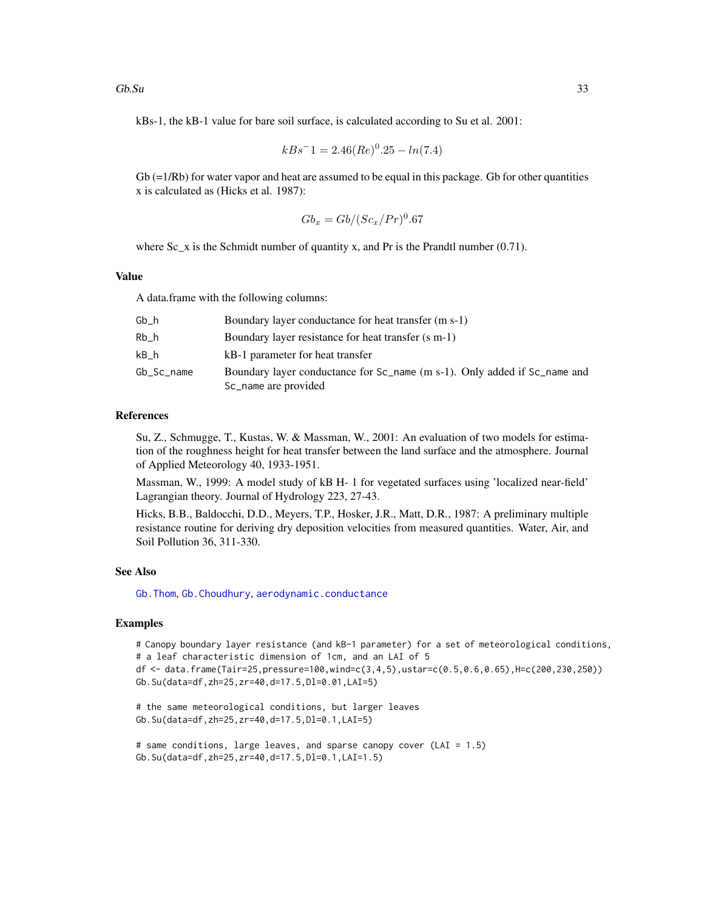kBs-1, the kB-1 value for bare soil surface, is calculated according to Su et al. 2001:

$$
kBs^-1 = 2.46(Re)^0.25 - ln(7.4)
$$

 $Gb = 1/Rb$  for water vapor and heat are assumed to be equal in this package. Gb for other quantities x is calculated as (Hicks et al. 1987):

$$
Gb_x = Gb/(Sc_x/Pr)^0.67
$$

where  $Sc_x$  is the Schmidt number of quantity x, and Pr is the Prandtl number (0.71).

#### Value

A data.frame with the following columns:

| Gb h       | Boundary layer conductance for heat transfer (m s-1)                                              |
|------------|---------------------------------------------------------------------------------------------------|
| Rb h       | Boundary layer resistance for heat transfer (s m-1)                                               |
| kB h       | kB-1 parameter for heat transfer                                                                  |
| Gb Sc name | Boundary layer conductance for Sc_name (m s-1). Only added if Sc_name and<br>Sc_name are provided |

# References

Su, Z., Schmugge, T., Kustas, W. & Massman, W., 2001: An evaluation of two models for estimation of the roughness height for heat transfer between the land surface and the atmosphere. Journal of Applied Meteorology 40, 1933-1951.

Massman, W., 1999: A model study of kB H- 1 for vegetated surfaces using 'localized near-field' Lagrangian theory. Journal of Hydrology 223, 27-43.

Hicks, B.B., Baldocchi, D.D., Meyers, T.P., Hosker, J.R., Matt, D.R., 1987: A preliminary multiple resistance routine for deriving dry deposition velocities from measured quantities. Water, Air, and Soil Pollution 36, 311-330.

#### See Also

[Gb.Thom](#page-33-1), [Gb.Choudhury](#page-28-1), [aerodynamic.conductance](#page-2-1)

# Examples

# Canopy boundary layer resistance (and kB-1 parameter) for a set of meteorological conditions, # a leaf characteristic dimension of 1cm, and an LAI of 5 df <- data.frame(Tair=25,pressure=100,wind=c(3,4,5),ustar=c(0.5,0.6,0.65),H=c(200,230,250)) Gb.Su(data=df,zh=25,zr=40,d=17.5,Dl=0.01,LAI=5)

```
# the same meteorological conditions, but larger leaves
Gb.Su(data=df,zh=25,zr=40,d=17.5,Dl=0.1,LAI=5)
```

```
# same conditions, large leaves, and sparse canopy cover (LAI = 1.5)
Gb.Su(data=df,zh=25,zr=40,d=17.5,Dl=0.1,LAI=1.5)
```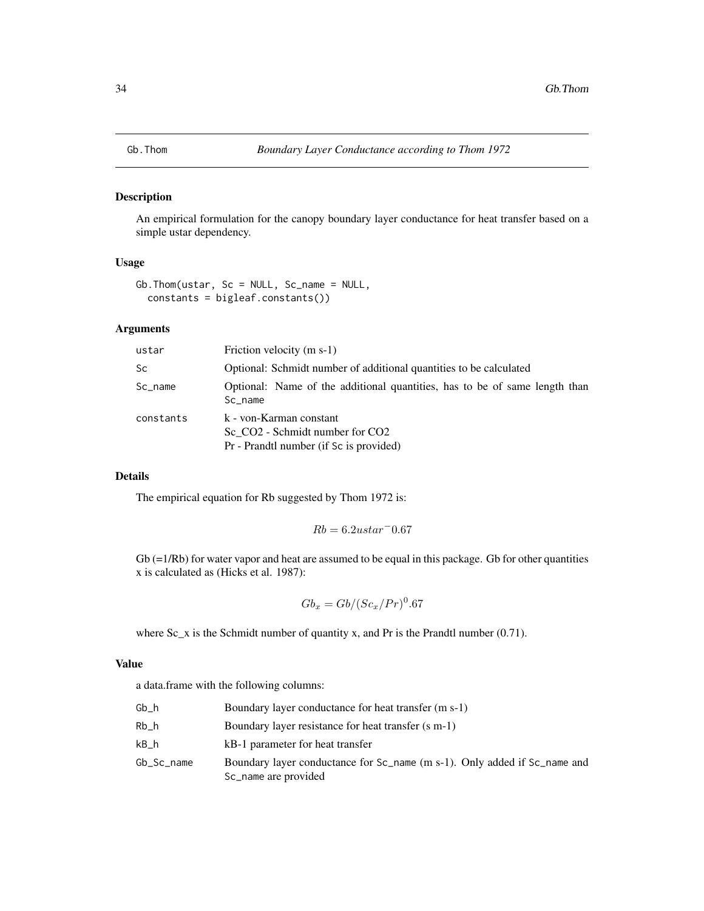<span id="page-33-1"></span><span id="page-33-0"></span>

# Description

An empirical formulation for the canopy boundary layer conductance for heat transfer based on a simple ustar dependency.

#### Usage

Gb.Thom(ustar, Sc = NULL, Sc\_name = NULL, constants = bigleaf.constants())

# Arguments

| ustar     | Friction velocity $(m s-1)$                                                                                                   |
|-----------|-------------------------------------------------------------------------------------------------------------------------------|
| <b>Sc</b> | Optional: Schmidt number of additional quantities to be calculated                                                            |
| Sc_name   | Optional: Name of the additional quantities, has to be of same length than<br>Sc name                                         |
| constants | k - von-Karman constant<br>Sc CO <sub>2</sub> - Schmidt number for CO <sub>2</sub><br>Pr - Prandtl number (if Sc is provided) |

# Details

The empirical equation for Rb suggested by Thom 1972 is:

$$
Rb = 6.2ustar \text{ }^{\degree}0.67
$$

 $Gb (=1/Rb)$  for water vapor and heat are assumed to be equal in this package. Gb for other quantities x is calculated as (Hicks et al. 1987):

$$
Gb_x = Gb/(Sc_x/Pr)^0.67
$$

where  $Sc_x$  is the Schmidt number of quantity x, and Pr is the Prandtl number (0.71).

# Value

a data.frame with the following columns:

| Gb h       | Boundary layer conductance for heat transfer (m s-1)                                                                    |
|------------|-------------------------------------------------------------------------------------------------------------------------|
| Rb h       | Boundary layer resistance for heat transfer (s m-1)                                                                     |
| kB h       | kB-1 parameter for heat transfer                                                                                        |
| Gb_Sc_name | Boundary layer conductance for Sc <sub>name</sub> (m s-1). Only added if Sc <sub>name</sub> and<br>Sc_name are provided |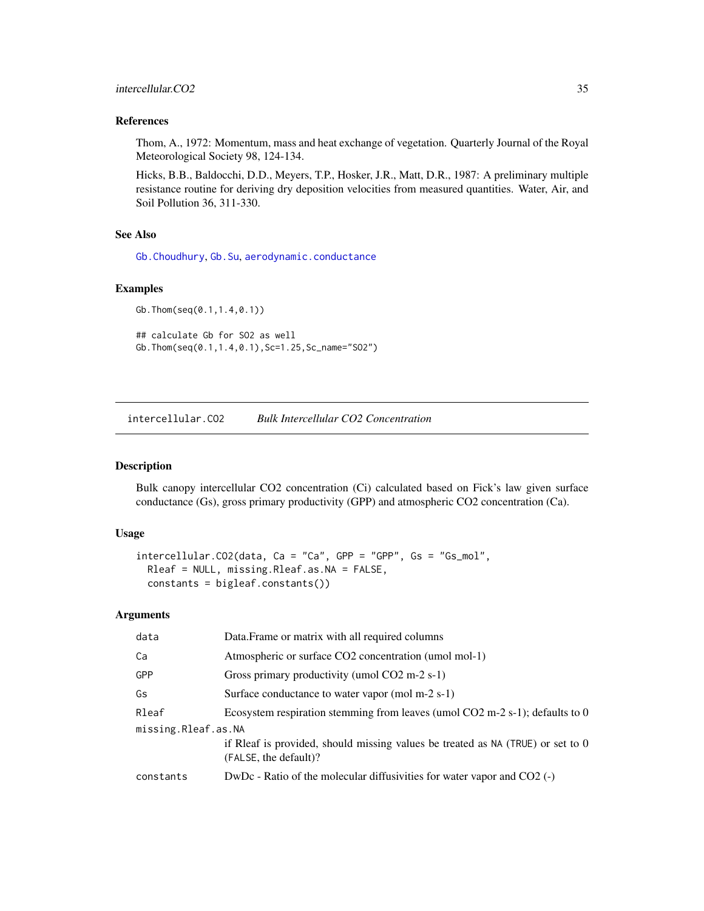# <span id="page-34-0"></span>References

Thom, A., 1972: Momentum, mass and heat exchange of vegetation. Quarterly Journal of the Royal Meteorological Society 98, 124-134.

Hicks, B.B., Baldocchi, D.D., Meyers, T.P., Hosker, J.R., Matt, D.R., 1987: A preliminary multiple resistance routine for deriving dry deposition velocities from measured quantities. Water, Air, and Soil Pollution 36, 311-330.

# See Also

[Gb.Choudhury](#page-28-1), [Gb.Su](#page-30-1), [aerodynamic.conductance](#page-2-1)

#### Examples

```
Gb.Thom(seq(0.1,1.4,0.1))
## calculate Gb for SO2 as well
Gb.Thom(seq(0.1,1.4,0.1),Sc=1.25,Sc_name="SO2")
```
intercellular.CO2 *Bulk Intercellular CO2 Concentration*

#### Description

Bulk canopy intercellular CO2 concentration (Ci) calculated based on Fick's law given surface conductance (Gs), gross primary productivity (GPP) and atmospheric CO2 concentration (Ca).

#### Usage

```
intercellular.CO2(data, Ca = "Ca", GPP = "GPP", Gs = "Gs_mol",
 Rleaf = NULL, missing.Rleaf.as.NA = FALSE,
 constants = bigleaf.constants())
```

| data                | Data. Frame or matrix with all required columns                                                          |
|---------------------|----------------------------------------------------------------------------------------------------------|
| Ca                  | Atmospheric or surface CO2 concentration (umol mol-1)                                                    |
| <b>GPP</b>          | Gross primary productivity (umol $CO2$ m-2 s-1)                                                          |
| Gs                  | Surface conductance to water vapor (mol m-2 s-1)                                                         |
| Rleaf               | Ecosystem respiration stemming from leaves (umol $CO2$ m-2 s-1); defaults to 0                           |
| missing.Rleaf.as.NA |                                                                                                          |
|                     | if Rleaf is provided, should missing values be treated as NA (TRUE) or set to 0<br>(FALSE, the default)? |
| constants           | DwDc - Ratio of the molecular diffusivities for water vapor and $CO2$ (-)                                |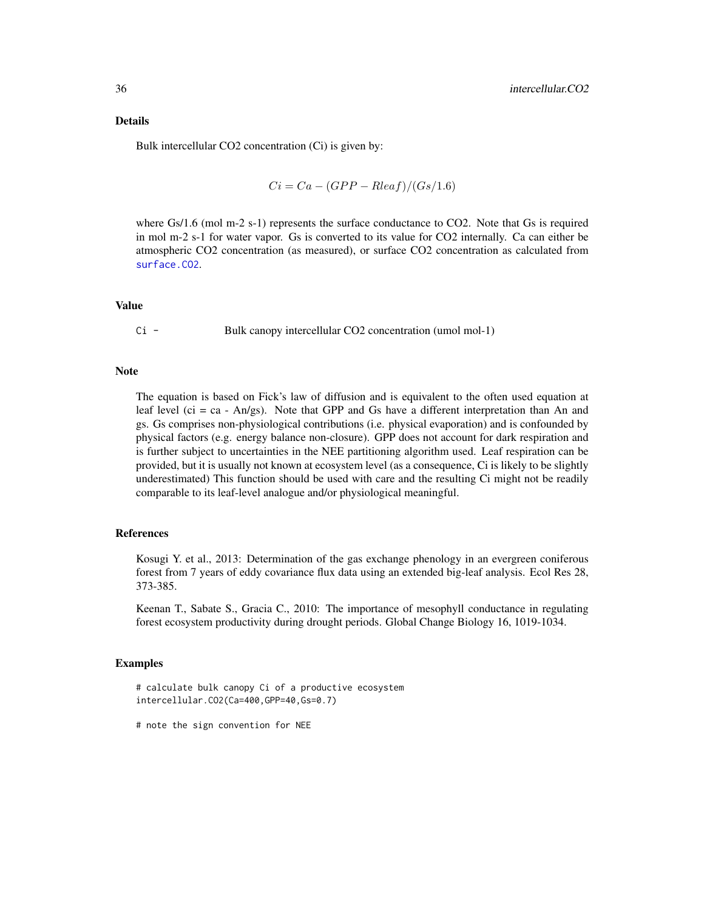Bulk intercellular CO2 concentration (Ci) is given by:

$$
Ci = Ca - (GPP - Rleaf)/(Gs/1.6)
$$

where Gs/1.6 (mol m-2 s-1) represents the surface conductance to CO2. Note that Gs is required in mol m-2 s-1 for water vapor. Gs is converted to its value for CO2 internally. Ca can either be atmospheric CO2 concentration (as measured), or surface CO2 concentration as calculated from [surface.CO2](#page-67-1).

# Value

Ci - Bulk canopy intercellular CO2 concentration (umol mol-1)

#### Note

The equation is based on Fick's law of diffusion and is equivalent to the often used equation at leaf level (ci = ca - An/gs). Note that GPP and Gs have a different interpretation than An and gs. Gs comprises non-physiological contributions (i.e. physical evaporation) and is confounded by physical factors (e.g. energy balance non-closure). GPP does not account for dark respiration and is further subject to uncertainties in the NEE partitioning algorithm used. Leaf respiration can be provided, but it is usually not known at ecosystem level (as a consequence, Ci is likely to be slightly underestimated) This function should be used with care and the resulting Ci might not be readily comparable to its leaf-level analogue and/or physiological meaningful.

#### References

Kosugi Y. et al., 2013: Determination of the gas exchange phenology in an evergreen coniferous forest from 7 years of eddy covariance flux data using an extended big-leaf analysis. Ecol Res 28, 373-385.

Keenan T., Sabate S., Gracia C., 2010: The importance of mesophyll conductance in regulating forest ecosystem productivity during drought periods. Global Change Biology 16, 1019-1034.

# Examples

```
# calculate bulk canopy Ci of a productive ecosystem
intercellular.CO2(Ca=400,GPP=40,Gs=0.7)
```
<sup>#</sup> note the sign convention for NEE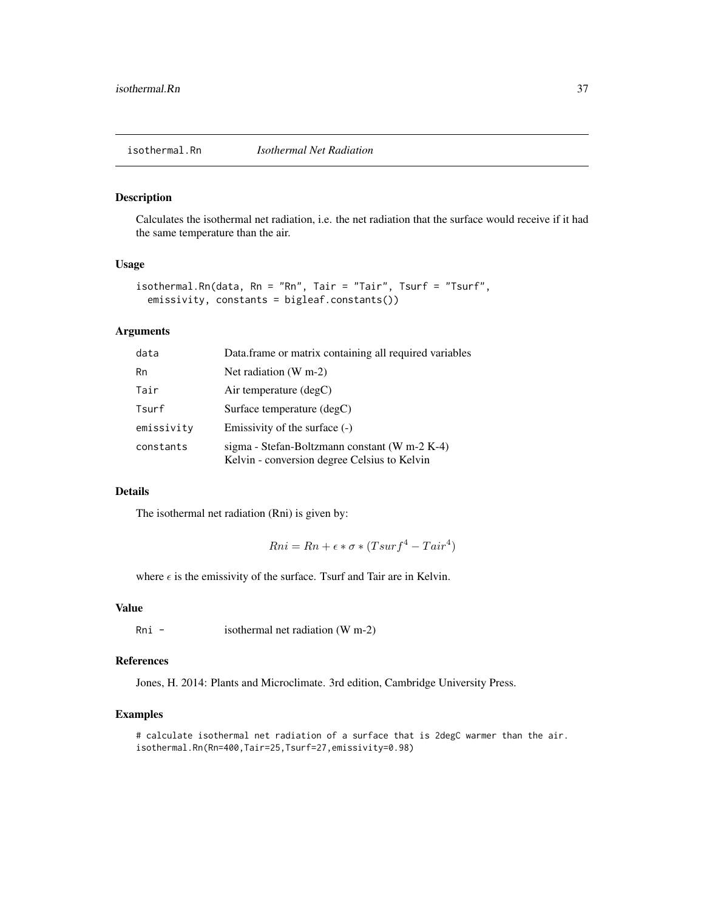#### Description

Calculates the isothermal net radiation, i.e. the net radiation that the surface would receive if it had the same temperature than the air.

# Usage

```
isothermal.Rn(data, Rn = "Rn", Tair = "Tair", Tsurf = "Tsurf",
 emissivity, constants = bigleaf.constants())
```
## Arguments

| data       | Data.frame or matrix containing all required variables                                        |
|------------|-----------------------------------------------------------------------------------------------|
| Rn         | Net radiation $(W m-2)$                                                                       |
| Tair       | Air temperature $(\text{deg} C)$                                                              |
| Tsurf      | Surface temperature (degC)                                                                    |
| emissivity | Emissivity of the surface $(-)$                                                               |
| constants  | sigma - Stefan-Boltzmann constant (W m-2 K-4)<br>Kelvin - conversion degree Celsius to Kelvin |

#### Details

The isothermal net radiation (Rni) is given by:

 $Rni = Rn + \epsilon * \sigma * (Tsurf^4 - Tair^4)$ 

where  $\epsilon$  is the emissivity of the surface. Tsurf and Tair are in Kelvin.

## Value

Rni - isothermal net radiation (W m-2)

#### References

Jones, H. 2014: Plants and Microclimate. 3rd edition, Cambridge University Press.

## Examples

# calculate isothermal net radiation of a surface that is 2degC warmer than the air. isothermal.Rn(Rn=400,Tair=25,Tsurf=27,emissivity=0.98)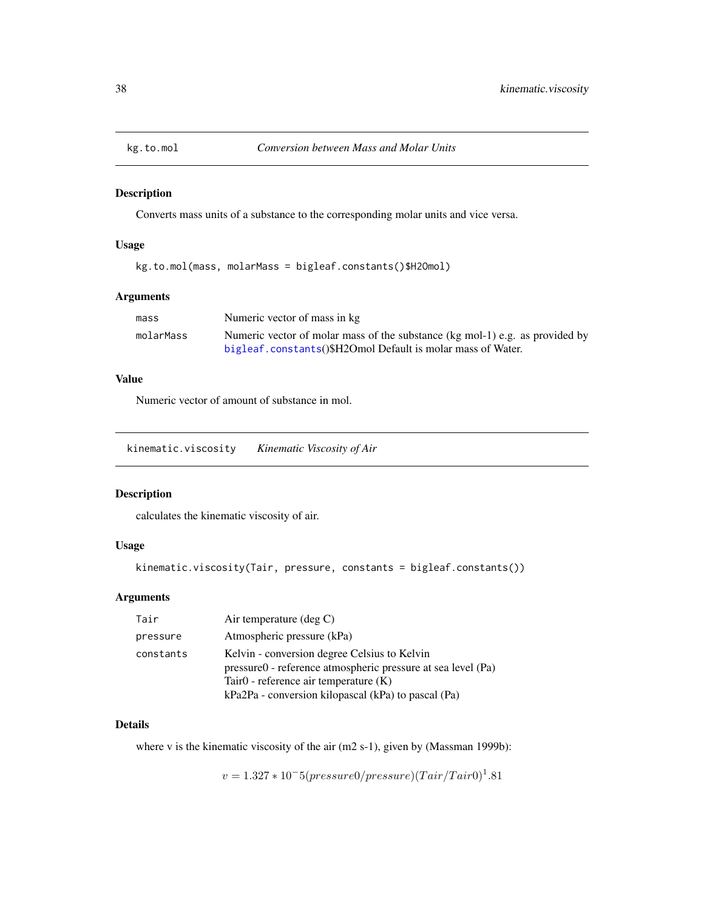## Description

Converts mass units of a substance to the corresponding molar units and vice versa.

## Usage

kg.to.mol(mass, molarMass = bigleaf.constants()\$H2Omol)

# Arguments

| mass      | Numeric vector of mass in kg                                                 |
|-----------|------------------------------------------------------------------------------|
| molarMass | Numeric vector of molar mass of the substance (kg mol-1) e.g. as provided by |
|           | bigleaf.constants()\$H2Omol Default is molar mass of Water.                  |

# Value

Numeric vector of amount of substance in mol.

kinematic.viscosity *Kinematic Viscosity of Air*

# Description

calculates the kinematic viscosity of air.

# Usage

kinematic.viscosity(Tair, pressure, constants = bigleaf.constants())

# Arguments

| Tair      | Air temperature $(\deg C)$                                                                                                                                                                                        |
|-----------|-------------------------------------------------------------------------------------------------------------------------------------------------------------------------------------------------------------------|
| pressure  | Atmospheric pressure (kPa)                                                                                                                                                                                        |
| constants | Kelvin - conversion degree Celsius to Kelvin<br>pressure0 - reference atmospheric pressure at sea level (Pa)<br>Tair $0$ - reference air temperature $(K)$<br>kPa2Pa - conversion kilopascal (kPa) to pascal (Pa) |

#### Details

where v is the kinematic viscosity of the air (m2 s-1), given by (Massman 1999b):

 $v = 1.327 * 10^{-5} (pressure0/ pressure) (Tair/Tair0)^{1}.81$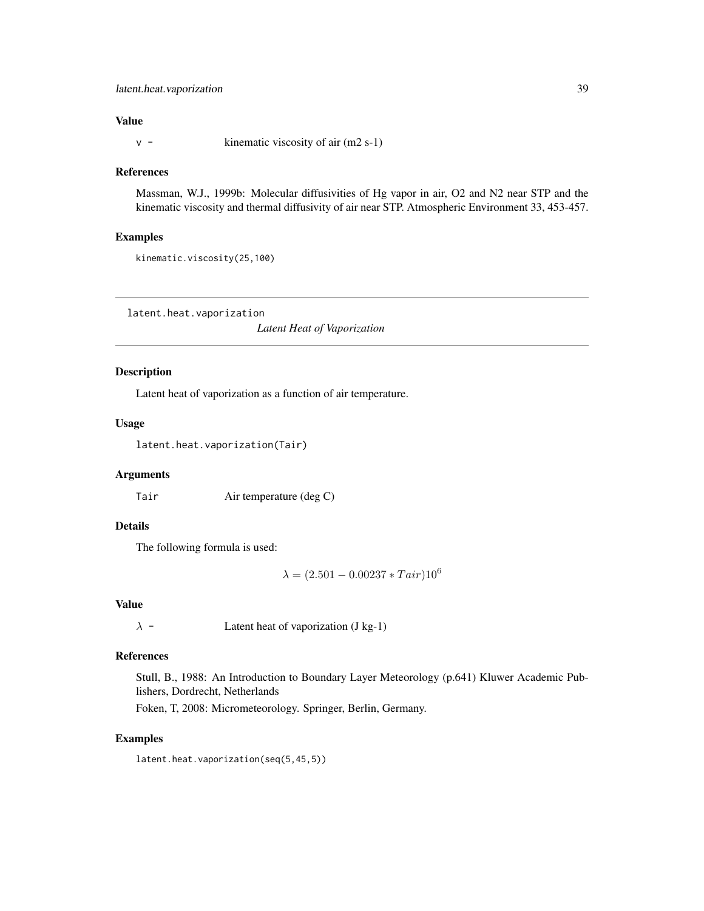# latent.heat.vaporization 39

## Value

 $v -$  kinematic viscosity of air (m2 s-1)

## References

Massman, W.J., 1999b: Molecular diffusivities of Hg vapor in air, O2 and N2 near STP and the kinematic viscosity and thermal diffusivity of air near STP. Atmospheric Environment 33, 453-457.

#### Examples

kinematic.viscosity(25,100)

<span id="page-38-0"></span>latent.heat.vaporization

*Latent Heat of Vaporization*

# Description

Latent heat of vaporization as a function of air temperature.

# Usage

latent.heat.vaporization(Tair)

# Arguments

Tair Air temperature (deg C)

# Details

The following formula is used:

 $\lambda = (2.501 - 0.00237 * Tair)10^6$ 

#### Value

 $\lambda$  - Latent heat of vaporization (J kg-1)

#### References

Stull, B., 1988: An Introduction to Boundary Layer Meteorology (p.641) Kluwer Academic Publishers, Dordrecht, Netherlands

Foken, T, 2008: Micrometeorology. Springer, Berlin, Germany.

#### Examples

latent.heat.vaporization(seq(5,45,5))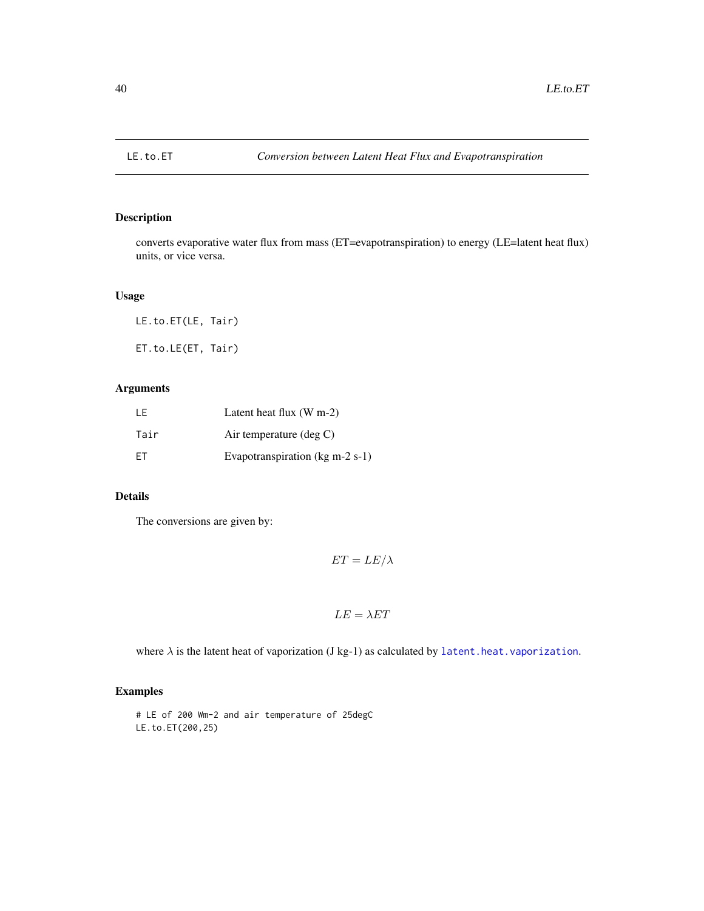## Description

converts evaporative water flux from mass (ET=evapotranspiration) to energy (LE=latent heat flux) units, or vice versa.

# Usage

LE.to.ET(LE, Tair) ET.to.LE(ET, Tair)

# Arguments

| I F       | Latent heat flux $(W m-2)$                          |
|-----------|-----------------------------------------------------|
| Tair      | Air temperature $(\deg C)$                          |
| <b>FT</b> | Evapotranspiration ( $kg \text{ m-}2 \text{ s-}1$ ) |

# Details

The conversions are given by:

$$
ET = LE/\lambda
$$

$$
LE = \lambda ET
$$

where  $\lambda$  is the latent heat of vaporization (J kg-1) as calculated by [latent.heat.vaporization](#page-38-0).

# Examples

# LE of 200 Wm-2 and air temperature of 25degC LE.to.ET(200,25)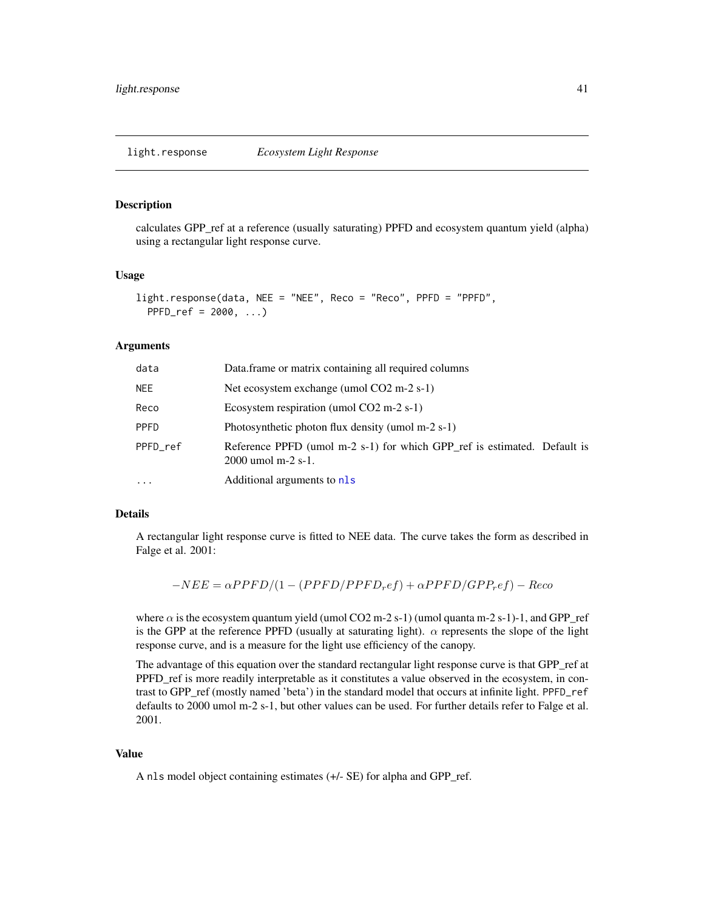light.response *Ecosystem Light Response*

#### **Description**

calculates GPP\_ref at a reference (usually saturating) PPFD and ecosystem quantum yield (alpha) using a rectangular light response curve.

#### Usage

```
light.response(data, NEE = "NEE", Reco = "Reco", PPFD = "PPFD",
 PPFD_ref = 2000, ...
```
#### Arguments

| data     | Data.frame or matrix containing all required columns                                             |
|----------|--------------------------------------------------------------------------------------------------|
| NEE.     | Net ecosystem exchange (umol CO2 m-2 s-1)                                                        |
| Reco     | Ecosystem respiration (umol $CO2$ m-2 s-1)                                                       |
| PPFD     | Photosynthetic photon flux density (umol m-2 s-1)                                                |
| PPFD ref | Reference PPFD (umol m-2 s-1) for which GPP ref is estimated. Default is<br>$2000$ umol m-2 s-1. |
| .        | Additional arguments to nls                                                                      |

# Details

A rectangular light response curve is fitted to NEE data. The curve takes the form as described in Falge et al. 2001:

 $-NEE = \alpha PPFD/(1-(PPFD/PPFD_ref) + \alpha PPFD/GPP_ref) - Reco$ 

where  $\alpha$  is the ecosystem quantum yield (umol CO2 m-2 s-1) (umol quanta m-2 s-1)-1, and GPP\_ref is the GPP at the reference PPFD (usually at saturating light).  $\alpha$  represents the slope of the light response curve, and is a measure for the light use efficiency of the canopy.

The advantage of this equation over the standard rectangular light response curve is that GPP\_ref at PPFD\_ref is more readily interpretable as it constitutes a value observed in the ecosystem, in contrast to GPP\_ref (mostly named 'beta') in the standard model that occurs at infinite light. PPFD\_ref defaults to 2000 umol m-2 s-1, but other values can be used. For further details refer to Falge et al. 2001.

# Value

A nls model object containing estimates (+/- SE) for alpha and GPP\_ref.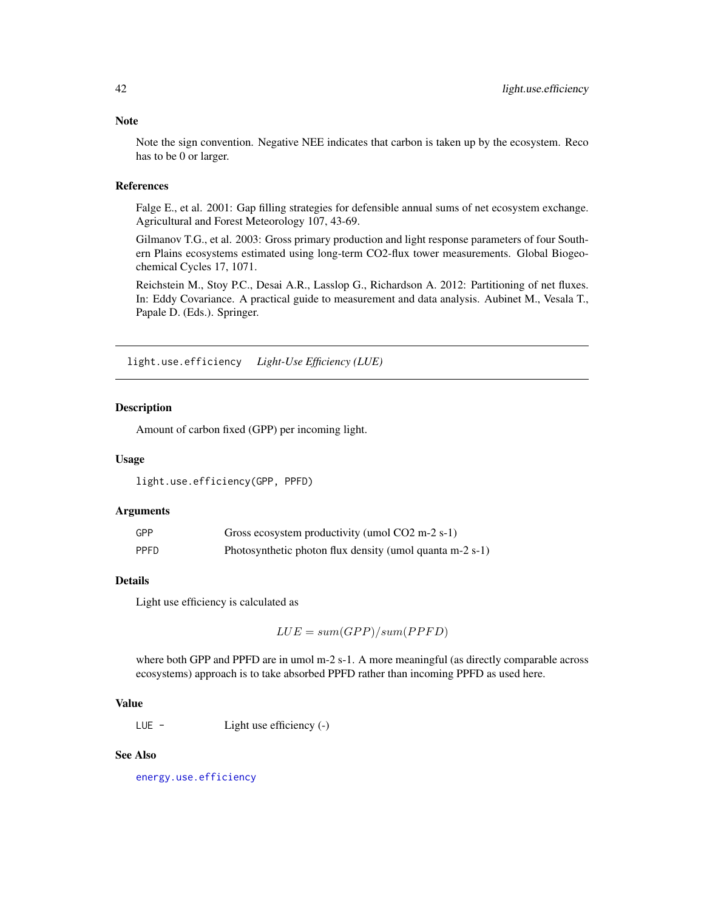Note the sign convention. Negative NEE indicates that carbon is taken up by the ecosystem. Reco has to be 0 or larger.

#### References

Falge E., et al. 2001: Gap filling strategies for defensible annual sums of net ecosystem exchange. Agricultural and Forest Meteorology 107, 43-69.

Gilmanov T.G., et al. 2003: Gross primary production and light response parameters of four Southern Plains ecosystems estimated using long-term CO2-flux tower measurements. Global Biogeochemical Cycles 17, 1071.

Reichstein M., Stoy P.C., Desai A.R., Lasslop G., Richardson A. 2012: Partitioning of net fluxes. In: Eddy Covariance. A practical guide to measurement and data analysis. Aubinet M., Vesala T., Papale D. (Eds.). Springer.

light.use.efficiency *Light-Use Efficiency (LUE)*

#### **Description**

Amount of carbon fixed (GPP) per incoming light.

#### Usage

light.use.efficiency(GPP, PPFD)

#### Arguments

| GPP         | Gross ecosystem productivity (umol CO2 m-2 s-1)          |
|-------------|----------------------------------------------------------|
| <b>PPFD</b> | Photosynthetic photon flux density (umol quanta m-2 s-1) |

#### Details

Light use efficiency is calculated as

 $LUE = sum(GPP)/sum(PPFD)$ 

where both GPP and PPFD are in umol m-2 s-1. A more meaningful (as directly comparable across ecosystems) approach is to take absorbed PPFD rather than incoming PPFD as used here.

#### Value

LUE - Light use efficiency (-)

#### See Also

[energy.use.efficiency](#page-18-0)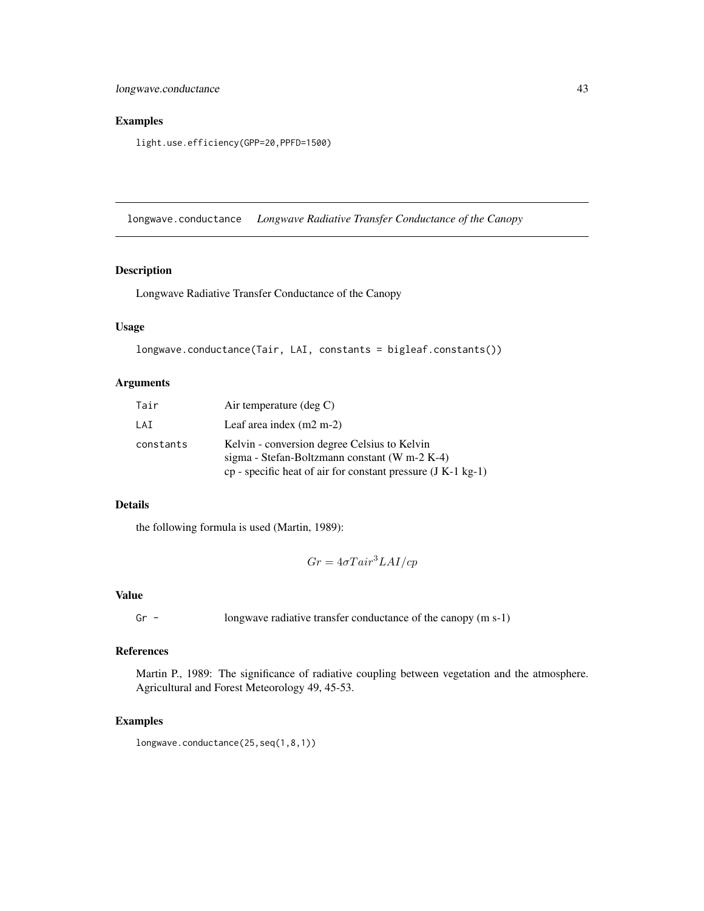# Examples

light.use.efficiency(GPP=20,PPFD=1500)

longwave.conductance *Longwave Radiative Transfer Conductance of the Canopy*

# Description

Longwave Radiative Transfer Conductance of the Canopy

# Usage

```
longwave.conductance(Tair, LAI, constants = bigleaf.constants())
```
## Arguments

| Tair      | Air temperature $(\text{deg } C)$                                                                                                                               |
|-----------|-----------------------------------------------------------------------------------------------------------------------------------------------------------------|
| LAI       | Leaf area index $(m2 m-2)$                                                                                                                                      |
| constants | Kelvin - conversion degree Celsius to Kelvin<br>sigma - Stefan-Boltzmann constant (W m-2 K-4)<br>$cp$ - specific heat of air for constant pressure (J K-1 kg-1) |

#### Details

the following formula is used (Martin, 1989):

$$
Gr = 4\sigma T air^3 L A I / cp
$$

## Value

Gr - longwave radiative transfer conductance of the canopy (m s-1)

# References

Martin P., 1989: The significance of radiative coupling between vegetation and the atmosphere. Agricultural and Forest Meteorology 49, 45-53.

# Examples

longwave.conductance(25,seq(1,8,1))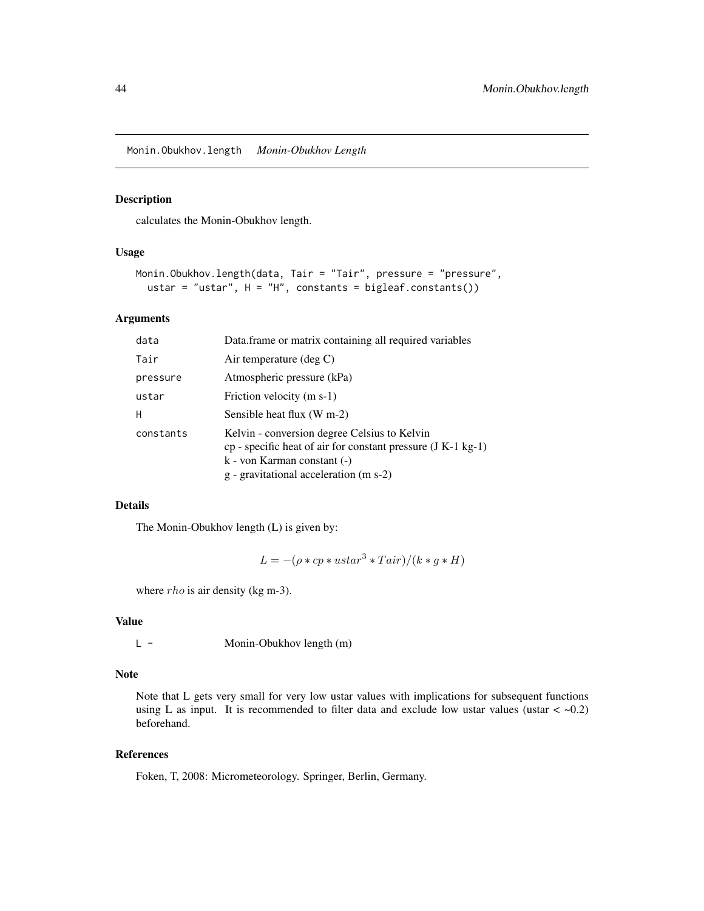<span id="page-43-0"></span>Monin.Obukhov.length *Monin-Obukhov Length*

## Description

calculates the Monin-Obukhov length.

## Usage

```
Monin.Obukhov.length(data, Tair = "Tair", pressure = "pressure",
 ustar = "ustar", H = "H", constants = bigleaf.constants())
```
#### Arguments

| data      | Data.frame or matrix containing all required variables                                                                                                                                  |
|-----------|-----------------------------------------------------------------------------------------------------------------------------------------------------------------------------------------|
| Tair      | Air temperature $(\text{deg } C)$                                                                                                                                                       |
| pressure  | Atmospheric pressure (kPa)                                                                                                                                                              |
| ustar     | Friction velocity (m s-1)                                                                                                                                                               |
| H         | Sensible heat flux (W m-2)                                                                                                                                                              |
| constants | Kelvin - conversion degree Celsius to Kelvin<br>$cp$ - specific heat of air for constant pressure (J K-1 kg-1)<br>k - von Karman constant (-)<br>g - gravitational acceleration (m s-2) |

# Details

The Monin-Obukhov length (L) is given by:

$$
L = -(\rho * cp * ustar^3 * Tair)/(k * g * H)
$$

where *rho* is air density (kg m-3).

#### Value

L - Monin-Obukhov length (m)

#### Note

Note that L gets very small for very low ustar values with implications for subsequent functions using L as input. It is recommended to filter data and exclude low ustar values (ustar  $\langle \sim 0.2 \rangle$ ) beforehand.

# References

Foken, T, 2008: Micrometeorology. Springer, Berlin, Germany.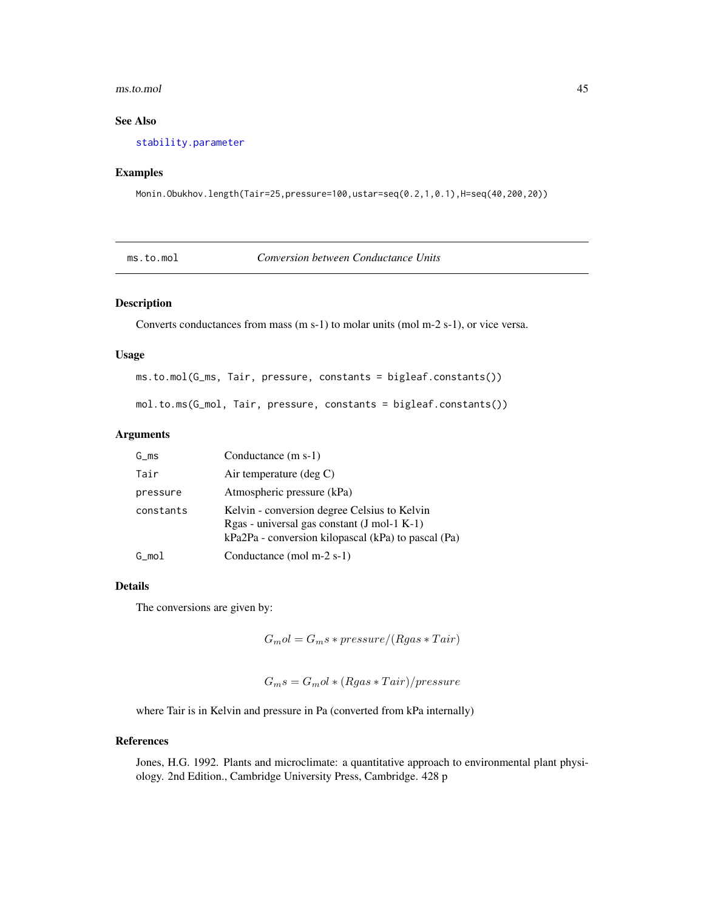#### ms.to.mol 45

# See Also

[stability.parameter](#page-62-0)

#### Examples

Monin.Obukhov.length(Tair=25,pressure=100,ustar=seq(0.2,1,0.1),H=seq(40,200,20))

|  | ms.to.mol |
|--|-----------|

**Conversion between Conductance Units** 

# Description

Converts conductances from mass (m s-1) to molar units (mol m-2 s-1), or vice versa.

#### Usage

ms.to.mol(G\_ms, Tair, pressure, constants = bigleaf.constants())

mol.to.ms(G\_mol, Tair, pressure, constants = bigleaf.constants())

#### Arguments

| G ms      | Conductance (m s-1)                                                                                                                                  |
|-----------|------------------------------------------------------------------------------------------------------------------------------------------------------|
| Tair      | Air temperature $(\text{deg } C)$                                                                                                                    |
| pressure  | Atmospheric pressure (kPa)                                                                                                                           |
| constants | Kelvin - conversion degree Celsius to Kelvin<br>$Rgas - universal gas constant (J mol-1 K-1)$<br>kPa2Pa - conversion kilopascal (kPa) to pascal (Pa) |
| G mol     | Conductance (mol m-2 s-1)                                                                                                                            |

#### Details

The conversions are given by:

 $G_{m}ol = G_{m}s * pressure/(Rgas * Tair)$ 

 $G_m s = G_m o l * (Rgas * Tair)/pressure$ 

where Tair is in Kelvin and pressure in Pa (converted from kPa internally)

# References

Jones, H.G. 1992. Plants and microclimate: a quantitative approach to environmental plant physiology. 2nd Edition., Cambridge University Press, Cambridge. 428 p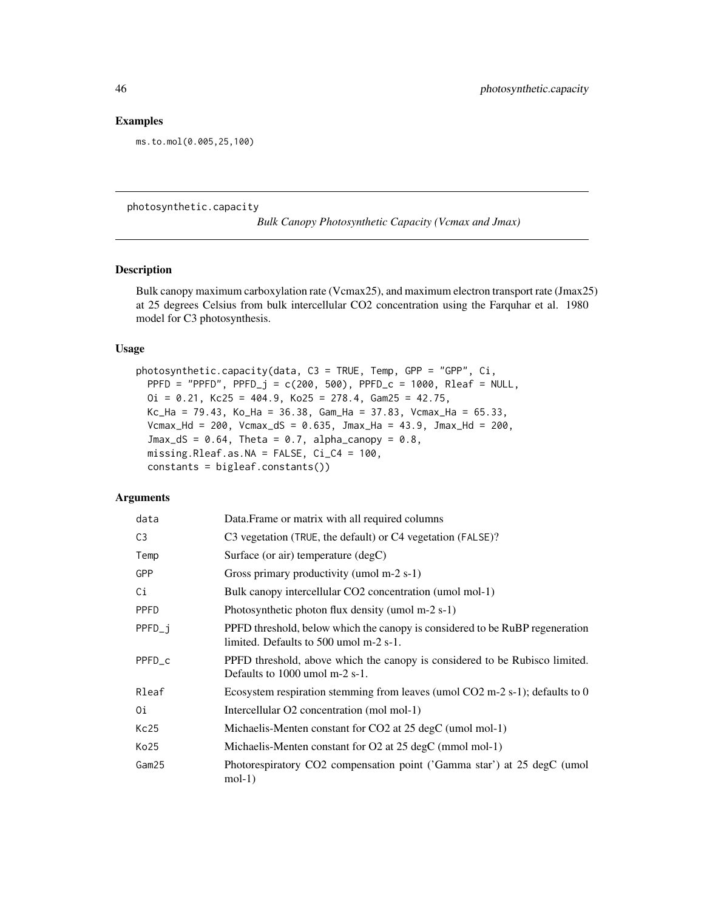#### Examples

ms.to.mol(0.005,25,100)

photosynthetic.capacity

*Bulk Canopy Photosynthetic Capacity (Vcmax and Jmax)*

# Description

Bulk canopy maximum carboxylation rate (Vcmax25), and maximum electron transport rate (Jmax25) at 25 degrees Celsius from bulk intercellular CO2 concentration using the Farquhar et al. 1980 model for C3 photosynthesis.

# Usage

photosynthetic.capacity(data, C3 = TRUE, Temp, GPP = "GPP", Ci, PPFD = "PPFD",  $PPFD_j = c(200, 500)$ ,  $PPFD_c = 1000$ ,  $Rleaf = NULL$ ,  $0i = 0.21$ , Kc25 = 404.9, Ko25 = 278.4, Gam25 = 42.75, Kc\_Ha = 79.43, Ko\_Ha = 36.38, Gam\_Ha = 37.83, Vcmax\_Ha = 65.33, Vcmax\_Hd = 200, Vcmax\_dS = 0.635, Jmax\_Ha = 43.9, Jmax\_Hd = 200,  $Jmax_dS = 0.64$ , Theta = 0.7, alpha\_canopy = 0.8, missing.Rleaf.as.NA = FALSE, Ci\_C4 = 100, constants = bigleaf.constants())

| data           | Data. Frame or matrix with all required columns                                                                        |
|----------------|------------------------------------------------------------------------------------------------------------------------|
| C <sub>3</sub> | C3 vegetation (TRUE, the default) or C4 vegetation (FALSE)?                                                            |
| Temp           | Surface (or air) temperature $(\text{deg} C)$                                                                          |
| GPP            | Gross primary productivity (umol m-2 s-1)                                                                              |
| Сi             | Bulk canopy intercellular CO2 concentration (umol mol-1)                                                               |
| <b>PPFD</b>    | Photosynthetic photon flux density (umol $m-2$ s-1)                                                                    |
| PPFD_j         | PPFD threshold, below which the canopy is considered to be RuBP regeneration<br>limited. Defaults to 500 umol m-2 s-1. |
| PPFD_c         | PPFD threshold, above which the canopy is considered to be Rubisco limited.<br>Defaults to $1000$ umol m-2 s-1.        |
| Rleaf          | Ecosystem respiration stemming from leaves (umol $CO2$ m-2 s-1); defaults to 0                                         |
| 0i             | Intercellular O2 concentration (mol mol-1)                                                                             |
| Kc25           | Michaelis-Menten constant for CO2 at 25 degC (umol mol-1)                                                              |
| Ko25           | Michaelis-Menten constant for $O2$ at 25 degC (mmol mol-1)                                                             |
| Gam25          | Photorespiratory CO2 compensation point ('Gamma star') at 25 degC (umol<br>$mol-1)$                                    |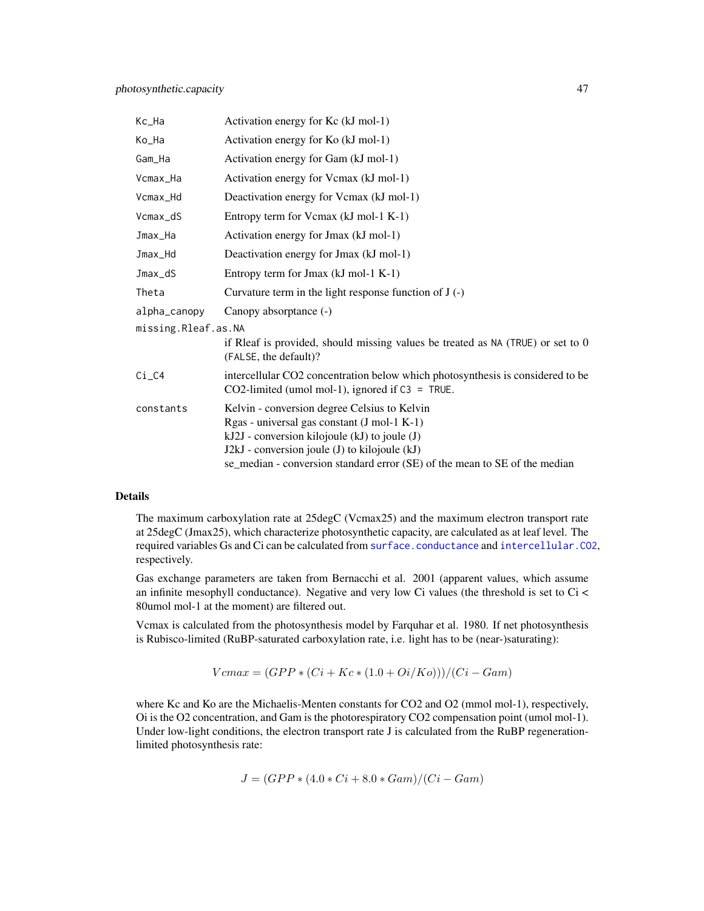| Kc_Ha               | Activation energy for Kc (kJ mol-1)                                                                                                                                                                                                                                         |
|---------------------|-----------------------------------------------------------------------------------------------------------------------------------------------------------------------------------------------------------------------------------------------------------------------------|
| Ko_Ha               | Activation energy for Ko (kJ mol-1)                                                                                                                                                                                                                                         |
| Gam_Ha              | Activation energy for Gam (kJ mol-1)                                                                                                                                                                                                                                        |
| Vcmax_Ha            | Activation energy for Vcmax (kJ mol-1)                                                                                                                                                                                                                                      |
| Vcmax_Hd            | Deactivation energy for Vcmax (kJ mol-1)                                                                                                                                                                                                                                    |
| Vcmax_dS            | Entropy term for Vcmax (kJ mol-1 K-1)                                                                                                                                                                                                                                       |
| Jmax_Ha             | Activation energy for Jmax (kJ mol-1)                                                                                                                                                                                                                                       |
| Jmax_Hd             | Deactivation energy for Jmax (kJ mol-1)                                                                                                                                                                                                                                     |
| Jmax_dS             | Entropy term for Jmax (kJ mol-1 K-1)                                                                                                                                                                                                                                        |
| Theta               | Curvature term in the light response function of $J(-)$                                                                                                                                                                                                                     |
| alpha_canopy        | Canopy absorptance (-)                                                                                                                                                                                                                                                      |
| missing.Rleaf.as.NA |                                                                                                                                                                                                                                                                             |
|                     | if Rleaf is provided, should missing values be treated as $NA$ (TRUE) or set to $0$<br>(FALSE, the default)?                                                                                                                                                                |
| $Ci_C4$             | intercellular CO2 concentration below which photosynthesis is considered to be<br>CO2-limited (umol mol-1), ignored if $C3 = TRUE$ .                                                                                                                                        |
| constants           | Kelvin - conversion degree Celsius to Kelvin<br>Rgas - universal gas constant (J mol-1 K-1)<br>kJ2J - conversion kilojoule (kJ) to joule (J)<br>J2kJ - conversion joule (J) to kilojoule (kJ)<br>se_median - conversion standard error (SE) of the mean to SE of the median |

The maximum carboxylation rate at 25degC (Vcmax25) and the maximum electron transport rate at 25degC (Jmax25), which characterize photosynthetic capacity, are calculated as at leaf level. The required variables Gs and Ci can be calculated from [surface.conductance](#page-71-0) and [intercellular.CO2](#page-34-0), respectively.

Gas exchange parameters are taken from Bernacchi et al. 2001 (apparent values, which assume an infinite mesophyll conductance). Negative and very low Ci values (the threshold is set to Ci < 80umol mol-1 at the moment) are filtered out.

Vcmax is calculated from the photosynthesis model by Farquhar et al. 1980. If net photosynthesis is Rubisco-limited (RuBP-saturated carboxylation rate, i.e. light has to be (near-)saturating):

$$
Vcmax = (GPP * (Ci + Kc * (1.0 + Oi/Ko)))/(Ci - Gam)
$$

where Kc and Ko are the Michaelis-Menten constants for CO2 and O2 (mmol mol-1), respectively, Oi is the O2 concentration, and Gam is the photorespiratory CO2 compensation point (umol mol-1). Under low-light conditions, the electron transport rate J is calculated from the RuBP regenerationlimited photosynthesis rate:

$$
J = (GPP * (4.0 * Ci + 8.0 * Gam)/(Ci - Gam)
$$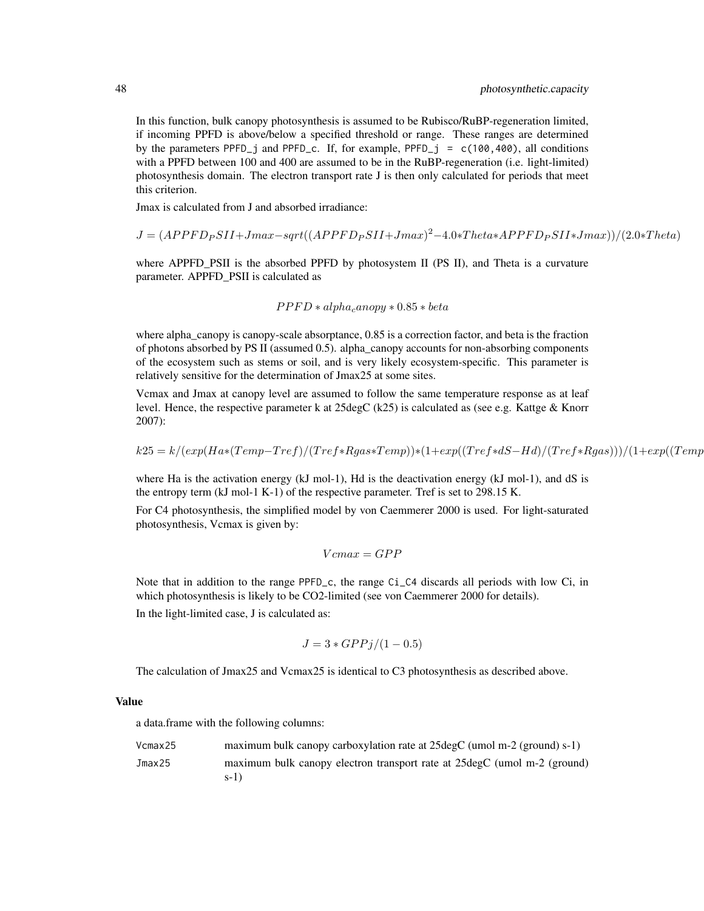In this function, bulk canopy photosynthesis is assumed to be Rubisco/RuBP-regeneration limited, if incoming PPFD is above/below a specified threshold or range. These ranges are determined by the parameters PPFD<sub>-1</sub> and PPFD<sub>-c</sub>. If, for example, PPFD<sub>-1</sub> = c(100,400), all conditions with a PPFD between 100 and 400 are assumed to be in the RuBP-regeneration (i.e. light-limited) photosynthesis domain. The electron transport rate J is then only calculated for periods that meet this criterion.

Jmax is calculated from J and absorbed irradiance:

$$
J = (APPF D_{P} S II + J max - sqrt((APPF D_{P} S II + J max)^{2} - 4.0 * The tax APP F D_{P} S II * J max))/(2.0 * The tan)
$$

where APPFD\_PSII is the absorbed PPFD by photosystem II (PS II), and Theta is a curvature parameter. APPFD\_PSII is calculated as

$$
PPFD * alpha_{c}anopy * 0.85 * beta
$$

where alpha\_canopy is canopy-scale absorptance, 0.85 is a correction factor, and beta is the fraction of photons absorbed by PS II (assumed 0.5). alpha\_canopy accounts for non-absorbing components of the ecosystem such as stems or soil, and is very likely ecosystem-specific. This parameter is relatively sensitive for the determination of Jmax25 at some sites.

Vcmax and Jmax at canopy level are assumed to follow the same temperature response as at leaf level. Hence, the respective parameter k at 25degC (k25) is calculated as (see e.g. Kattge & Knorr 2007):

$$
k25 = k/(exp(Ha*(Temp-Tref)/(Tref*Rgas*Temp))*(1+exp((Tref*dS-Hd)/(Tref*Rgas)))/(1+exp((TempDf*Rgs))
$$

where Ha is the activation energy (kJ mol-1), Hd is the deactivation energy (kJ mol-1), and dS is the entropy term (kJ mol-1 K-1) of the respective parameter. Tref is set to 298.15 K.

For C4 photosynthesis, the simplified model by von Caemmerer 2000 is used. For light-saturated photosynthesis, Vcmax is given by:

$$
Vcmax=GPP
$$

Note that in addition to the range PPFD<sub>-C</sub>, the range Ci<sub>-</sub>C4 discards all periods with low Ci, in which photosynthesis is likely to be CO2-limited (see von Caemmerer 2000 for details).

In the light-limited case, J is calculated as:

$$
J = 3 \cdot GPPj/(1 - 0.5)
$$

The calculation of Jmax25 and Vcmax25 is identical to C3 photosynthesis as described above.

# Value

a data.frame with the following columns:

| Vcmax25 | maximum bulk can opy carboxylation rate at $25 \text{deg} C$ (umol m-2 (ground) s-1) |
|---------|--------------------------------------------------------------------------------------|
| Jmax25  | maximum bulk canopy electron transport rate at 25 degC (umol m-2 (ground)<br>$s-1$   |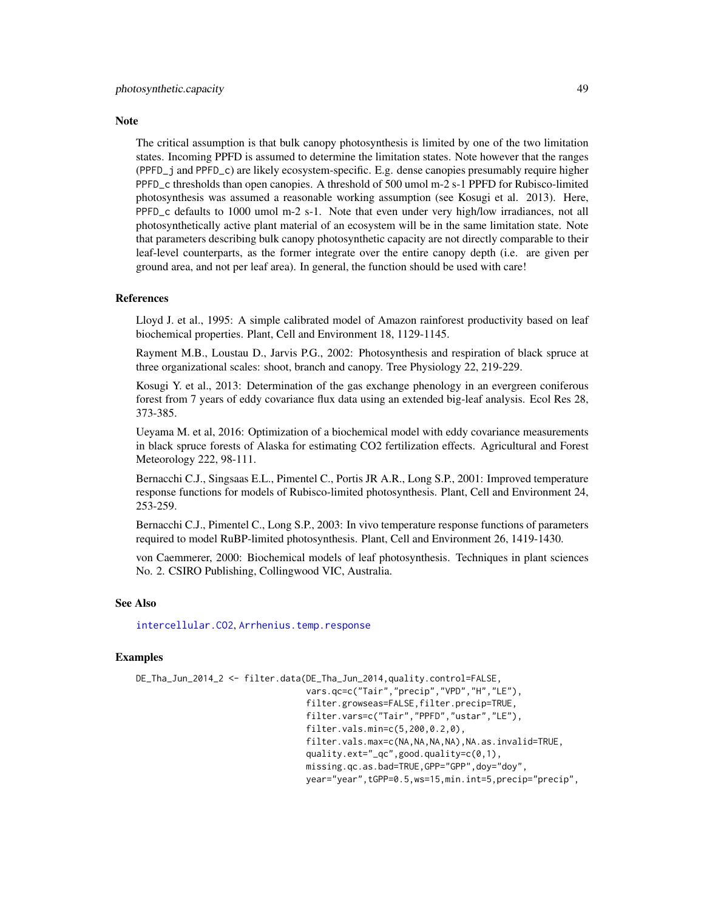#### **Note**

The critical assumption is that bulk canopy photosynthesis is limited by one of the two limitation states. Incoming PPFD is assumed to determine the limitation states. Note however that the ranges (PPFD\_j and PPFD\_c) are likely ecosystem-specific. E.g. dense canopies presumably require higher PPFD\_c thresholds than open canopies. A threshold of 500 umol m-2 s-1 PPFD for Rubisco-limited photosynthesis was assumed a reasonable working assumption (see Kosugi et al. 2013). Here, PPFD\_c defaults to 1000 umol m-2 s-1. Note that even under very high/low irradiances, not all photosynthetically active plant material of an ecosystem will be in the same limitation state. Note that parameters describing bulk canopy photosynthetic capacity are not directly comparable to their leaf-level counterparts, as the former integrate over the entire canopy depth (i.e. are given per ground area, and not per leaf area). In general, the function should be used with care!

# References

Lloyd J. et al., 1995: A simple calibrated model of Amazon rainforest productivity based on leaf biochemical properties. Plant, Cell and Environment 18, 1129-1145.

Rayment M.B., Loustau D., Jarvis P.G., 2002: Photosynthesis and respiration of black spruce at three organizational scales: shoot, branch and canopy. Tree Physiology 22, 219-229.

Kosugi Y. et al., 2013: Determination of the gas exchange phenology in an evergreen coniferous forest from 7 years of eddy covariance flux data using an extended big-leaf analysis. Ecol Res 28, 373-385.

Ueyama M. et al, 2016: Optimization of a biochemical model with eddy covariance measurements in black spruce forests of Alaska for estimating CO2 fertilization effects. Agricultural and Forest Meteorology 222, 98-111.

Bernacchi C.J., Singsaas E.L., Pimentel C., Portis JR A.R., Long S.P., 2001: Improved temperature response functions for models of Rubisco-limited photosynthesis. Plant, Cell and Environment 24, 253-259.

Bernacchi C.J., Pimentel C., Long S.P., 2003: In vivo temperature response functions of parameters required to model RuBP-limited photosynthesis. Plant, Cell and Environment 26, 1419-1430.

von Caemmerer, 2000: Biochemical models of leaf photosynthesis. Techniques in plant sciences No. 2. CSIRO Publishing, Collingwood VIC, Australia.

#### See Also

[intercellular.CO2](#page-34-0), [Arrhenius.temp.response](#page-7-0)

#### Examples

```
DE_Tha_Jun_2014_2 <- filter.data(DE_Tha_Jun_2014,quality.control=FALSE,
                                 vars.qc=c("Tair","precip","VPD","H","LE"),
                                 filter.growseas=FALSE,filter.precip=TRUE,
                                 filter.vars=c("Tair","PPFD","ustar","LE"),
                                 filter.vals.min=c(5,200,0.2,0),
                                 filter.vals.max=c(NA,NA,NA,NA),NA.as.invalid=TRUE,
                                 quality.ext="_qc",good.quality=c(0,1),
                                 missing.qc.as.bad=TRUE,GPP="GPP",doy="doy",
                                 year="year",tGPP=0.5,ws=15,min.int=5,precip="precip",
```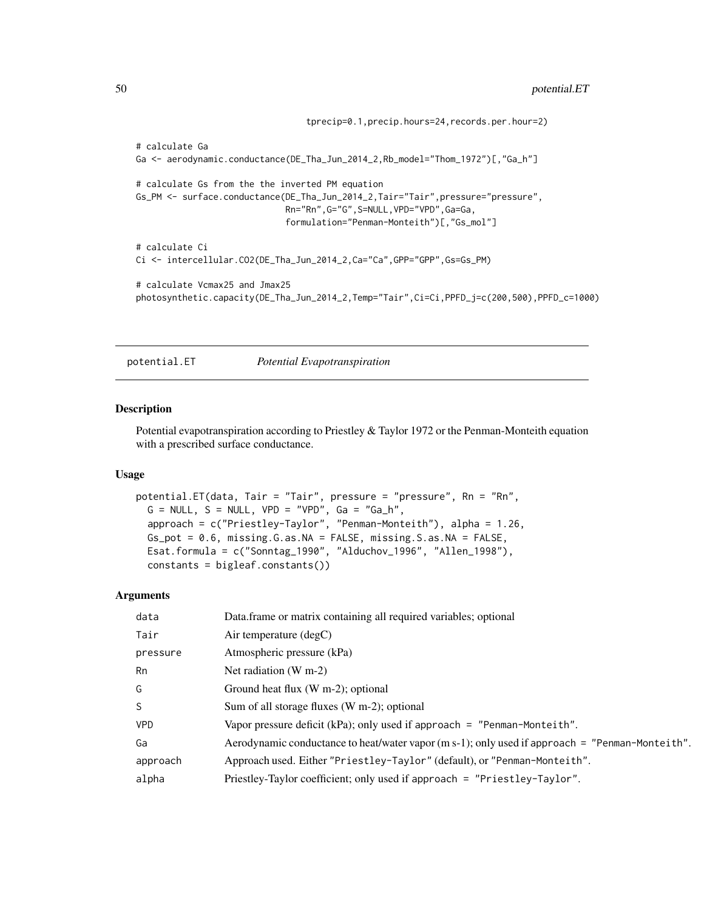```
tprecip=0.1,precip.hours=24,records.per.hour=2)
# calculate Ga
Ga <- aerodynamic.conductance(DE_Tha_Jun_2014_2,Rb_model="Thom_1972")[,"Ga_h"]
# calculate Gs from the the inverted PM equation
Gs_PM <- surface.conductance(DE_Tha_Jun_2014_2,Tair="Tair",pressure="pressure",
                             Rn="Rn",G="G",S=NULL,VPD="VPD",Ga=Ga,
                             formulation="Penman-Monteith")[,"Gs_mol"]
# calculate Ci
Ci <- intercellular.CO2(DE_Tha_Jun_2014_2,Ca="Ca",GPP="GPP",Gs=Gs_PM)
# calculate Vcmax25 and Jmax25
photosynthetic.capacity(DE_Tha_Jun_2014_2,Temp="Tair",Ci=Ci,PPFD_j=c(200,500),PPFD_c=1000)
```
potential.ET *Potential Evapotranspiration*

#### Description

Potential evapotranspiration according to Priestley & Taylor 1972 or the Penman-Monteith equation with a prescribed surface conductance.

# Usage

```
potential.ET(data, Tair = "Tair", pressure = "pressure", Rn = "Rn",
 G = NULL, S = NULL, VPD = "VPD", Ga = "Ga_h",approach = c("Priestley-Taylor", "Penman-Monteith"), alpha = 1.26,
 Gs_pot = 0.6, missing.G.as.NA = FALSE, missing.S.as.NA = FALSE,
 Esat.formula = c("Sonntag_1990", "Alduchov_1996", "Allen_1998"),
  constants = bigleaf.constants())
```

| data       | Data.frame or matrix containing all required variables; optional                                |
|------------|-------------------------------------------------------------------------------------------------|
| Tair       | Air temperature $(\text{deg}C)$                                                                 |
| pressure   | Atmospheric pressure (kPa)                                                                      |
| Rn         | Net radiation $(W m-2)$                                                                         |
| G          | Ground heat flux $(W m-2)$ ; optional                                                           |
| S          | Sum of all storage fluxes (W m-2); optional                                                     |
| <b>VPD</b> | Vapor pressure deficit (kPa); only used if approach = "Penman-Monteith".                        |
| Ga         | Aerodynamic conductance to heat/water vapor (m s-1); only used if approach = "Penman-Monteith". |
| approach   | Approach used. Either "Priestley-Taylor" (default), or "Penman-Monteith".                       |
| alpha      | Priestley-Taylor coefficient; only used if approach = "Priestley-Taylor".                       |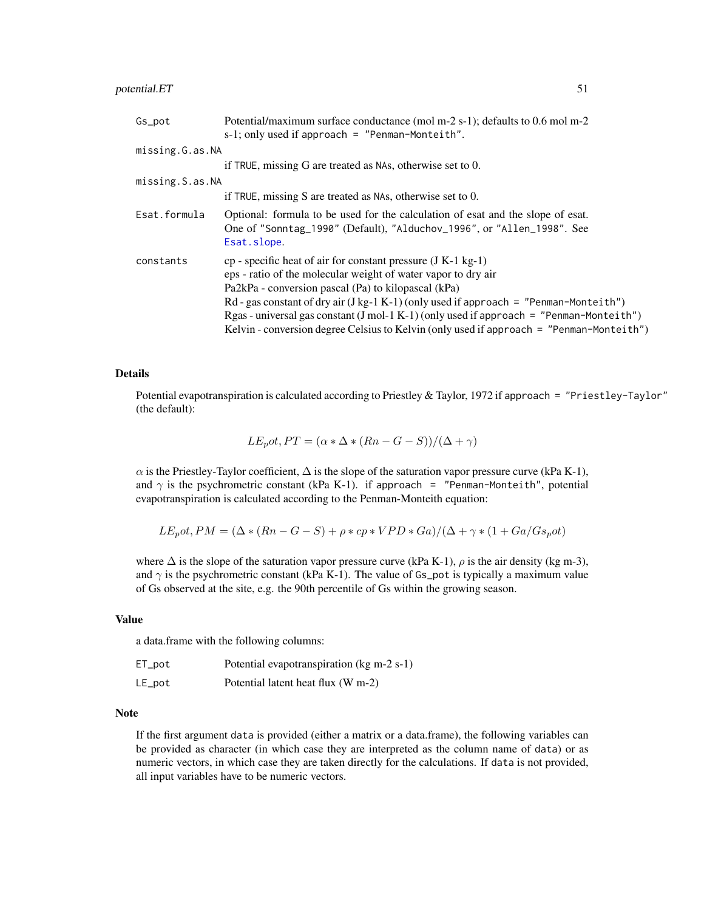# potential.ET 51

| Gs_pot          | Potential/maximum surface conductance (mol m-2 s-1); defaults to 0.6 mol m-2<br>$s-1$ ; only used if approach = "Penman-Monteith".                                                                                                                                                                                                                                                                                                                                       |
|-----------------|--------------------------------------------------------------------------------------------------------------------------------------------------------------------------------------------------------------------------------------------------------------------------------------------------------------------------------------------------------------------------------------------------------------------------------------------------------------------------|
| missing.G.as.NA |                                                                                                                                                                                                                                                                                                                                                                                                                                                                          |
|                 | if TRUE, missing G are treated as NAs, otherwise set to 0.                                                                                                                                                                                                                                                                                                                                                                                                               |
| missing.S.as.NA |                                                                                                                                                                                                                                                                                                                                                                                                                                                                          |
|                 | if TRUE, missing S are treated as NAs, otherwise set to $0$ .                                                                                                                                                                                                                                                                                                                                                                                                            |
| Esat.formula    | Optional: formula to be used for the calculation of esat and the slope of esat.<br>One of "Sonntag_1990" (Default), "Alduchov_1996", or "Allen_1998". See<br>Esat.slope.                                                                                                                                                                                                                                                                                                 |
| constants       | $cp$ - specific heat of air for constant pressure (J K-1 kg-1)<br>eps - ratio of the molecular weight of water vapor to dry air<br>Pa2kPa - conversion pascal (Pa) to kilopascal (kPa)<br>Rd - gas constant of dry air $(J kg-1 K-1)$ (only used if approach = "Penman-Monteith")<br>Rgas - universal gas constant (J mol-1 K-1) (only used if approach = "Penman-Monteith")<br>Kelvin - conversion degree Celsius to Kelvin (only used if approach = "Penman-Monteith") |

## Details

Potential evapotranspiration is calculated according to Priestley & Taylor, 1972 if approach = "Priestley-Taylor" (the default):

$$
LEpot, PT = (\alpha * \Delta * (Rn - G - S))/(\Delta + \gamma)
$$

 $\alpha$  is the Priestley-Taylor coefficient,  $\Delta$  is the slope of the saturation vapor pressure curve (kPa K-1), and  $\gamma$  is the psychrometric constant (kPa K-1). if approach = "Penman-Monteith", potential evapotranspiration is calculated according to the Penman-Monteith equation:

$$
LE_{p}ot, PM = (\Delta * (Rn - G - S) + \rho * cp * VPD * Ga)/(\Delta + \gamma * (1 + Ga/Gs_{p}ot))
$$

where  $\Delta$  is the slope of the saturation vapor pressure curve (kPa K-1),  $\rho$  is the air density (kg m-3), and  $\gamma$  is the psychrometric constant (kPa K-1). The value of Gs\_pot is typically a maximum value of Gs observed at the site, e.g. the 90th percentile of Gs within the growing season.

#### Value

a data.frame with the following columns:

| ET_pot | Potential evapotranspiration (kg m-2 s-1) |
|--------|-------------------------------------------|
| LE_pot | Potential latent heat flux (W m-2)        |

#### Note

If the first argument data is provided (either a matrix or a data.frame), the following variables can be provided as character (in which case they are interpreted as the column name of data) or as numeric vectors, in which case they are taken directly for the calculations. If data is not provided, all input variables have to be numeric vectors.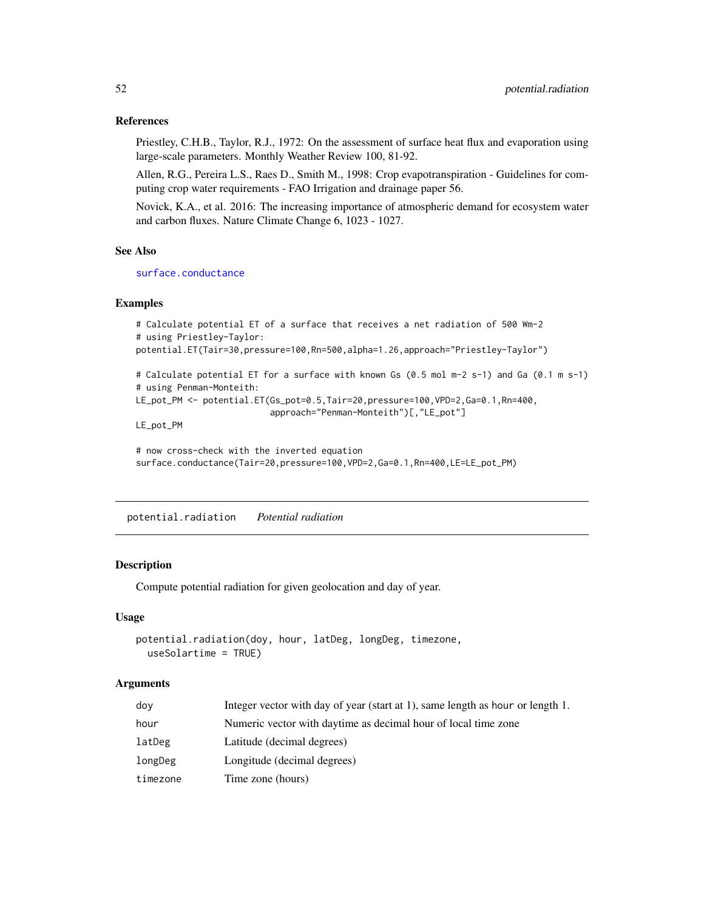#### References

Priestley, C.H.B., Taylor, R.J., 1972: On the assessment of surface heat flux and evaporation using large-scale parameters. Monthly Weather Review 100, 81-92.

Allen, R.G., Pereira L.S., Raes D., Smith M., 1998: Crop evapotranspiration - Guidelines for computing crop water requirements - FAO Irrigation and drainage paper 56.

Novick, K.A., et al. 2016: The increasing importance of atmospheric demand for ecosystem water and carbon fluxes. Nature Climate Change 6, 1023 - 1027.

#### See Also

[surface.conductance](#page-71-0)

#### Examples

```
# Calculate potential ET of a surface that receives a net radiation of 500 Wm-2
# using Priestley-Taylor:
potential.ET(Tair=30,pressure=100,Rn=500,alpha=1.26,approach="Priestley-Taylor")
# Calculate potential ET for a surface with known Gs (0.5 mol m-2 s-1) and Ga (0.1 m s-1)
# using Penman-Monteith:
LE_pot_PM <- potential.ET(Gs_pot=0.5,Tair=20,pressure=100,VPD=2,Ga=0.1,Rn=400,
                          approach="Penman-Monteith")[,"LE_pot"]
```
LE\_pot\_PM

```
# now cross-check with the inverted equation
surface.conductance(Tair=20,pressure=100,VPD=2,Ga=0.1,Rn=400,LE=LE_pot_PM)
```
potential.radiation *Potential radiation*

# Description

Compute potential radiation for given geolocation and day of year.

#### Usage

```
potential.radiation(doy, hour, latDeg, longDeg, timezone,
 useSolartime = TRUE)
```

| dov      | Integer vector with day of year (start at 1), same length as hour or length 1. |
|----------|--------------------------------------------------------------------------------|
| hour     | Numeric vector with daytime as decimal hour of local time zone                 |
| latDeg   | Latitude (decimal degrees)                                                     |
| longDeg  | Longitude (decimal degrees)                                                    |
| timezone | Time zone (hours)                                                              |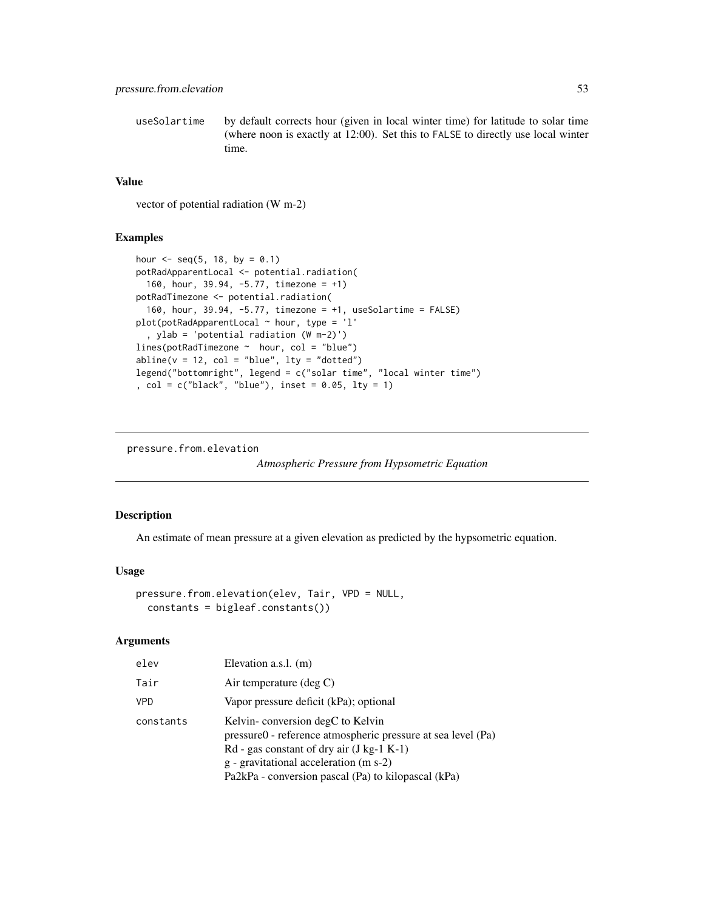useSolartime by default corrects hour (given in local winter time) for latitude to solar time (where noon is exactly at 12:00). Set this to FALSE to directly use local winter time.

## Value

vector of potential radiation (W m-2)

#### Examples

```
hour \leq - seq(5, 18, by = 0.1)
potRadApparentLocal <- potential.radiation(
  160, hour, 39.94, -5.77, timezone = +1)
potRadTimezone <- potential.radiation(
  160, hour, 39.94, -5.77, timezone = +1, useSolartime = FALSE)
plot(potRadApparentLocal ~ hour, type = 'l'
  , ylab = 'potential radiation (W m-2)')
lines(potRadTimezone ~ hour, col = "blue")
abline(v = 12, col = "blue", lty = "dotted")legend("bottomright", legend = c("solar time", "local winter time")
, col = c("black", "blue"), inset = 0.05, lty = 1)
```
pressure.from.elevation

*Atmospheric Pressure from Hypsometric Equation*

#### Description

An estimate of mean pressure at a given elevation as predicted by the hypsometric equation.

#### Usage

```
pressure.from.elevation(elev, Tair, VPD = NULL,
 constants = bigleaf.constants())
```

| elev       | Elevation a.s.l. (m)                                                                                                                                                                                                                             |
|------------|--------------------------------------------------------------------------------------------------------------------------------------------------------------------------------------------------------------------------------------------------|
| Tair       | Air temperature $(\text{deg } C)$                                                                                                                                                                                                                |
| <b>VPD</b> | Vapor pressure deficit (kPa); optional                                                                                                                                                                                                           |
| constants  | Kelvin-conversion degC to Kelvin<br>pressure0 - reference atmospheric pressure at sea level (Pa)<br>$Rd$ - gas constant of dry air (J kg-1 K-1)<br>g - gravitational acceleration (m s-2)<br>Pa2kPa - conversion pascal (Pa) to kilopascal (kPa) |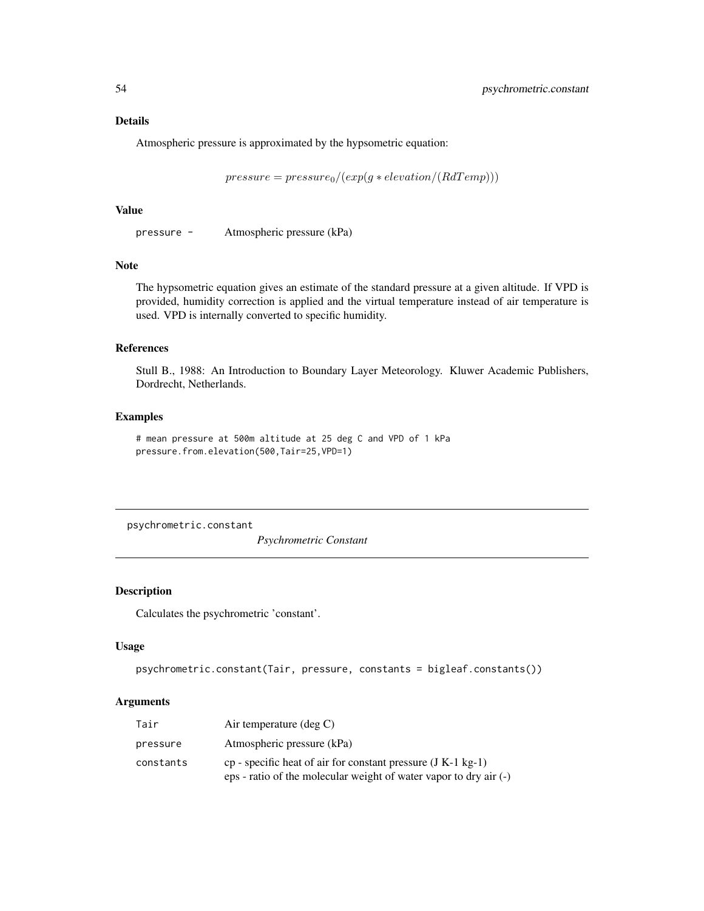Atmospheric pressure is approximated by the hypsometric equation:

 $pressure = pressure_0/(exp(g * elevation/(RdTemp)))$ 

#### Value

pressure - Atmospheric pressure (kPa)

## Note

The hypsometric equation gives an estimate of the standard pressure at a given altitude. If VPD is provided, humidity correction is applied and the virtual temperature instead of air temperature is used. VPD is internally converted to specific humidity.

# References

Stull B., 1988: An Introduction to Boundary Layer Meteorology. Kluwer Academic Publishers, Dordrecht, Netherlands.

# Examples

```
# mean pressure at 500m altitude at 25 deg C and VPD of 1 kPa
pressure.from.elevation(500,Tair=25,VPD=1)
```
psychrometric.constant

*Psychrometric Constant*

# Description

Calculates the psychrometric 'constant'.

#### Usage

```
psychrometric.constant(Tair, pressure, constants = bigleaf.constants())
```

| Tair      | Air temperature $(\text{deg } C)$                                                                                                   |
|-----------|-------------------------------------------------------------------------------------------------------------------------------------|
| pressure  | Atmospheric pressure (kPa)                                                                                                          |
| constants | cp - specific heat of air for constant pressure $(J K-1 kg-1)$<br>eps - ratio of the molecular weight of water vapor to dry air (-) |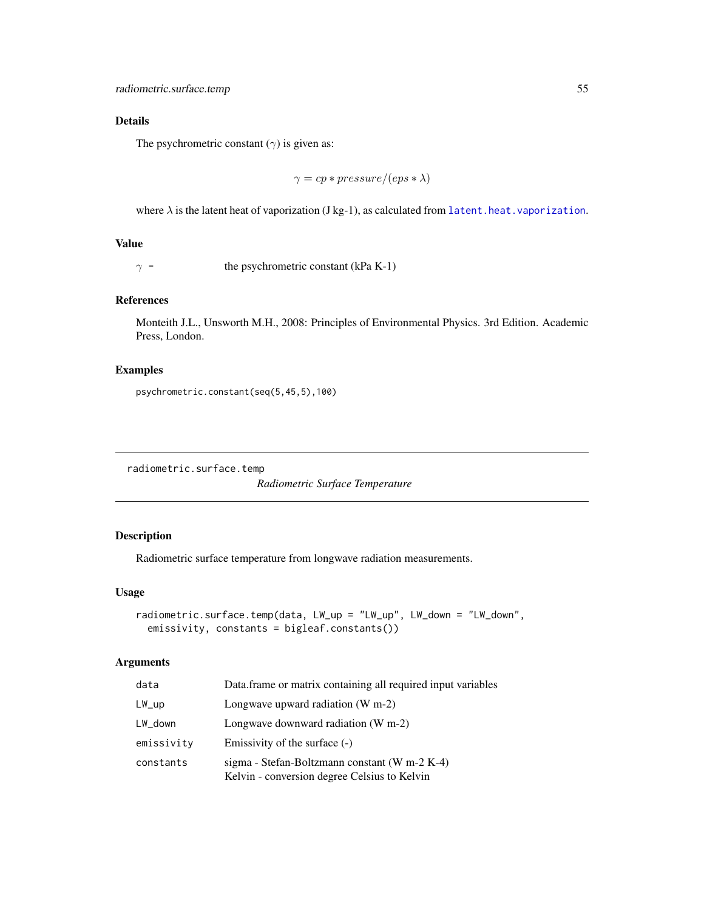The psychrometric constant  $(\gamma)$  is given as:

$$
\gamma = cp* pressure/(eps*\lambda)
$$

where  $\lambda$  is the latent heat of vaporization (J kg-1), as calculated from [latent.heat.vaporization](#page-38-0).

# Value

 $\gamma$  - the psychrometric constant (kPa K-1)

# References

Monteith J.L., Unsworth M.H., 2008: Principles of Environmental Physics. 3rd Edition. Academic Press, London.

#### Examples

psychrometric.constant(seq(5,45,5),100)

radiometric.surface.temp

*Radiometric Surface Temperature*

# Description

Radiometric surface temperature from longwave radiation measurements.

#### Usage

```
radiometric.surface.temp(data, LW_up = "LW_up", LW_down = "LW_down",
 emissivity, constants = bigleaf.constants())
```

| data            | Data.frame or matrix containing all required input variables                                  |
|-----------------|-----------------------------------------------------------------------------------------------|
| $LW_{\perp}$ up | Longwave upward radiation $(W m-2)$                                                           |
| $LW_d$ down     | Longwave downward radiation $(W m-2)$                                                         |
| emissivity      | Emissivity of the surface $(-)$                                                               |
| constants       | sigma - Stefan-Boltzmann constant (W m-2 K-4)<br>Kelvin - conversion degree Celsius to Kelvin |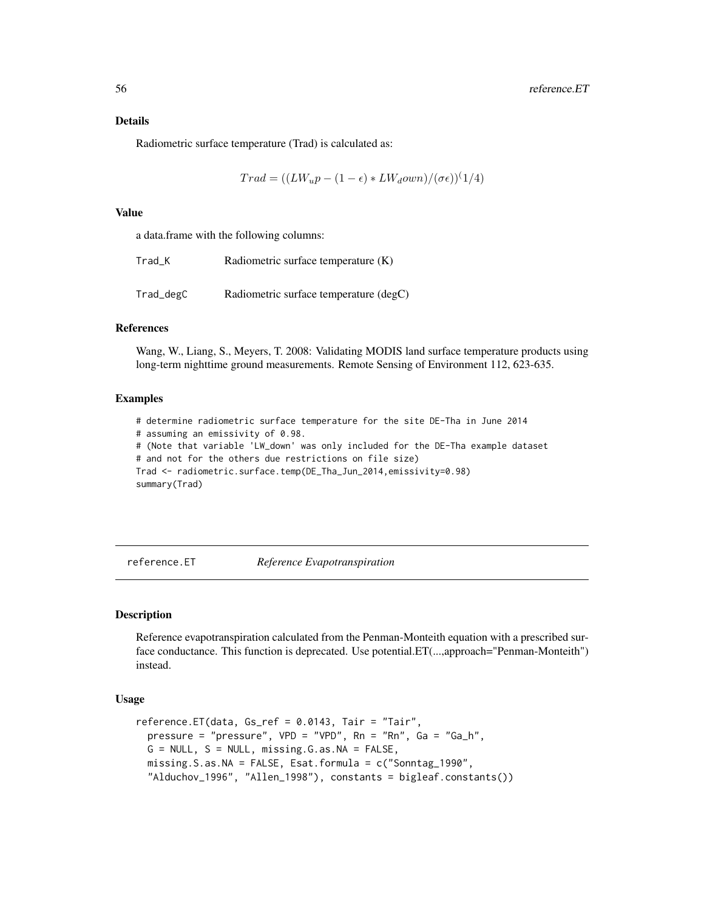Radiometric surface temperature (Trad) is calculated as:

$$
Trad = ((LW_u p - (1 - \epsilon) * LW_d own) / (\sigma \epsilon))^{(1/4)}
$$

#### Value

a data.frame with the following columns:

| Trad K    | Radiometric surface temperature (K)    |
|-----------|----------------------------------------|
| Trad_degC | Radiometric surface temperature (degC) |

# References

Wang, W., Liang, S., Meyers, T. 2008: Validating MODIS land surface temperature products using long-term nighttime ground measurements. Remote Sensing of Environment 112, 623-635.

# Examples

# determine radiometric surface temperature for the site DE-Tha in June 2014 # assuming an emissivity of 0.98. # (Note that variable 'LW\_down' was only included for the DE-Tha example dataset # and not for the others due restrictions on file size) Trad <- radiometric.surface.temp(DE\_Tha\_Jun\_2014,emissivity=0.98) summary(Trad)

reference.ET *Reference Evapotranspiration*

# **Description**

Reference evapotranspiration calculated from the Penman-Monteith equation with a prescribed surface conductance. This function is deprecated. Use potential.ET(...,approach="Penman-Monteith") instead.

## Usage

```
reference.ET(data, Gs_ref = 0.0143, Tair = "Tair",
 pressure = "pressure", VPD = "VPD", Rn = "Rn", Ga = "Ga_h",
 G = NULL, S = NULL, missing. G.aS.NA = FALSE,
 missing.S.as.NA = FALSE, Esat.formula = c("Sonntag_1990",
 "Alduchov_1996", "Allen_1998"), constants = bigleaf.constants())
```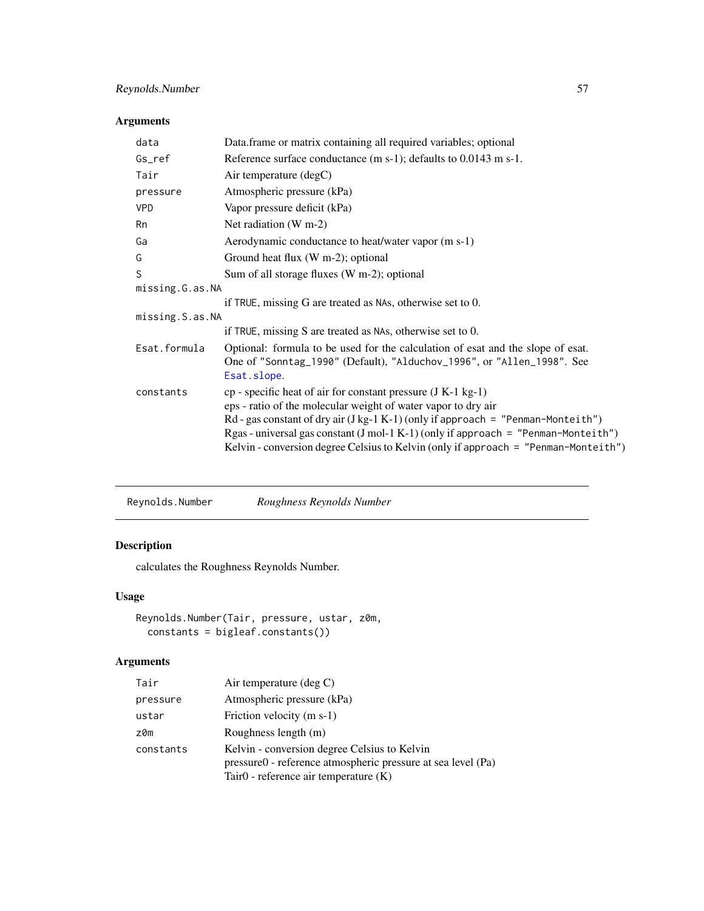# Arguments

| data            | Data.frame or matrix containing all required variables; optional                                                                                                                                                                                                                                                                                                                                             |
|-----------------|--------------------------------------------------------------------------------------------------------------------------------------------------------------------------------------------------------------------------------------------------------------------------------------------------------------------------------------------------------------------------------------------------------------|
| Gs_ref          | Reference surface conductance $(m s-1)$ ; defaults to 0.0143 m s-1.                                                                                                                                                                                                                                                                                                                                          |
| Tair            | Air temperature (degC)                                                                                                                                                                                                                                                                                                                                                                                       |
| pressure        | Atmospheric pressure (kPa)                                                                                                                                                                                                                                                                                                                                                                                   |
| <b>VPD</b>      | Vapor pressure deficit (kPa)                                                                                                                                                                                                                                                                                                                                                                                 |
| Rn              | Net radiation (W m-2)                                                                                                                                                                                                                                                                                                                                                                                        |
| Ga              | Aerodynamic conductance to heat/water vapor (m s-1)                                                                                                                                                                                                                                                                                                                                                          |
| G               | Ground heat flux (W m-2); optional                                                                                                                                                                                                                                                                                                                                                                           |
| S               | Sum of all storage fluxes (W m-2); optional                                                                                                                                                                                                                                                                                                                                                                  |
| missing.G.as.NA |                                                                                                                                                                                                                                                                                                                                                                                                              |
|                 | if TRUE, missing G are treated as NAs, otherwise set to 0.                                                                                                                                                                                                                                                                                                                                                   |
| missing.S.as.NA |                                                                                                                                                                                                                                                                                                                                                                                                              |
|                 | if TRUE, missing S are treated as NAs, otherwise set to 0.                                                                                                                                                                                                                                                                                                                                                   |
| Esat.formula    | Optional: formula to be used for the calculation of esat and the slope of esat.<br>One of "Sonntag_1990" (Default), "Alduchov_1996", or "Allen_1998". See<br>Esat.slope.                                                                                                                                                                                                                                     |
| constants       | $cp$ - specific heat of air for constant pressure $(J K-1 kg-1)$<br>eps - ratio of the molecular weight of water vapor to dry air<br>$Rd$ - gas constant of dry air (J kg-1 K-1) (only if approach = "Penman-Monteith")<br>Rgas-universal gas constant $(J \text{ mol-1 K-1})$ (only if approach = "Penman-Monteith")<br>Kelvin - conversion degree Celsius to Kelvin (only if approach = "Penman-Monteith") |

# Description

calculates the Roughness Reynolds Number.

# Usage

```
Reynolds.Number(Tair, pressure, ustar, z0m,
  constants = bigleaf.constants())
```

| Tair      | Air temperature (deg $C$ )                                                                                                                                 |
|-----------|------------------------------------------------------------------------------------------------------------------------------------------------------------|
| pressure  | Atmospheric pressure (kPa)                                                                                                                                 |
| ustar     | Friction velocity (m s-1)                                                                                                                                  |
| z0m       | Roughness length (m)                                                                                                                                       |
| constants | Kelvin - conversion degree Celsius to Kelvin<br>pressure0 - reference atmospheric pressure at sea level (Pa)<br>Tair $0$ - reference air temperature $(K)$ |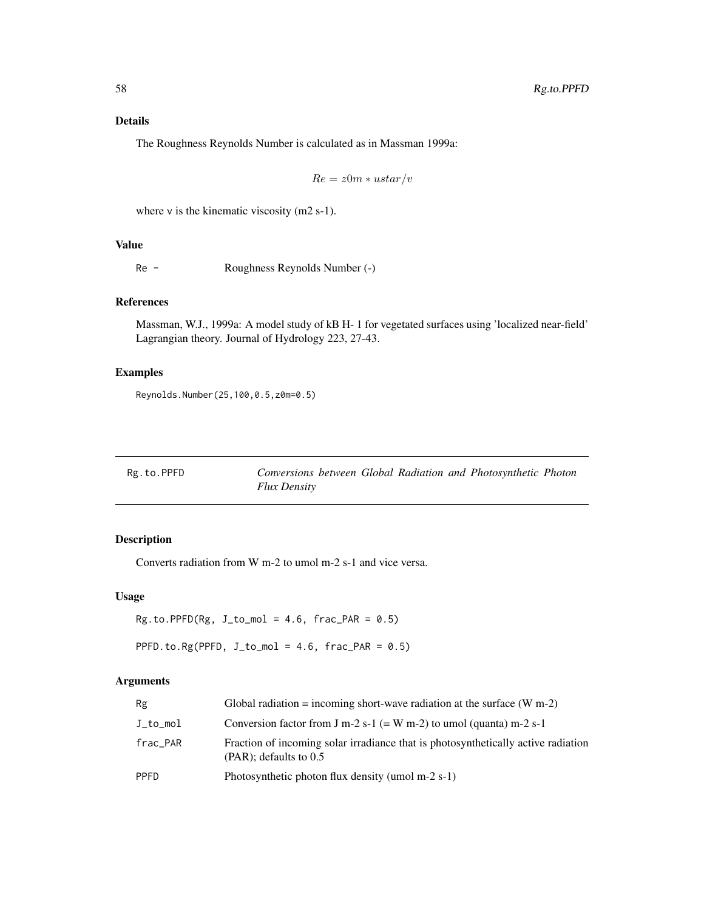The Roughness Reynolds Number is calculated as in Massman 1999a:

$$
Re = z0m * ustar/v
$$

where  $v$  is the kinematic viscosity (m2 s-1).

# Value

Re - Roughness Reynolds Number (-)

# References

Massman, W.J., 1999a: A model study of kB H- 1 for vegetated surfaces using 'localized near-field' Lagrangian theory. Journal of Hydrology 223, 27-43.

# Examples

Reynolds.Number(25,100,0.5,z0m=0.5)

Rg.to.PPFD *Conversions between Global Radiation and Photosynthetic Photon Flux Density*

# Description

Converts radiation from W m-2 to umol m-2 s-1 and vice versa.

## Usage

```
Rg.to.PPFD(Rg, J_to_mol = 4.6, frac_PAR = 0.5)
```
PPFD.to.Rg(PPFD,  $J_to_{mol} = 4.6$ ,  $frac_{PAR} = 0.5)$ 

| Rg       | Global radiation = incoming short-wave radiation at the surface $(W m-2)$                                      |
|----------|----------------------------------------------------------------------------------------------------------------|
| J_to_mol | Conversion factor from J m-2 s-1 (= W m-2) to umol (quanta) m-2 s-1                                            |
| frac_PAR | Fraction of incoming solar irradiance that is photosynthetically active radiation<br>$(PAR)$ ; defaults to 0.5 |
| PPFD     | Photosynthetic photon flux density (umol $m-2$ s-1)                                                            |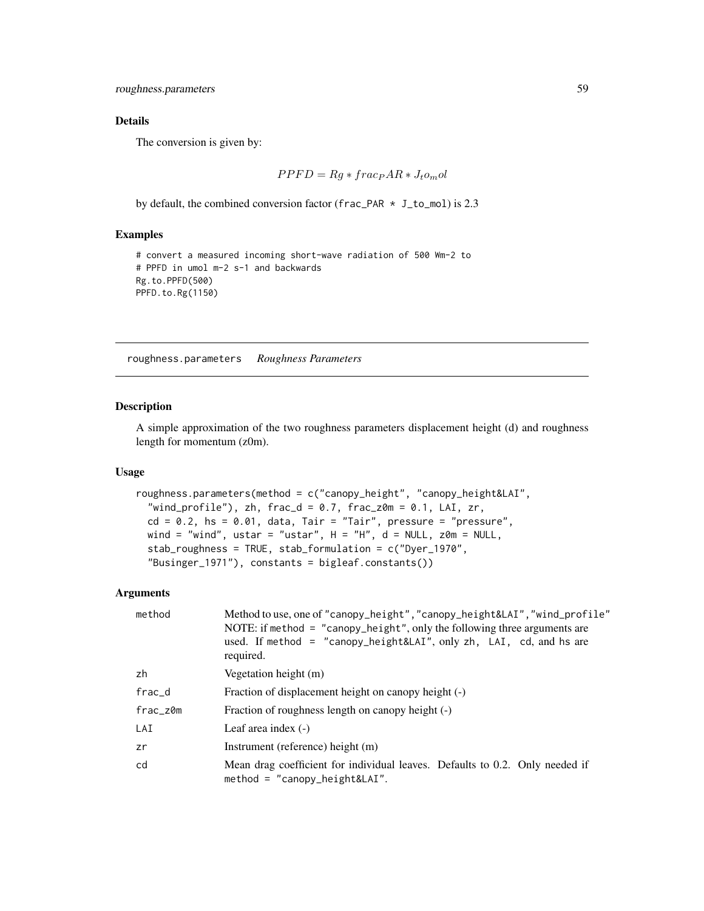roughness.parameters 59

## Details

The conversion is given by:

$$
PPFD = Rg * fracP AR * Jt om ol
$$

by default, the combined conversion factor (frac\_PAR \* J\_to\_mol) is 2.3

# Examples

```
# convert a measured incoming short-wave radiation of 500 Wm-2 to
# PPFD in umol m-2 s-1 and backwards
Rg.to.PPFD(500)
PPFD.to.Rg(1150)
```
<span id="page-58-0"></span>roughness.parameters *Roughness Parameters*

# Description

A simple approximation of the two roughness parameters displacement height (d) and roughness length for momentum (z0m).

#### Usage

```
roughness.parameters(method = c("canopy_height", "canopy_height&LAI",
  "wind_profile"), zh, frac_d = 0.7, frac_z0m = 0.1, LAI, zr,
  cd = 0.2, hs = 0.01, data, Tair = "Tair", pressure = "pressure",
  wind = "wind", ustar = "ustar", H = "H", d = NULL, z0m = NULL,
  stab_roughness = TRUE, stab_formulation = c("Dyer_1970",
  "Businger_1971"), constants = bigleaf.constants())
```

| method   | Method to use, one of "canopy_height", "canopy_height&LAI", "wind_profile"<br>NOTE: if method $=$ "canopy_height", only the following three arguments are<br>used. If method = "canopy_height&LAI", only zh, LAI, cd, and hs are<br>required. |  |
|----------|-----------------------------------------------------------------------------------------------------------------------------------------------------------------------------------------------------------------------------------------------|--|
| zh       | Vegetation height (m)                                                                                                                                                                                                                         |  |
| frac_d   | Fraction of displacement height on canopy height (-)                                                                                                                                                                                          |  |
| frac_z0m | Fraction of roughness length on canopy height (-)                                                                                                                                                                                             |  |
| LAI      | Leaf area index $(-)$                                                                                                                                                                                                                         |  |
| zr       | Instrument (reference) height (m)                                                                                                                                                                                                             |  |
| cd       | Mean drag coefficient for individual leaves. Defaults to 0.2. Only needed if<br>$method = "canopy\_height&LAI".$                                                                                                                              |  |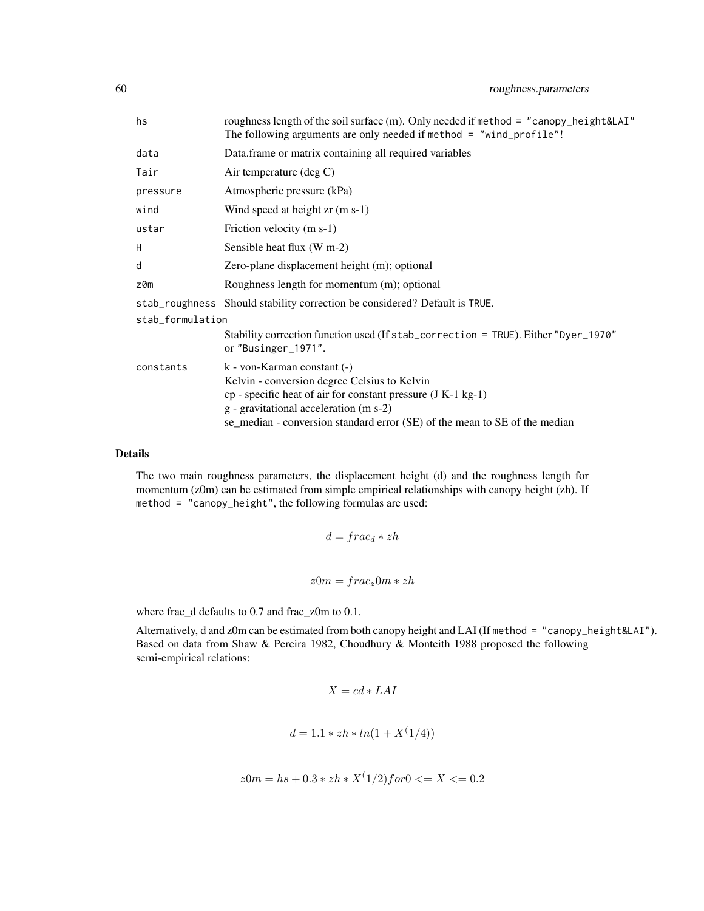| hs               | roughness length of the soil surface (m). Only needed if method = "canopy_height&LAI"<br>The following arguments are only needed if method = "wind_profile"!                                                                                                          |  |
|------------------|-----------------------------------------------------------------------------------------------------------------------------------------------------------------------------------------------------------------------------------------------------------------------|--|
| data             | Data frame or matrix containing all required variables                                                                                                                                                                                                                |  |
| Tair             | Air temperature $(\text{deg } C)$                                                                                                                                                                                                                                     |  |
| pressure         | Atmospheric pressure (kPa)                                                                                                                                                                                                                                            |  |
| wind             | Wind speed at height $z_{r}$ (m s-1)                                                                                                                                                                                                                                  |  |
| ustar            | Friction velocity (m s-1)                                                                                                                                                                                                                                             |  |
| H                | Sensible heat flux (W m-2)                                                                                                                                                                                                                                            |  |
| d                | Zero-plane displacement height (m); optional                                                                                                                                                                                                                          |  |
| z0m              | Roughness length for momentum (m); optional                                                                                                                                                                                                                           |  |
|                  | stab_roughness Should stability correction be considered? Default is TRUE.                                                                                                                                                                                            |  |
| stab_formulation |                                                                                                                                                                                                                                                                       |  |
|                  | Stability correction function used (If stab_correction = TRUE). Either "Dyer_1970"<br>or "Businger_1971".                                                                                                                                                             |  |
| constants        | k - von-Karman constant (-)<br>Kelvin - conversion degree Celsius to Kelvin<br>$cp$ - specific heat of air for constant pressure (J K-1 kg-1)<br>g - gravitational acceleration (m s-2)<br>se_median - conversion standard error (SE) of the mean to SE of the median |  |

The two main roughness parameters, the displacement height (d) and the roughness length for momentum (z0m) can be estimated from simple empirical relationships with canopy height (zh). If method = "canopy\_height", the following formulas are used:

$$
d = frac_d * zh
$$
  

$$
z0m = frac_z0m * zh
$$

where frac\_d defaults to 0.7 and frac\_z0m to 0.1.

Alternatively, d and z0m can be estimated from both canopy height and LAI (If method = "canopy\_height&LAI"). Based on data from Shaw & Pereira 1982, Choudhury & Monteith 1988 proposed the following semi-empirical relations:

$$
X = cd * LAI
$$

$$
d = 1.1 * zh * ln(1 + X^{(1/4)})
$$

$$
z0m = hs + 0.3 * zh * X^(1/2) for 0 \le X \le 0.2
$$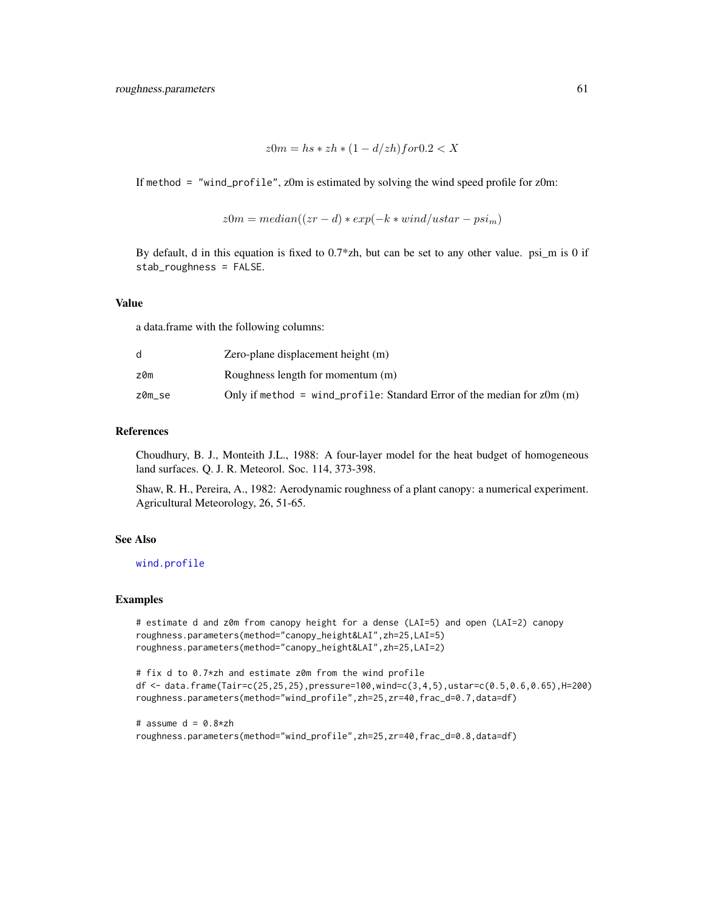```
z0m = hs * zh * (1 - d/zh) f or 0.2 < X
```
If method = "wind\_profile", z0m is estimated by solving the wind speed profile for z0m:

$$
z0m = median((zr - d) * exp(-k * wind/ustar - psi_m)
$$

By default, d in this equation is fixed to 0.7\*zh, but can be set to any other value. psi\_m is 0 if stab\_roughness = FALSE.

## Value

a data.frame with the following columns:

|        | Zero-plane displacement height (m)                                           |
|--------|------------------------------------------------------------------------------|
| z0m    | Roughness length for momentum (m)                                            |
| z0m se | Only if method = wind_profile: Standard Error of the median for $z$ Om $(m)$ |

## References

Choudhury, B. J., Monteith J.L., 1988: A four-layer model for the heat budget of homogeneous land surfaces. Q. J. R. Meteorol. Soc. 114, 373-398.

Shaw, R. H., Pereira, A., 1982: Aerodynamic roughness of a plant canopy: a numerical experiment. Agricultural Meteorology, 26, 51-65.

# See Also

[wind.profile](#page-77-0)

#### Examples

```
# estimate d and z0m from canopy height for a dense (LAI=5) and open (LAI=2) canopy
roughness.parameters(method="canopy_height&LAI",zh=25,LAI=5)
roughness.parameters(method="canopy_height&LAI",zh=25,LAI=2)
```

```
# fix d to 0.7*zh and estimate z0m from the wind profile
df <- data.frame(Tair=c(25,25,25),pressure=100,wind=c(3,4,5),ustar=c(0.5,0.6,0.65),H=200)
roughness.parameters(method="wind_profile",zh=25,zr=40,frac_d=0.7,data=df)
```
# assume  $d = 0.8 \times zh$ roughness.parameters(method="wind\_profile",zh=25,zr=40,frac\_d=0.8,data=df)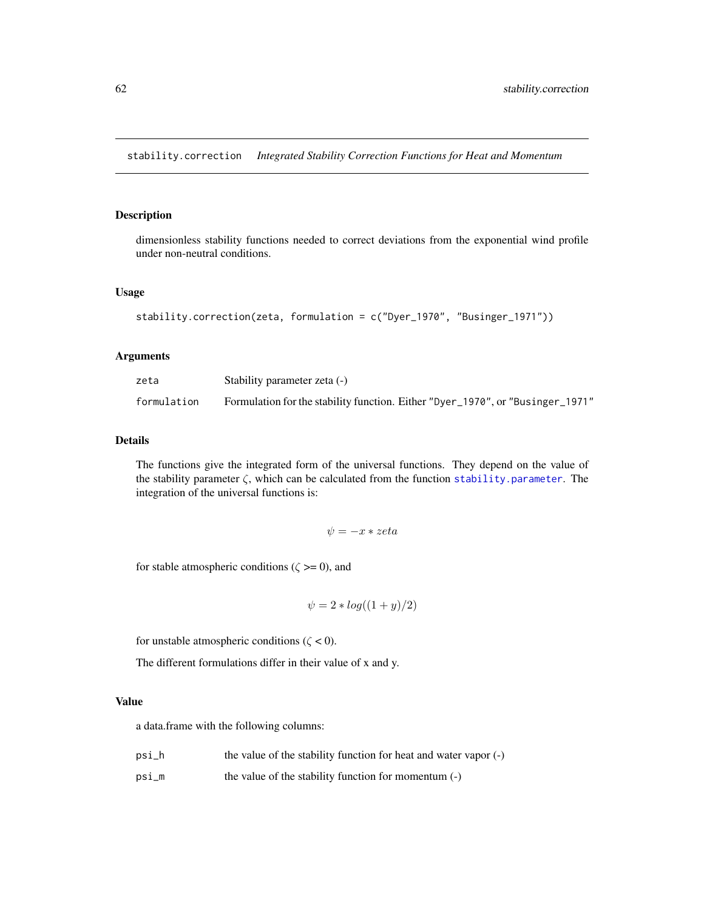stability.correction *Integrated Stability Correction Functions for Heat and Momentum*

## Description

dimensionless stability functions needed to correct deviations from the exponential wind profile under non-neutral conditions.

# Usage

```
stability.correction(zeta, formulation = c("Dyer_1970", "Businger_1971"))
```
# Arguments

| zeta        | Stability parameter zeta (-)                                                   |
|-------------|--------------------------------------------------------------------------------|
| formulation | Formulation for the stability function. Either "Dyer_1970", or "Businger_1971" |

#### Details

The functions give the integrated form of the universal functions. They depend on the value of the stability parameter  $\zeta$ , which can be calculated from the function [stability.parameter](#page-62-0). The integration of the universal functions is:

$$
\psi = -x * zeta
$$

for stable atmospheric conditions ( $\zeta \ge 0$ ), and

$$
\psi = 2 * log((1 + y)/2)
$$

for unstable atmospheric conditions ( $\zeta$  < 0).

The different formulations differ in their value of x and y.

#### Value

a data.frame with the following columns:

- psi\_h the value of the stability function for heat and water vapor (-)
- psi\_m the value of the stability function for momentum (-)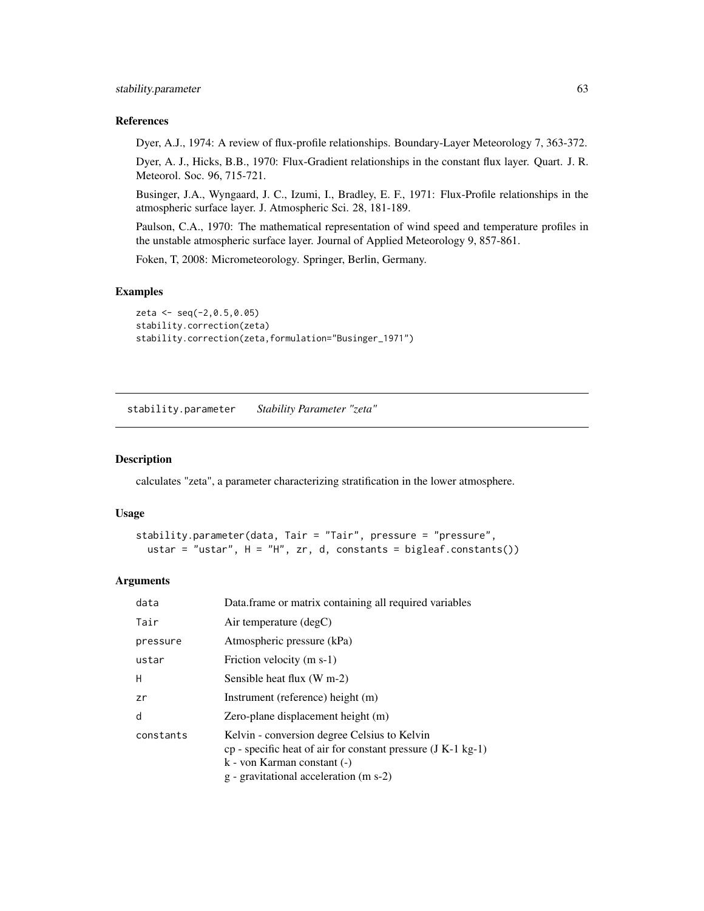#### References

Dyer, A.J., 1974: A review of flux-profile relationships. Boundary-Layer Meteorology 7, 363-372.

Dyer, A. J., Hicks, B.B., 1970: Flux-Gradient relationships in the constant flux layer. Quart. J. R. Meteorol. Soc. 96, 715-721.

Businger, J.A., Wyngaard, J. C., Izumi, I., Bradley, E. F., 1971: Flux-Profile relationships in the atmospheric surface layer. J. Atmospheric Sci. 28, 181-189.

Paulson, C.A., 1970: The mathematical representation of wind speed and temperature profiles in the unstable atmospheric surface layer. Journal of Applied Meteorology 9, 857-861.

Foken, T, 2008: Micrometeorology. Springer, Berlin, Germany.

## Examples

```
zeta <- seq(-2,0.5,0.05)
stability.correction(zeta)
stability.correction(zeta,formulation="Businger_1971")
```
<span id="page-62-0"></span>stability.parameter *Stability Parameter "zeta"*

#### Description

calculates "zeta", a parameter characterizing stratification in the lower atmosphere.

## Usage

```
stability.parameter(data, Tair = "Tair", pressure = "pressure",
 ustar = "ustar", H = "H", zr, d, constants = bigleaf.config())
```

| data      | Data frame or matrix containing all required variables                                                                                                                                    |
|-----------|-------------------------------------------------------------------------------------------------------------------------------------------------------------------------------------------|
| Tair      | Air temperature (degC)                                                                                                                                                                    |
| pressure  | Atmospheric pressure (kPa)                                                                                                                                                                |
| ustar     | Friction velocity (m s-1)                                                                                                                                                                 |
| H         | Sensible heat flux (W m-2)                                                                                                                                                                |
| zr        | Instrument (reference) height (m)                                                                                                                                                         |
| d         | Zero-plane displacement height (m)                                                                                                                                                        |
| constants | Kelvin - conversion degree Celsius to Kelvin<br>$cp$ - specific heat of air for constant pressure $(J K-1 kg-1)$<br>k - von Karman constant (-)<br>g - gravitational acceleration (m s-2) |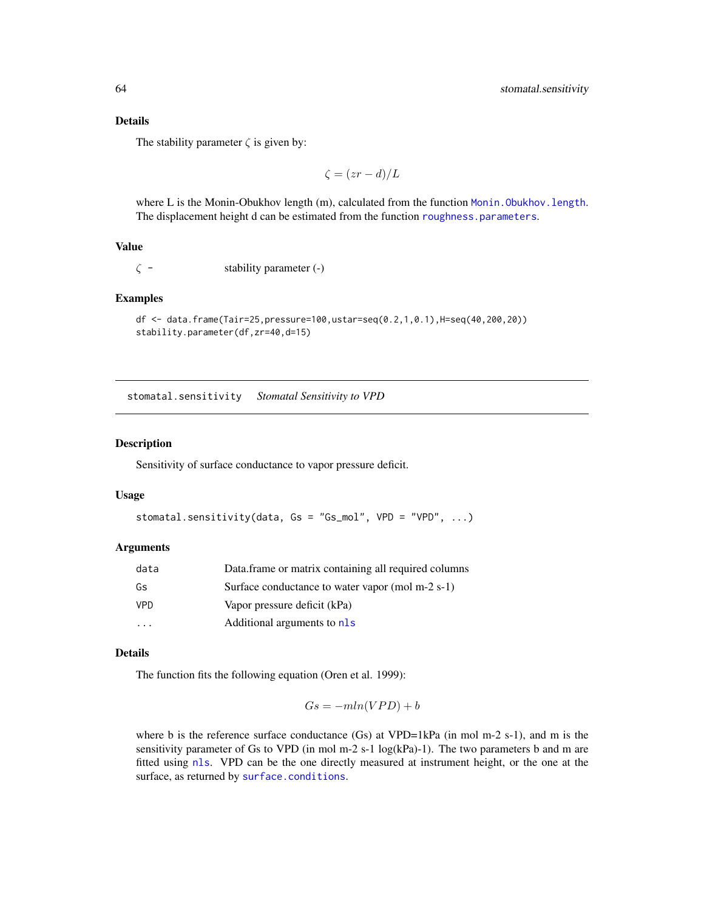The stability parameter  $\zeta$  is given by:

$$
\zeta = (zr - d)/L
$$

where L is the Monin-Obukhov length (m), calculated from the function Monin. Obukhov. length. The displacement height d can be estimated from the function [roughness.parameters](#page-58-0).

# Value

 $\zeta$  - stability parameter (-)

# Examples

```
df <- data.frame(Tair=25,pressure=100,ustar=seq(0.2,1,0.1),H=seq(40,200,20))
stability.parameter(df,zr=40,d=15)
```
stomatal.sensitivity *Stomatal Sensitivity to VPD*

## Description

Sensitivity of surface conductance to vapor pressure deficit.

## Usage

```
stomatal.sensitivity(data, Gs = "Gs_mol", VPD = "VPD", ...)
```
#### Arguments

| data | Data.frame or matrix containing all required columns |
|------|------------------------------------------------------|
| Gs   | Surface conductance to water vapor (mol m-2 s-1)     |
| VPD  | Vapor pressure deficit (kPa)                         |
|      | Additional arguments to nls                          |

# Details

The function fits the following equation (Oren et al. 1999):

$$
Gs = -mln(VPD) + b
$$

where b is the reference surface conductance  $(Gs)$  at VPD=1kPa (in mol m-2 s-1), and m is the sensitivity parameter of Gs to VPD (in mol m-2 s-1  $log(kPa)$ -1). The two parameters b and m are fitted using [nls](#page-0-0). VPD can be the one directly measured at instrument height, or the one at the surface, as returned by [surface.conditions](#page-68-0).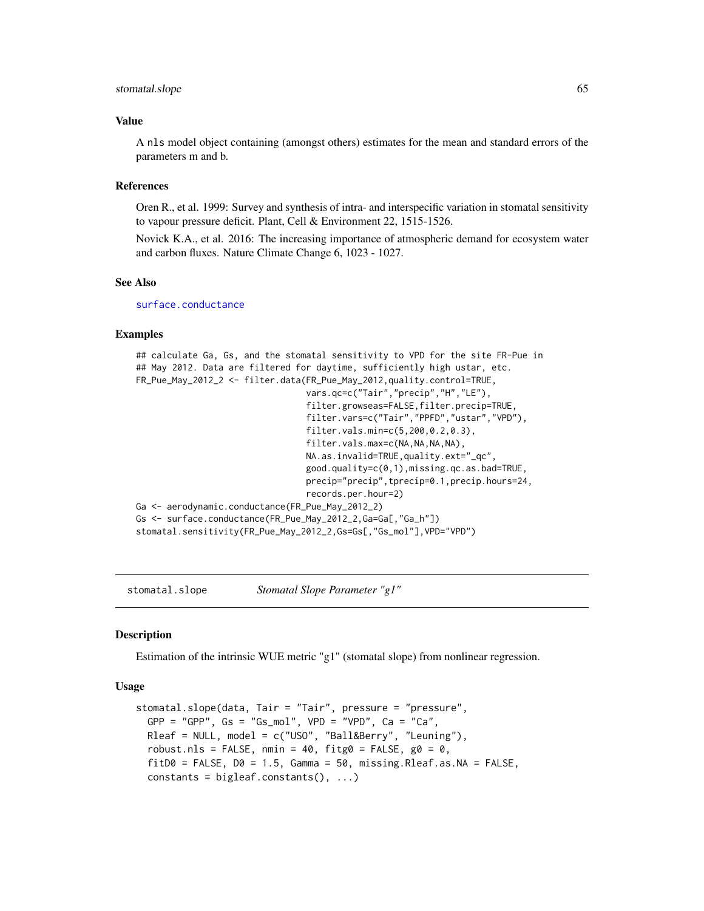#### stomatal.slope 65

#### Value

A nls model object containing (amongst others) estimates for the mean and standard errors of the parameters m and b.

#### References

Oren R., et al. 1999: Survey and synthesis of intra- and interspecific variation in stomatal sensitivity to vapour pressure deficit. Plant, Cell & Environment 22, 1515-1526.

Novick K.A., et al. 2016: The increasing importance of atmospheric demand for ecosystem water and carbon fluxes. Nature Climate Change 6, 1023 - 1027.

#### See Also

[surface.conductance](#page-71-0)

## Examples

```
## calculate Ga, Gs, and the stomatal sensitivity to VPD for the site FR-Pue in
## May 2012. Data are filtered for daytime, sufficiently high ustar, etc.
FR_Pue_May_2012_2 <- filter.data(FR_Pue_May_2012,quality.control=TRUE,
                                 vars.qc=c("Tair","precip","H","LE"),
                                 filter.growseas=FALSE,filter.precip=TRUE,
                                 filter.vars=c("Tair","PPFD","ustar","VPD"),
                                 filter.vals.min=c(5,200,0.2,0.3),
                                 filter.vals.max=c(NA,NA,NA,NA),
                                 NA.as.invalid=TRUE,quality.ext="_qc",
                                 good.quality=c(0,1),missing.qc.as.bad=TRUE,
                                 precip="precip",tprecip=0.1,precip.hours=24,
                                 records.per.hour=2)
Ga <- aerodynamic.conductance(FR_Pue_May_2012_2)
Gs <- surface.conductance(FR_Pue_May_2012_2,Ga=Ga[,"Ga_h"])
stomatal.sensitivity(FR_Pue_May_2012_2,Gs=Gs[,"Gs_mol"],VPD="VPD")
```
stomatal.slope *Stomatal Slope Parameter "g1"*

#### Description

Estimation of the intrinsic WUE metric "g1" (stomatal slope) from nonlinear regression.

## Usage

```
stomatal.slope(data, Tair = "Tair", pressure = "pressure",
 GPP = "GPP", Gs = "Gs_mol", VPD = "VPD", Ca = "Ca",Rleaf = NULL, model = c("USO", "Ball&Berry", "Leuning"),
 robust.nls = FALSE, nmin = 40, fitg0 = FALSE, g0 = 0,
 fitD0 = FALSE, D0 = 1.5, Gamma = 50, missing.Rleaf. as.NA = FALSE,constants = bigleaf.constants(), ...)
```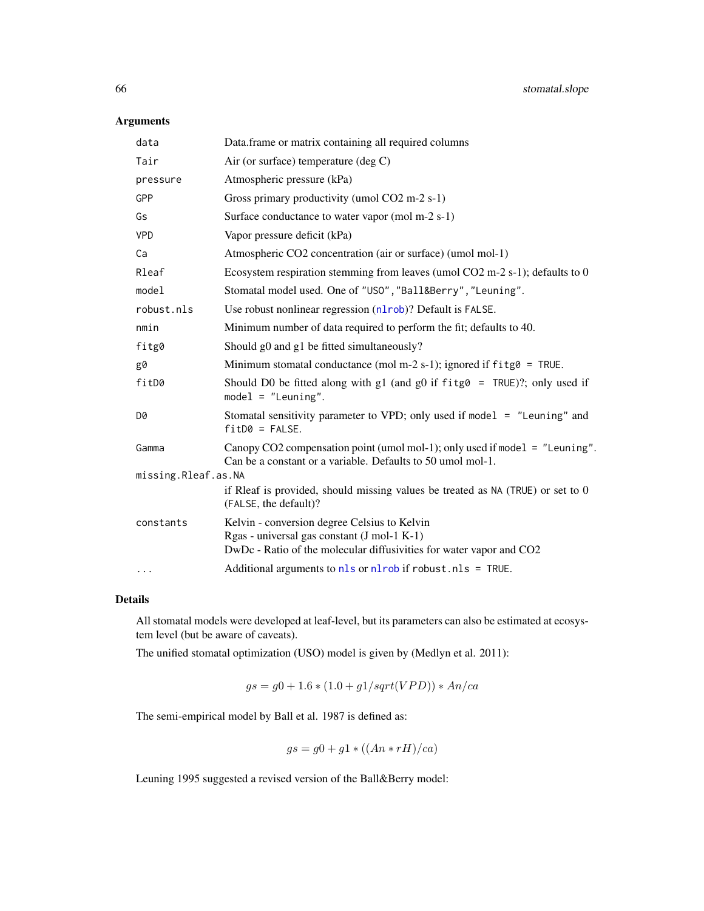# Arguments

| data                | Data.frame or matrix containing all required columns                                                                                                               |  |
|---------------------|--------------------------------------------------------------------------------------------------------------------------------------------------------------------|--|
| Tair                | Air (or surface) temperature (deg $C$ )                                                                                                                            |  |
| pressure            | Atmospheric pressure (kPa)                                                                                                                                         |  |
| GPP                 | Gross primary productivity (umol CO2 m-2 s-1)                                                                                                                      |  |
| Gs                  | Surface conductance to water vapor (mol m-2 s-1)                                                                                                                   |  |
| <b>VPD</b>          | Vapor pressure deficit (kPa)                                                                                                                                       |  |
| Ca                  | Atmospheric CO2 concentration (air or surface) (umol mol-1)                                                                                                        |  |
| Rleaf               | Ecosystem respiration stemming from leaves (umol $CO2$ m-2 s-1); defaults to 0                                                                                     |  |
| model               | Stomatal model used. One of "USO", "Ball&Berry", "Leuning".                                                                                                        |  |
| robust.nls          | Use robust nonlinear regression (nlrob)? Default is FALSE.                                                                                                         |  |
| nmin                | Minimum number of data required to perform the fit; defaults to 40.                                                                                                |  |
| fitg0               | Should g0 and g1 be fitted simultaneously?                                                                                                                         |  |
| g0                  | Minimum stomatal conductance (mol m-2 s-1); ignored if $f$ itg $\theta$ = TRUE.                                                                                    |  |
| fitD0               | Should D0 be fitted along with g1 (and g0 if $f$ itg $\theta$ = TRUE)?; only used if<br>$model = "Leuning".$                                                       |  |
| D0                  | Stomatal sensitivity parameter to VPD; only used if model = "Leuning" and<br>$fitD0 = FALSE.$                                                                      |  |
| Gamma               | Canopy CO2 compensation point (umol mol-1); only used if model $=$ "Leuning".<br>Can be a constant or a variable. Defaults to 50 umol mol-1.                       |  |
| missing.Rleaf.as.NA |                                                                                                                                                                    |  |
|                     | if Rleaf is provided, should missing values be treated as $NA$ (TRUE) or set to $0$<br>(FALSE, the default)?                                                       |  |
| constants           | Kelvin - conversion degree Celsius to Kelvin<br>Rgas - universal gas constant (J mol-1 K-1)<br>DwDc - Ratio of the molecular diffusivities for water vapor and CO2 |  |
| $\cdots$            | Additional arguments to nls or nlrob if robust.nls = TRUE.                                                                                                         |  |

## Details

All stomatal models were developed at leaf-level, but its parameters can also be estimated at ecosystem level (but be aware of caveats).

The unified stomatal optimization (USO) model is given by (Medlyn et al. 2011):

$$
gs = g0 + 1.6 * (1.0 + g1/sqrt(VPD)) * An-ca
$$

The semi-empirical model by Ball et al. 1987 is defined as:

$$
gs = g0 + g1 * ((An * rH)/ca)
$$

Leuning 1995 suggested a revised version of the Ball&Berry model: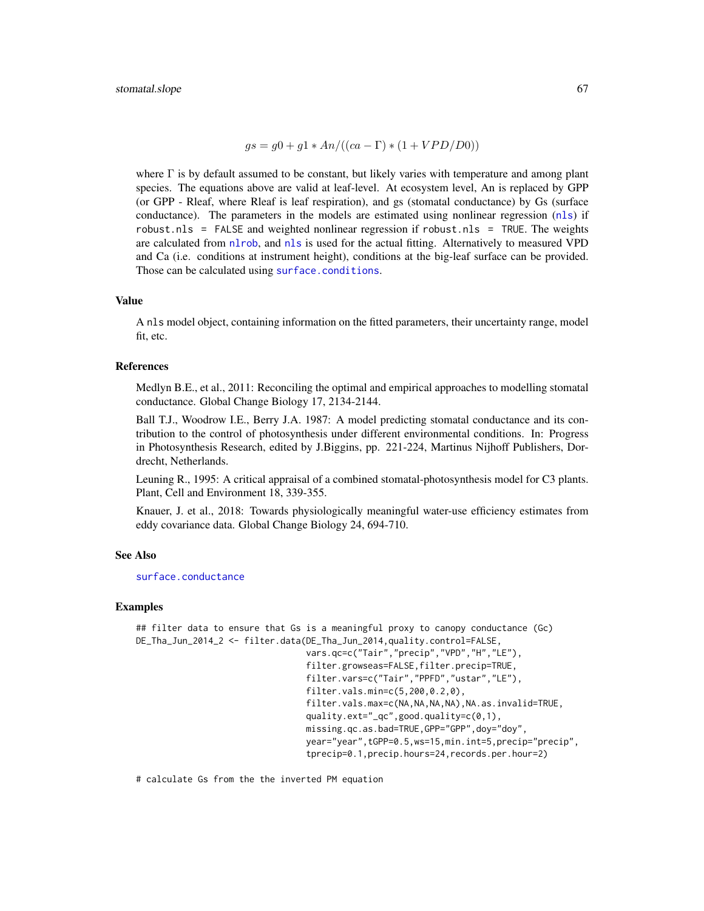$gs = g0 + g1 * An/((ca - \Gamma) * (1 + VPD/D0))$ 

where  $\Gamma$  is by default assumed to be constant, but likely varies with temperature and among plant species. The equations above are valid at leaf-level. At ecosystem level, An is replaced by GPP (or GPP - Rleaf, where Rleaf is leaf respiration), and gs (stomatal conductance) by Gs (surface conductance). The parameters in the models are estimated using nonlinear regression ([nls](#page-0-0)) if robust.nls =  $FALSE$  and weighted nonlinear regression if robust.nls =  $TRUE$ . The weights are calculated from [nlrob](#page-0-0), and [nls](#page-0-0) is used for the actual fitting. Alternatively to measured VPD and Ca (i.e. conditions at instrument height), conditions at the big-leaf surface can be provided. Those can be calculated using [surface.conditions](#page-68-0).

#### Value

A nls model object, containing information on the fitted parameters, their uncertainty range, model fit, etc.

#### References

Medlyn B.E., et al., 2011: Reconciling the optimal and empirical approaches to modelling stomatal conductance. Global Change Biology 17, 2134-2144.

Ball T.J., Woodrow I.E., Berry J.A. 1987: A model predicting stomatal conductance and its contribution to the control of photosynthesis under different environmental conditions. In: Progress in Photosynthesis Research, edited by J.Biggins, pp. 221-224, Martinus Nijhoff Publishers, Dordrecht, Netherlands.

Leuning R., 1995: A critical appraisal of a combined stomatal-photosynthesis model for C3 plants. Plant, Cell and Environment 18, 339-355.

Knauer, J. et al., 2018: Towards physiologically meaningful water-use efficiency estimates from eddy covariance data. Global Change Biology 24, 694-710.

#### See Also

[surface.conductance](#page-71-0)

#### Examples

```
## filter data to ensure that Gs is a meaningful proxy to canopy conductance (Gc)
DE_Tha_Jun_2014_2 <- filter.data(DE_Tha_Jun_2014,quality.control=FALSE,
                                 vars.qc=c("Tair","precip","VPD","H","LE"),
                                 filter.growseas=FALSE,filter.precip=TRUE,
                                 filter.vars=c("Tair","PPFD","ustar","LE"),
                                 filter.vals.min=c(5,200,0.2,0),
                                 filter.vals.max=c(NA,NA,NA,NA),NA.as.invalid=TRUE,
                                 quality.ext="_qc",good.quality=c(0,1),
                                 missing.qc.as.bad=TRUE,GPP="GPP",doy="doy"
                                 year="year",tGPP=0.5,ws=15,min.int=5,precip="precip",
                                 tprecip=0.1,precip.hours=24,records.per.hour=2)
```
# calculate Gs from the the inverted PM equation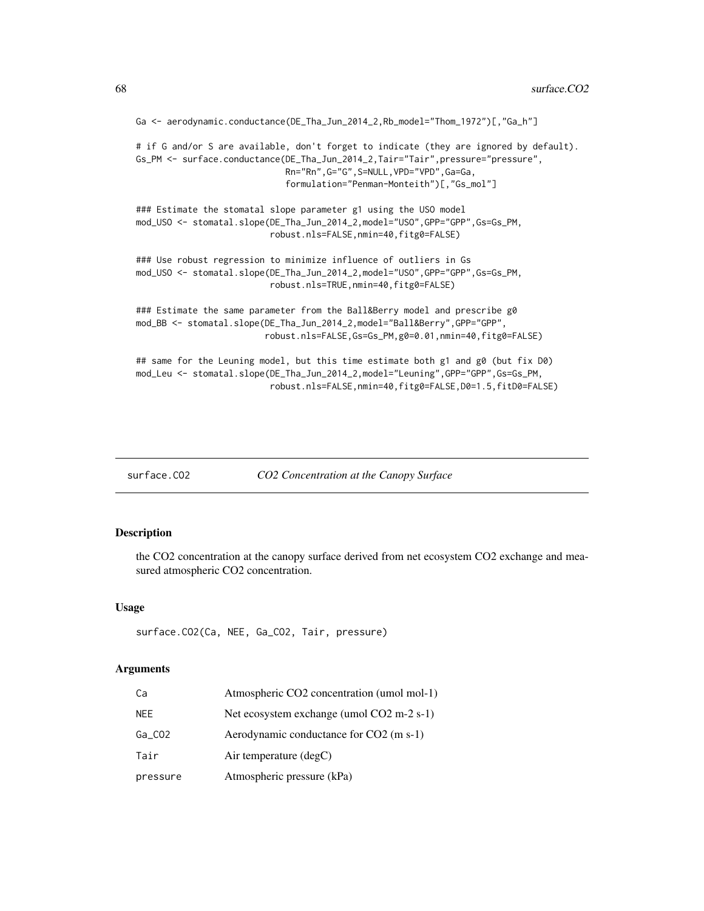```
Ga <- aerodynamic.conductance(DE_Tha_Jun_2014_2,Rb_model="Thom_1972")[,"Ga_h"]
# if G and/or S are available, don't forget to indicate (they are ignored by default).
Gs_PM <- surface.conductance(DE_Tha_Jun_2014_2,Tair="Tair",pressure="pressure",
                             Rn="Rn",G="G",S=NULL,VPD="VPD",Ga=Ga,
                             formulation="Penman-Monteith")[,"Gs_mol"]
### Estimate the stomatal slope parameter g1 using the USO model
mod_USO <- stomatal.slope(DE_Tha_Jun_2014_2,model="USO",GPP="GPP",Gs=Gs_PM,
                          robust.nls=FALSE,nmin=40,fitg0=FALSE)
### Use robust regression to minimize influence of outliers in Gs
mod_USO <- stomatal.slope(DE_Tha_Jun_2014_2,model="USO",GPP="GPP",Gs=Gs_PM,
                          robust.nls=TRUE,nmin=40,fitg0=FALSE)
### Estimate the same parameter from the Ball&Berry model and prescribe g0
mod_BB <- stomatal.slope(DE_Tha_Jun_2014_2,model="Ball&Berry",GPP="GPP",
                         robust.nls=FALSE,Gs=Gs_PM,g0=0.01,nmin=40,fitg0=FALSE)
## same for the Leuning model, but this time estimate both g1 and g0 (but fix D0)
mod_Leu <- stomatal.slope(DE_Tha_Jun_2014_2,model="Leuning",GPP="GPP",Gs=Gs_PM,
                          robust.nls=FALSE,nmin=40,fitg0=FALSE,D0=1.5,fitD0=FALSE)
```

```
surface.CO2 CO2 Concentration at the Canopy Surface
```
#### Description

the CO2 concentration at the canopy surface derived from net ecosystem CO2 exchange and measured atmospheric CO2 concentration.

#### Usage

```
surface.CO2(Ca, NEE, Ga_CO2, Tair, pressure)
```

| Сa        | Atmospheric CO2 concentration (umol mol-1) |
|-----------|--------------------------------------------|
| NEE.      | Net ecosystem exchange (umol CO2 m-2 s-1)  |
| $Ga_C$ 02 | Aerodynamic conductance for CO2 (m s-1)    |
| Tair      | Air temperature $(\text{deg} C)$           |
| pressure  | Atmospheric pressure (kPa)                 |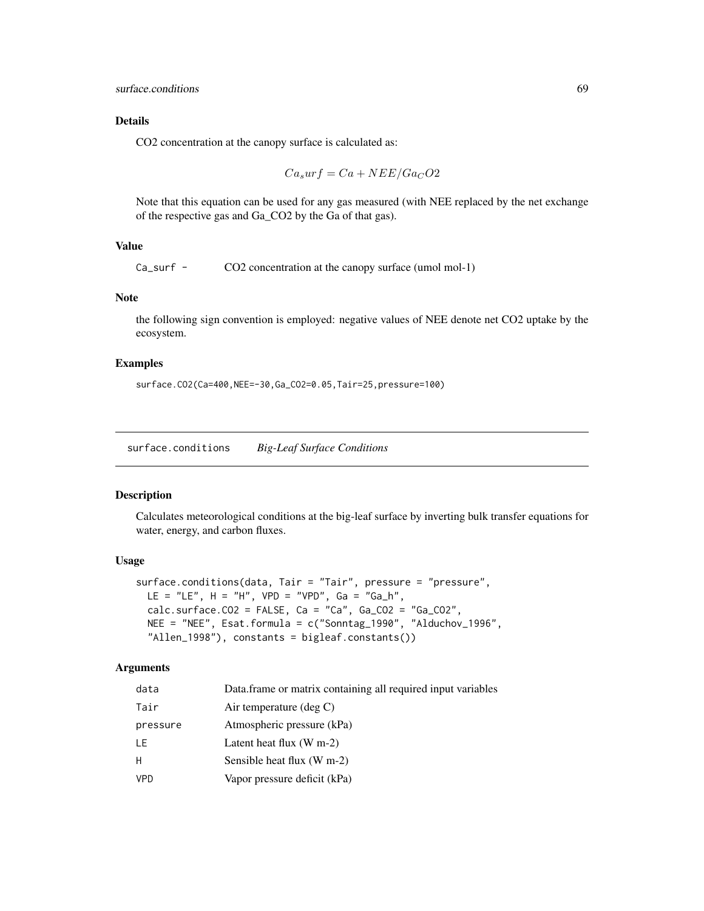CO2 concentration at the canopy surface is calculated as:

$$
Ca_surf = Ca + NEE/Ga_CO2
$$

Note that this equation can be used for any gas measured (with NEE replaced by the net exchange of the respective gas and Ga\_CO2 by the Ga of that gas).

# Value

Ca\_surf - CO2 concentration at the canopy surface (umol mol-1)

# Note

the following sign convention is employed: negative values of NEE denote net CO2 uptake by the ecosystem.

## Examples

surface.CO2(Ca=400,NEE=-30,Ga\_CO2=0.05,Tair=25,pressure=100)

<span id="page-68-0"></span>surface.conditions *Big-Leaf Surface Conditions*

# Description

Calculates meteorological conditions at the big-leaf surface by inverting bulk transfer equations for water, energy, and carbon fluxes.

#### Usage

```
surface.conditions(data, Tair = "Tair", pressure = "pressure",
 LE = "LE", H = "H", VPD = "VPD", Ga = "Ga_h",
 calc.surface.CO2 = FALSE, Ca = "Ca", Ga\_CO2 = "Ga\_CO2",NEE = "NEE", Esat.formula = c("Sonntag_1990", "Alduchov_1996",
  "Allen_1998"), constants = bigleaf.constants())
```

| data     | Data frame or matrix containing all required input variables |
|----------|--------------------------------------------------------------|
| Tair     | Air temperature $(\deg C)$                                   |
| pressure | Atmospheric pressure (kPa)                                   |
| LE       | Latent heat flux $(W m-2)$                                   |
| н        | Sensible heat flux (W m-2)                                   |
| VPD      | Vapor pressure deficit (kPa)                                 |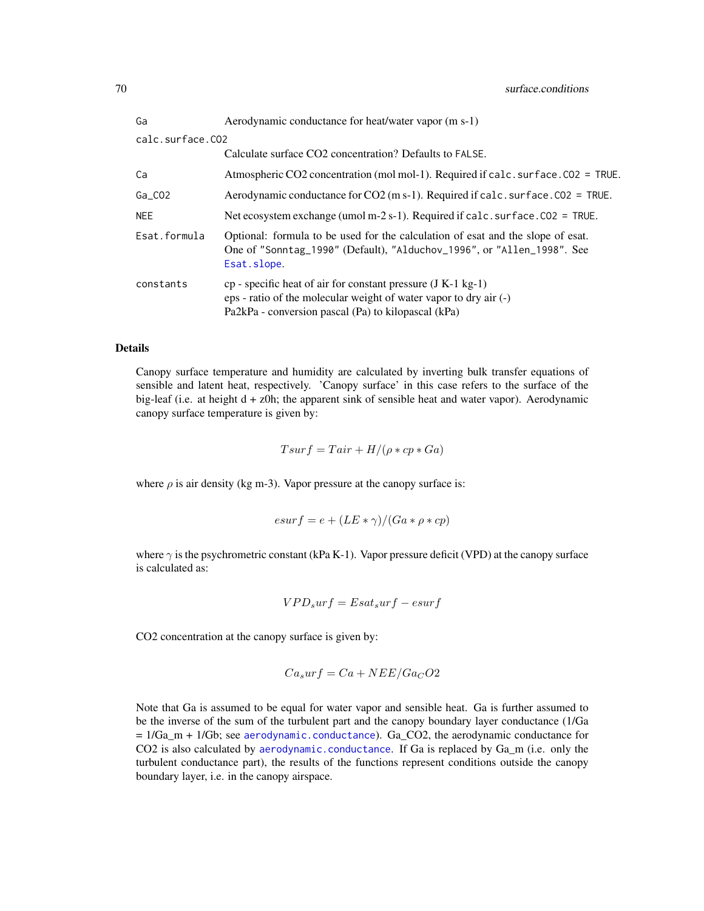| Ga               | Aerodynamic conductance for heat/water vapor (m s-1)                                                                                                                                       |  |
|------------------|--------------------------------------------------------------------------------------------------------------------------------------------------------------------------------------------|--|
| calc.surface.CO2 |                                                                                                                                                                                            |  |
|                  | Calculate surface CO2 concentration? Defaults to FALSE.                                                                                                                                    |  |
| Ca               | Atmospheric CO2 concentration (mol mol-1). Required if calc. surface. CO2 = TRUE.                                                                                                          |  |
| $Ga_C$ 02        | Aerodynamic conductance for $CO2$ (m s-1). Required if calc. surface. $CO2 = TRUE$ .                                                                                                       |  |
| NEE              | Net ecosystem exchange (umol m-2 s-1). Required if calc. surface. $CO2 = TRUE$ .                                                                                                           |  |
| Esat.formula     | Optional: formula to be used for the calculation of esat and the slope of esat.<br>One of "Sonntag_1990" (Default), "Alduchov_1996", or "Allen_1998". See<br>Esat.slope.                   |  |
| constants        | $cp$ - specific heat of air for constant pressure (J K-1 kg-1)<br>eps - ratio of the molecular weight of water vapor to dry air (-)<br>Pa2kPa - conversion pascal (Pa) to kilopascal (kPa) |  |

Canopy surface temperature and humidity are calculated by inverting bulk transfer equations of sensible and latent heat, respectively. 'Canopy surface' in this case refers to the surface of the big-leaf (i.e. at height d + z0h; the apparent sink of sensible heat and water vapor). Aerodynamic canopy surface temperature is given by:

 $T sur f = T air + H/(\rho * cp * Ga)$ 

where  $\rho$  is air density (kg m-3). Vapor pressure at the canopy surface is:

$$
esurf = e + (LE * \gamma)/(Ga * \rho * cp)
$$

where  $\gamma$  is the psychrometric constant (kPa K-1). Vapor pressure deficit (VPD) at the canopy surface is calculated as:

$$
VPD_{s}urf = Esat_{s}urf - esurf \label{eq:1}
$$

CO2 concentration at the canopy surface is given by:

$$
Ca_surf = Ca + NEE/Ga_CO2
$$

Note that Ga is assumed to be equal for water vapor and sensible heat. Ga is further assumed to be the inverse of the sum of the turbulent part and the canopy boundary layer conductance (1/Ga  $= 1/Ga$ <sub>m</sub> + 1/Gb; see [aerodynamic.conductance](#page-2-0)). Ga<sub>\_</sub>CO2, the aerodynamic conductance for CO2 is also calculated by [aerodynamic.conductance](#page-2-0). If Ga is replaced by Ga\_m (i.e. only the turbulent conductance part), the results of the functions represent conditions outside the canopy boundary layer, i.e. in the canopy airspace.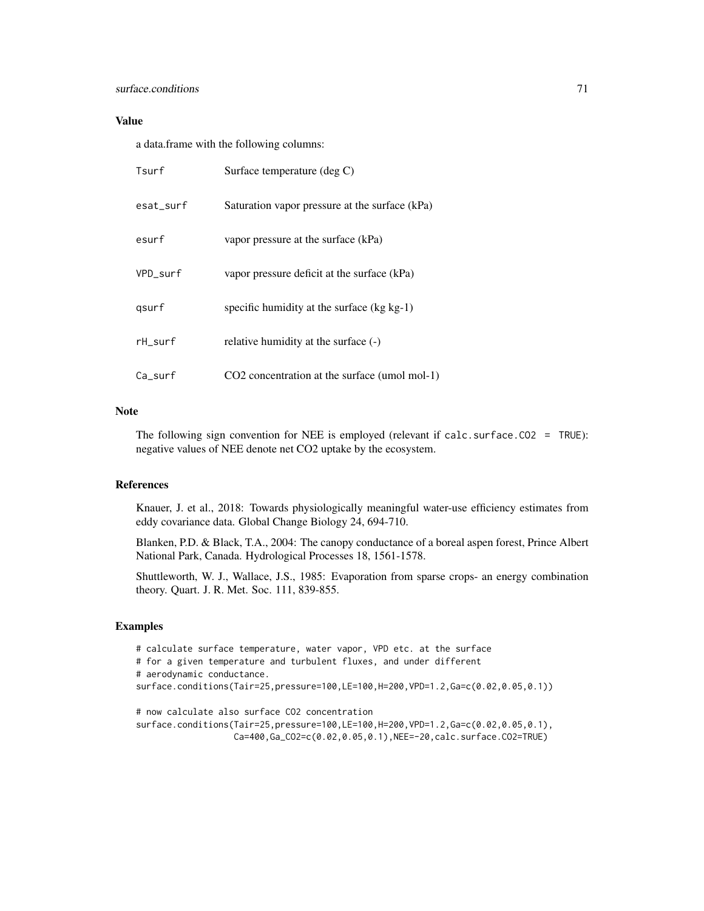## surface.conditions 71

# Value

a data.frame with the following columns:

| Tsurf      | Surface temperature (deg C)                    |
|------------|------------------------------------------------|
| esat surf  | Saturation vapor pressure at the surface (kPa) |
| esurf      | vapor pressure at the surface (kPa)            |
| VPD surf   | vapor pressure deficit at the surface (kPa)    |
| gsurf      | specific humidity at the surface $(kg kg-1)$   |
| rH_surf    | relative humidity at the surface (-)           |
| $Ca$ _surf | CO2 concentration at the surface (umol mol-1)  |

# Note

The following sign convention for NEE is employed (relevant if calc.surface.CO2 = TRUE): negative values of NEE denote net CO2 uptake by the ecosystem.

## References

Knauer, J. et al., 2018: Towards physiologically meaningful water-use efficiency estimates from eddy covariance data. Global Change Biology 24, 694-710.

Blanken, P.D. & Black, T.A., 2004: The canopy conductance of a boreal aspen forest, Prince Albert National Park, Canada. Hydrological Processes 18, 1561-1578.

Shuttleworth, W. J., Wallace, J.S., 1985: Evaporation from sparse crops- an energy combination theory. Quart. J. R. Met. Soc. 111, 839-855.

# Examples

```
# calculate surface temperature, water vapor, VPD etc. at the surface
# for a given temperature and turbulent fluxes, and under different
# aerodynamic conductance.
surface.conditions(Tair=25,pressure=100,LE=100,H=200,VPD=1.2,Ga=c(0.02,0.05,0.1))
# now calculate also surface CO2 concentration
surface.conditions(Tair=25,pressure=100,LE=100,H=200,VPD=1.2,Ga=c(0.02,0.05,0.1),
```

```
Ca=400,Ga_CO2=c(0.02,0.05,0.1),NEE=-20,calc.surface.CO2=TRUE)
```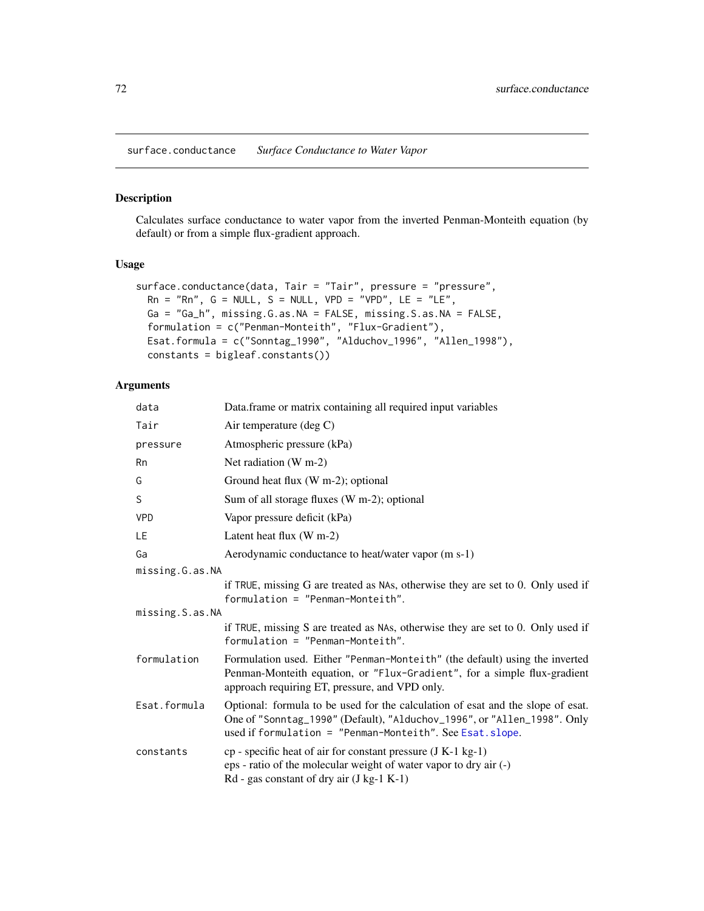<span id="page-71-0"></span>surface.conductance *Surface Conductance to Water Vapor*

# Description

Calculates surface conductance to water vapor from the inverted Penman-Monteith equation (by default) or from a simple flux-gradient approach.

# Usage

```
surface.conductance(data, Tair = "Tair", pressure = "pressure",
 Rn = "Rn", G = NULL, S = NULL, VPD = "VPD", LE = "LE",Ga = "Ga_h", missing.G.as.NA = FALSE, missing.S.as.NA = FALSE,
 formulation = c("Penman-Monteith", "Flux-Gradient"),
 Esat.formula = c("Sonntag_1990", "Alduchov_1996", "Allen_1998"),
  constants = bigleaf.constants())
```

| data            | Data frame or matrix containing all required input variables                                                                                                                                                            |
|-----------------|-------------------------------------------------------------------------------------------------------------------------------------------------------------------------------------------------------------------------|
| Tair            | Air temperature (deg $C$ )                                                                                                                                                                                              |
| pressure        | Atmospheric pressure (kPa)                                                                                                                                                                                              |
| Rn              | Net radiation $(W m-2)$                                                                                                                                                                                                 |
| G               | Ground heat flux (W m-2); optional                                                                                                                                                                                      |
| S               | Sum of all storage fluxes (W m-2); optional                                                                                                                                                                             |
| <b>VPD</b>      | Vapor pressure deficit (kPa)                                                                                                                                                                                            |
| LE              | Latent heat flux $(W m-2)$                                                                                                                                                                                              |
| Ga              | Aerodynamic conductance to heat/water vapor (m s-1)                                                                                                                                                                     |
| missing.G.as.NA |                                                                                                                                                                                                                         |
|                 | if TRUE, missing G are treated as NAs, otherwise they are set to 0. Only used if<br>$formulation = "Penman-Monteith".$                                                                                                  |
| missing.S.as.NA |                                                                                                                                                                                                                         |
|                 | if TRUE, missing S are treated as NAs, otherwise they are set to 0. Only used if<br>$formula$ tion = "Penman-Monteith".                                                                                                 |
| formulation     | Formulation used. Either "Penman-Monteith" (the default) using the inverted<br>Penman-Monteith equation, or "Flux-Gradient", for a simple flux-gradient<br>approach requiring ET, pressure, and VPD only.               |
| Esat.formula    | Optional: formula to be used for the calculation of esat and the slope of esat.<br>One of "Sonntag_1990" (Default), "Alduchov_1996", or "Allen_1998". Only<br>used if formulation = "Penman-Monteith". See Esat. slope. |
| constants       | $cp$ - specific heat of air for constant pressure $(J K-1 kg-1)$<br>eps - ratio of the molecular weight of water vapor to dry air (-)<br>$Rd$ - gas constant of dry air (J kg-1 K-1)                                    |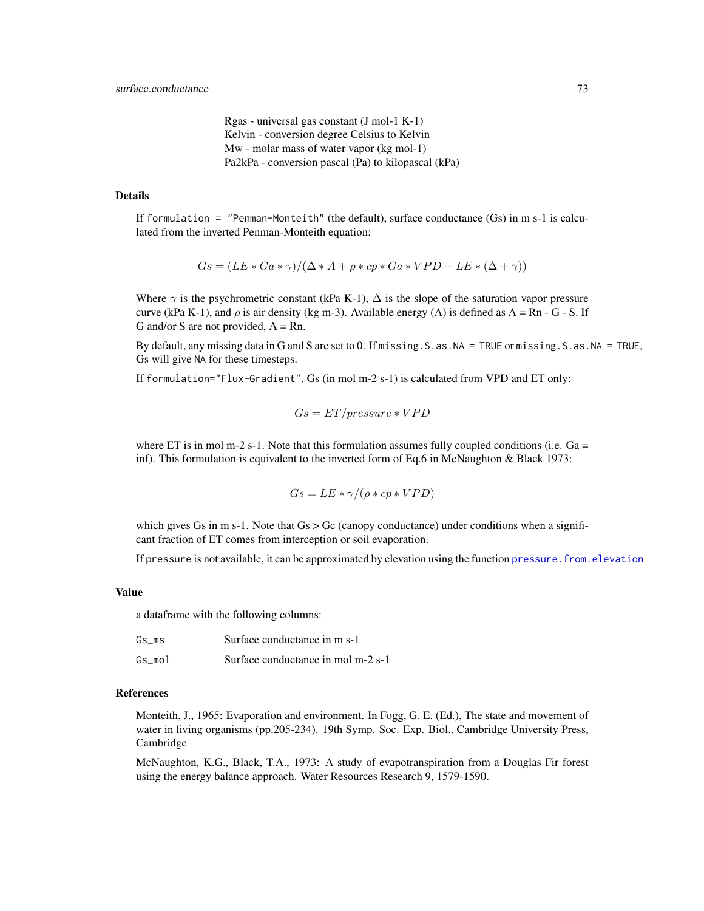Rgas - universal gas constant (J mol-1 K-1) Kelvin - conversion degree Celsius to Kelvin Mw - molar mass of water vapor (kg mol-1) Pa2kPa - conversion pascal (Pa) to kilopascal (kPa)

# <span id="page-72-0"></span>Details

If formulation = "Penman-Monteith" (the default), surface conductance  $(Gs)$  in m s-1 is calculated from the inverted Penman-Monteith equation:

$$
Gs = (LE * Ga * \gamma)/(\Delta * A + \rho * cp * Ga * VPD - LE * (\Delta + \gamma))
$$

Where  $\gamma$  is the psychrometric constant (kPa K-1),  $\Delta$  is the slope of the saturation vapor pressure curve (kPa K-1), and  $\rho$  is air density (kg m-3). Available energy (A) is defined as  $A = Rn - G - S$ . If G and/or S are not provided,  $A = Rn$ .

By default, any missing data in G and S are set to 0. If missing.S.as.NA = TRUE or missing.S.as.NA = TRUE, Gs will give NA for these timesteps.

If formulation="Flux-Gradient", Gs (in mol m-2 s-1) is calculated from VPD and ET only:

$$
Gs = ET/pressive*VPD
$$

where ET is in mol m-2 s-1. Note that this formulation assumes fully coupled conditions (i.e.  $Ga =$ inf). This formulation is equivalent to the inverted form of Eq.6 in McNaughton & Black 1973:

$$
Gs = LE * \gamma / (\rho * cp * VPD)
$$

which gives Gs in m s-1. Note that  $Gs > Gc$  (canopy conductance) under conditions when a significant fraction of ET comes from interception or soil evaporation.

If pressure is not available, it can be approximated by elevation using the function pressure. from. elevation

#### Value

a dataframe with the following columns:

| Gs ms  | Surface conductance in m s-1       |
|--------|------------------------------------|
| Gs mol | Surface conductance in mol m-2 s-1 |

#### References

Monteith, J., 1965: Evaporation and environment. In Fogg, G. E. (Ed.), The state and movement of water in living organisms (pp.205-234). 19th Symp. Soc. Exp. Biol., Cambridge University Press, Cambridge

McNaughton, K.G., Black, T.A., 1973: A study of evapotranspiration from a Douglas Fir forest using the energy balance approach. Water Resources Research 9, 1579-1590.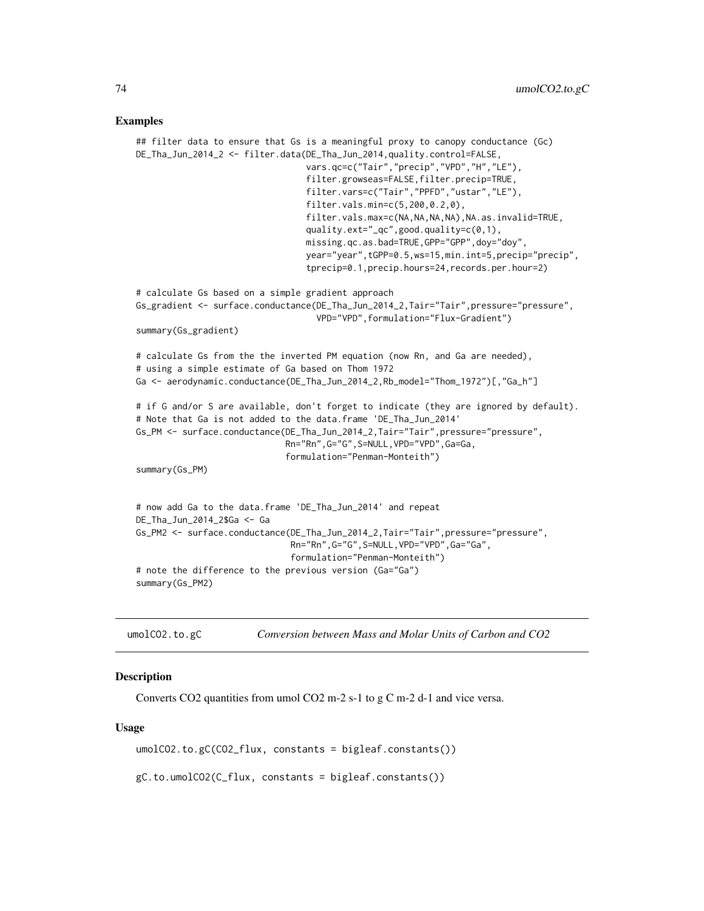#### <span id="page-73-0"></span>Examples

```
## filter data to ensure that Gs is a meaningful proxy to canopy conductance (Gc)
DE_Tha_Jun_2014_2 <- filter.data(DE_Tha_Jun_2014,quality.control=FALSE,
                                 vars.qc=c("Tair","precip","VPD","H","LE"),
                                 filter.growseas=FALSE,filter.precip=TRUE,
                                 filter.vars=c("Tair","PPFD","ustar","LE"),
                                 filter.vals.min=c(5,200,0.2,0),
                                 filter.vals.max=c(NA,NA,NA,NA),NA.as.invalid=TRUE,
                                 quality.ext="_qc",good.quality=c(0,1),
                                 missing.qc.as.bad=TRUE,GPP="GPP",doy="doy",
                                 year="year",tGPP=0.5,ws=15,min.int=5,precip="precip",
                                 tprecip=0.1,precip.hours=24,records.per.hour=2)
# calculate Gs based on a simple gradient approach
Gs_gradient <- surface.conductance(DE_Tha_Jun_2014_2,Tair="Tair",pressure="pressure",
                                   VPD="VPD",formulation="Flux-Gradient")
summary(Gs_gradient)
# calculate Gs from the the inverted PM equation (now Rn, and Ga are needed),
# using a simple estimate of Ga based on Thom 1972
Ga <- aerodynamic.conductance(DE_Tha_Jun_2014_2,Rb_model="Thom_1972")[,"Ga_h"]
# if G and/or S are available, don't forget to indicate (they are ignored by default).
# Note that Ga is not added to the data.frame 'DE_Tha_Jun_2014'
Gs_PM <- surface.conductance(DE_Tha_Jun_2014_2,Tair="Tair",pressure="pressure",
                             Rn="Rn",G="G",S=NULL,VPD="VPD",Ga=Ga,
                             formulation="Penman-Monteith")
summary(Gs_PM)
# now add Ga to the data.frame 'DE_Tha_Jun_2014' and repeat
DE_Tha_Jun_2014_2$Ga <- Ga
Gs_PM2 <- surface.conductance(DE_Tha_Jun_2014_2,Tair="Tair",pressure="pressure",
                              Rn="Rn",G="G",S=NULL,VPD="VPD",Ga="Ga",
                              formulation="Penman-Monteith")
# note the difference to the previous version (Ga="Ga")
summary(Gs_PM2)
```
umolCO2.to.gC *Conversion between Mass and Molar Units of Carbon and CO2*

### **Description**

Converts CO2 quantities from umol CO2 m-2 s-1 to g C m-2 d-1 and vice versa.

#### Usage

umolCO2.to.gC(CO2\_flux, constants = bigleaf.constants())

gC.to.umolCO2(C\_flux, constants = bigleaf.constants())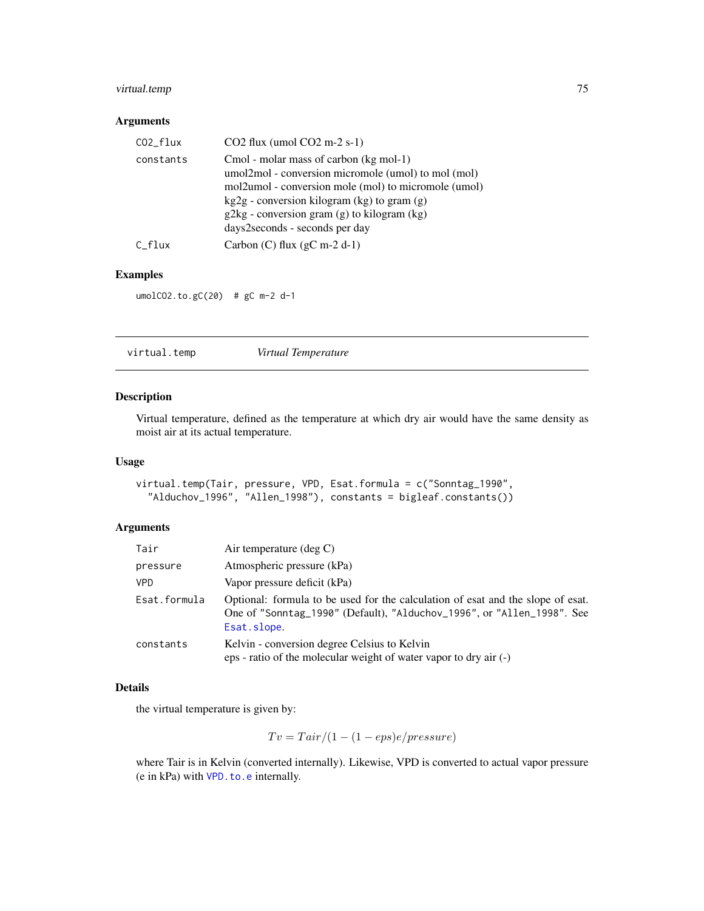# <span id="page-74-0"></span>virtual.temp 75

# Arguments

# Examples

umolCO2.to.gC(20) # gC m-2 d-1

| virtual.temp | Virtual Temperature |  |
|--------------|---------------------|--|
|--------------|---------------------|--|

# Description

Virtual temperature, defined as the temperature at which dry air would have the same density as moist air at its actual temperature.

# Usage

```
virtual.temp(Tair, pressure, VPD, Esat.formula = c("Sonntag_1990",
  "Alduchov_1996", "Allen_1998"), constants = bigleaf.constants())
```
# Arguments

| Tair         | Air temperature $(\text{deg } C)$                                                                                                                                        |
|--------------|--------------------------------------------------------------------------------------------------------------------------------------------------------------------------|
| pressure     | Atmospheric pressure (kPa)                                                                                                                                               |
| <b>VPD</b>   | Vapor pressure deficit (kPa)                                                                                                                                             |
| Esat.formula | Optional: formula to be used for the calculation of esat and the slope of esat.<br>One of "Sonntag_1990" (Default), "Alduchov_1996", or "Allen_1998". See<br>Esat.slope. |
| constants    | Kelvin - conversion degree Celsius to Kelvin<br>eps - ratio of the molecular weight of water vapor to dry air (-)                                                        |

# Details

the virtual temperature is given by:

$$
Tv = Tair/(1 - (1 - eps)e/pressure)
$$

where Tair is in Kelvin (converted internally). Likewise, VPD is converted to actual vapor pressure (e in kPa) with [VPD.to.e](#page-75-0) internally.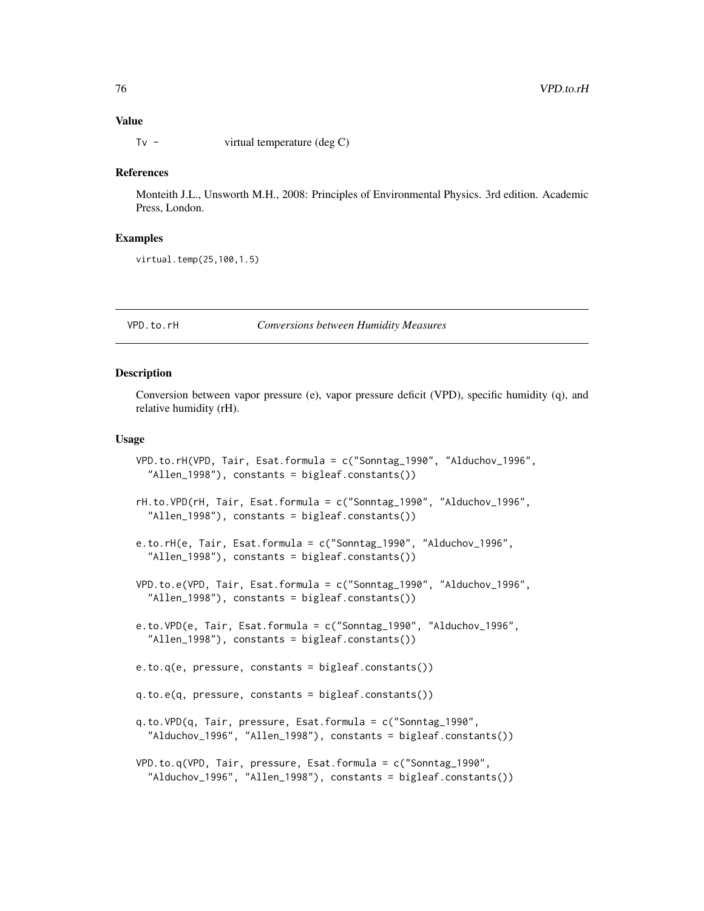#### Value

Tv - virtual temperature (deg C)

#### References

Monteith J.L., Unsworth M.H., 2008: Principles of Environmental Physics. 3rd edition. Academic Press, London.

# Examples

virtual.temp(25,100,1.5)

#### VPD.to.rH *Conversions between Humidity Measures*

## <span id="page-75-0"></span>Description

Conversion between vapor pressure (e), vapor pressure deficit (VPD), specific humidity (q), and relative humidity (rH).

#### Usage

```
VPD.to.rH(VPD, Tair, Esat.formula = c("Sonntag_1990", "Alduchov_1996",
  "Allen_1998"), constants = bigleaf.constants())
rH.to.VPD(rH, Tair, Esat.formula = c("Sonntag_1990", "Alduchov_1996",
  "Allen_1998"), constants = bigleaf.constants())
e.to.rH(e, Tair, Esat.formula = c("Sonntag_1990", "Alduchov_1996",
  "Allen_1998"), constants = bigleaf.constants())
VPD.to.e(VPD, Tair, Esat.formula = c("Sonntag_1990", "Alduchov_1996",
  "Allen_1998"), constants = bigleaf.constants())
e.to.VPD(e, Tair, Esat.formula = c("Sonntag_1990", "Alduchov_1996",
  "Allen_1998"), constants = bigleaf.constants())
e.to.q(e, pressure, constants = bigleaf.constants())
q.to.e(q, pressure, constants = bigleaf.constants())
q.to.VPD(q, Tair, pressure, Esat.formula = c("Sonntag_1990",
  "Alduchov_1996", "Allen_1998"), constants = bigleaf.constants())
VPD.to.q(VPD, Tair, pressure, Esat.formula = c("Sonntag_1990",
  "Alduchov_1996", "Allen_1998"), constants = bigleaf.constants())
```
<span id="page-75-1"></span>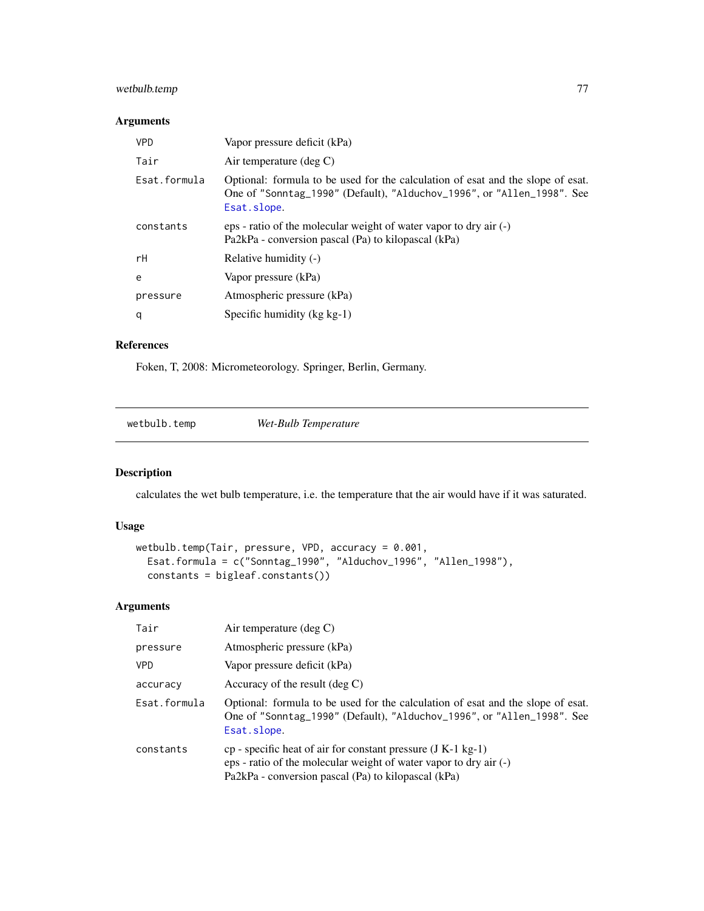# <span id="page-76-0"></span>wetbulb.temp 77

# Arguments

| <b>VPD</b>   | Vapor pressure deficit (kPa)                                                                                                                                             |
|--------------|--------------------------------------------------------------------------------------------------------------------------------------------------------------------------|
| Tair         | Air temperature (deg $C$ )                                                                                                                                               |
| Esat.formula | Optional: formula to be used for the calculation of esat and the slope of esat.<br>One of "Sonntag_1990" (Default), "Alduchov_1996", or "Allen_1998". See<br>Esat.slope. |
| constants    | eps - ratio of the molecular weight of water vapor to dry air (-)<br>Pa2kPa - conversion pascal (Pa) to kilopascal (kPa)                                                 |
| rH           | Relative humidity (-)                                                                                                                                                    |
| e            | Vapor pressure (kPa)                                                                                                                                                     |
| pressure     | Atmospheric pressure (kPa)                                                                                                                                               |
| q            | Specific humidity $(kg kg-1)$                                                                                                                                            |
|              |                                                                                                                                                                          |

#### References

Foken, T, 2008: Micrometeorology. Springer, Berlin, Germany.

wetbulb.temp *Wet-Bulb Temperature*

# Description

calculates the wet bulb temperature, i.e. the temperature that the air would have if it was saturated.

# Usage

```
wetbulb.temp(Tair, pressure, VPD, accuracy = 0.001,
 Esat.formula = c("Sonntag_1990", "Alduchov_1996", "Allen_1998"),
 constants = bigleaf.constants())
```
# Arguments

| Tair         | Air temperature $(\text{deg } C)$                                                                                                                                                          |
|--------------|--------------------------------------------------------------------------------------------------------------------------------------------------------------------------------------------|
| pressure     | Atmospheric pressure (kPa)                                                                                                                                                                 |
| <b>VPD</b>   | Vapor pressure deficit (kPa)                                                                                                                                                               |
| accuracy     | Accuracy of the result $(\deg C)$                                                                                                                                                          |
| Esat.formula | Optional: formula to be used for the calculation of esat and the slope of esat.<br>One of "Sonntag_1990" (Default), "Alduchov_1996", or "Allen_1998". See<br>Esat.slope.                   |
| constants    | $cp$ - specific heat of air for constant pressure (J K-1 kg-1)<br>eps - ratio of the molecular weight of water vapor to dry air (-)<br>Pa2kPa - conversion pascal (Pa) to kilopascal (kPa) |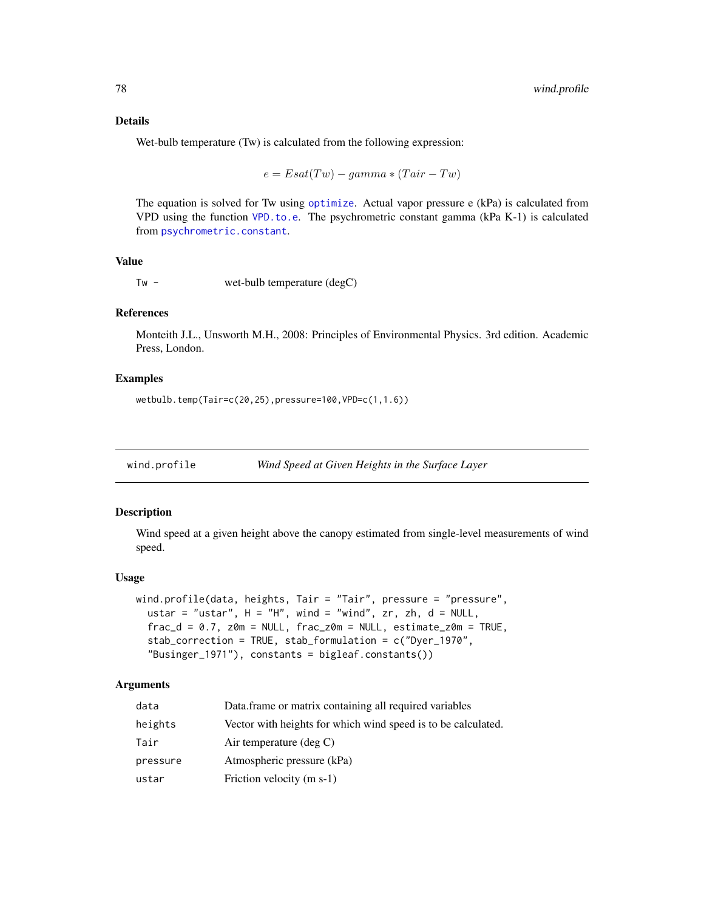# <span id="page-77-0"></span>Details

Wet-bulb temperature (Tw) is calculated from the following expression:

$$
e = Esat(Tw) - gamma * (Tair - Tw)
$$

The equation is solved for Tw using [optimize](#page-0-0). Actual vapor pressure e (kPa) is calculated from VPD using the function [VPD.to.e](#page-75-0). The psychrometric constant gamma (kPa K-1) is calculated from [psychrometric.constant](#page-53-0).

#### Value

Tw - wet-bulb temperature (degC)

#### References

Monteith J.L., Unsworth M.H., 2008: Principles of Environmental Physics. 3rd edition. Academic Press, London.

# Examples

wetbulb.temp(Tair=c(20,25),pressure=100,VPD=c(1,1.6))

wind.profile *Wind Speed at Given Heights in the Surface Layer*

# Description

Wind speed at a given height above the canopy estimated from single-level measurements of wind speed.

#### Usage

```
wind.profile(data, heights, Tair = "Tair", pressure = "pressure",
 ustar = "ustar", H = "H", wind = "wind", zr, zh, d = NULL,
  frac_d = 0.7, z = NULL, frac_z = NULL, size_z = NULL, estimate_z = TNUE,
  stab_correction = TRUE, stab_formulation = c("Dyer_1970",
  "Businger_1971"), constants = bigleaf.constants())
```
#### Arguments

| data     | Data frame or matrix containing all required variables        |
|----------|---------------------------------------------------------------|
| heights  | Vector with heights for which wind speed is to be calculated. |
| Tair     | Air temperature $(\text{deg } C)$                             |
| pressure | Atmospheric pressure (kPa)                                    |
| ustar    | Friction velocity (m s-1)                                     |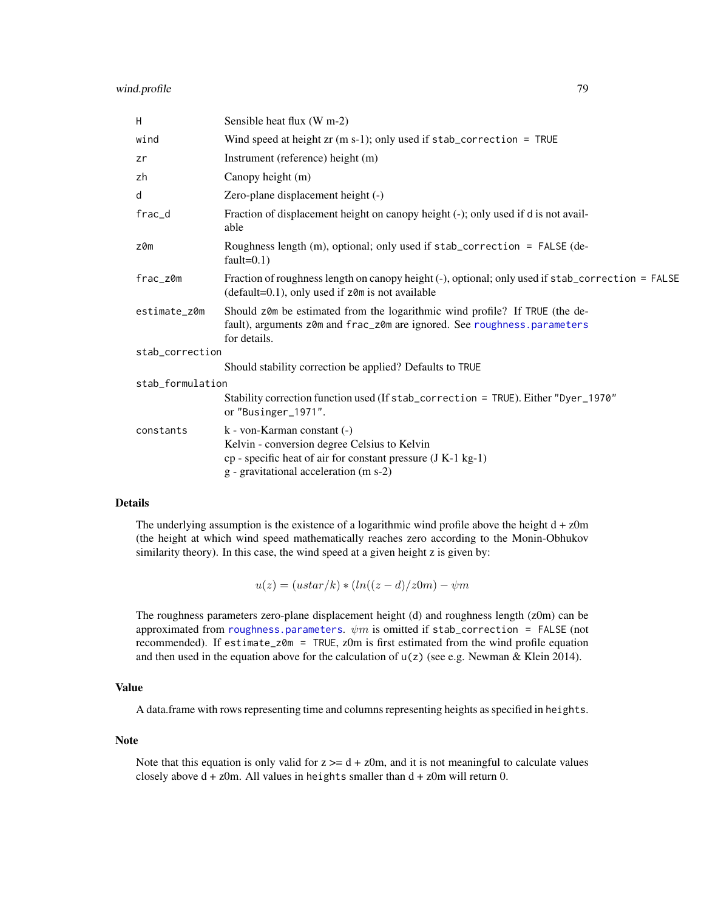<span id="page-78-0"></span>

| H                | Sensible heat flux (W m-2)                                                                                                                                                            |
|------------------|---------------------------------------------------------------------------------------------------------------------------------------------------------------------------------------|
| wind             | Wind speed at height $zr$ (m s-1); only used if $stab\_correction = TRUE$                                                                                                             |
| zr               | Instrument (reference) height (m)                                                                                                                                                     |
| zh               | Canopy height (m)                                                                                                                                                                     |
| d                | Zero-plane displacement height (-)                                                                                                                                                    |
| frac_d           | Fraction of displacement height on canopy height (-); only used if d is not avail-<br>able                                                                                            |
| z0m              | Roughness length (m), optional; only used if stab_correction = FALSE (de-<br>fault= $0.1$ )                                                                                           |
| frac_z0m         | Fraction of roughness length on canopy height (-), optional; only used if stab_correction = FALSE<br>$(default=0.1)$ , only used if $z$ $0$ m is not available                        |
| estimate_z0m     | Should z0m be estimated from the logarithmic wind profile? If TRUE (the de-<br>fault), arguments z0m and frac_z0m are ignored. See roughness.parameters<br>for details.               |
| stab_correction  |                                                                                                                                                                                       |
|                  | Should stability correction be applied? Defaults to TRUE                                                                                                                              |
| stab_formulation |                                                                                                                                                                                       |
|                  | Stability correction function used (If stab_correction = TRUE). Either "Dyer_1970"<br>or "Businger_1971".                                                                             |
| constants        | k - von-Karman constant (-)<br>Kelvin - conversion degree Celsius to Kelvin<br>cp - specific heat of air for constant pressure (J K-1 kg-1)<br>g - gravitational acceleration (m s-2) |

# Details

The underlying assumption is the existence of a logarithmic wind profile above the height  $d + z0m$ (the height at which wind speed mathematically reaches zero according to the Monin-Obhukov similarity theory). In this case, the wind speed at a given height z is given by:

 $u(z) = (ustar/k) * (ln((z - d)/z0m) - \psi m)$ 

The roughness parameters zero-plane displacement height (d) and roughness length (z0m) can be approximated from [roughness.parameters](#page-58-0).  $\psi m$  is omitted if stab\_correction = FALSE (not recommended). If estimate\_z0m = TRUE, z0m is first estimated from the wind profile equation and then used in the equation above for the calculation of  $u(z)$  (see e.g. Newman & Klein 2014).

# Value

A data.frame with rows representing time and columns representing heights as specified in heights.

#### Note

Note that this equation is only valid for  $z \geq d + z$  m, and it is not meaningful to calculate values closely above  $d + z$ 0m. All values in heights smaller than  $d + z$ 0m will return 0.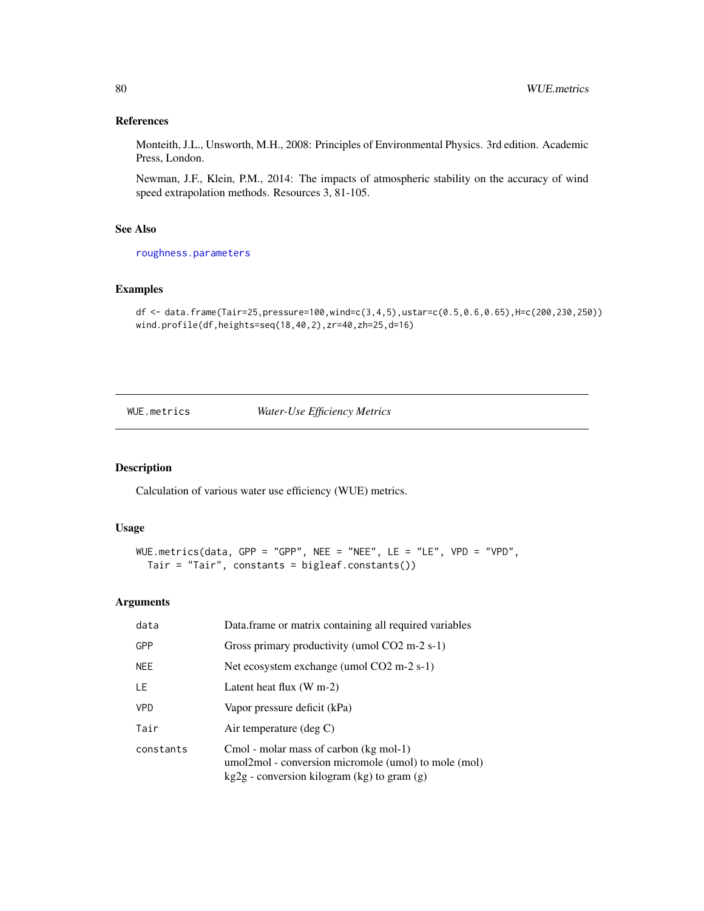# References

Monteith, J.L., Unsworth, M.H., 2008: Principles of Environmental Physics. 3rd edition. Academic Press, London.

Newman, J.F., Klein, P.M., 2014: The impacts of atmospheric stability on the accuracy of wind speed extrapolation methods. Resources 3, 81-105.

# See Also

[roughness.parameters](#page-58-0)

# Examples

```
df <- data.frame(Tair=25,pressure=100,wind=c(3,4,5),ustar=c(0.5,0.6,0.65),H=c(200,230,250))
wind.profile(df,heights=seq(18,40,2),zr=40,zh=25,d=16)
```
WUE.metrics *Water-Use Efficiency Metrics*

# Description

Calculation of various water use efficiency (WUE) metrics.

#### Usage

```
WUE.metrics(data, GPP = "GPP", NEE = "NEE", LE = "LE", VPD = "VPD",
 Tair = "Tair", constants = bigleaf.constants())
```
# Arguments

| data       | Data.frame or matrix containing all required variables                                                                                          |
|------------|-------------------------------------------------------------------------------------------------------------------------------------------------|
| <b>GPP</b> | Gross primary productivity (umol CO2 m-2 s-1)                                                                                                   |
| <b>NEE</b> | Net ecosystem exchange (umol CO2 m-2 s-1)                                                                                                       |
| LE.        | Latent heat flux $(W m-2)$                                                                                                                      |
| <b>VPD</b> | Vapor pressure deficit (kPa)                                                                                                                    |
| Tair       | Air temperature $(\text{deg } C)$                                                                                                               |
| constants  | Cmol - molar mass of carbon (kg mol-1)<br>umol2mol - conversion micromole (umol) to mole (mol)<br>$kg2g$ - conversion kilogram (kg) to gram (g) |

<span id="page-79-0"></span>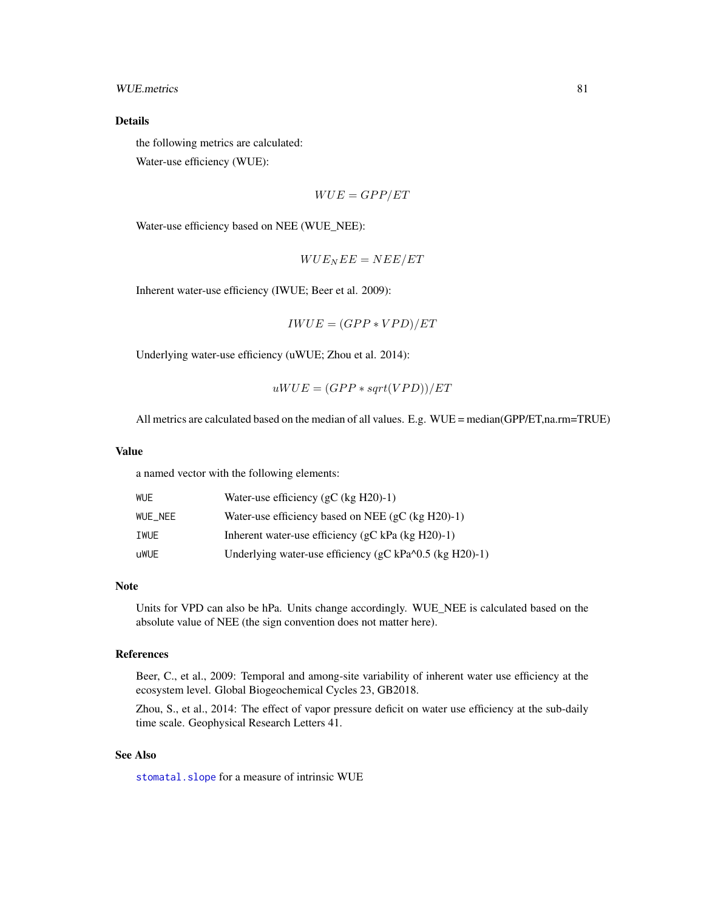# <span id="page-80-0"></span>WUE.metrics 81

# Details

the following metrics are calculated: Water-use efficiency (WUE):

$$
WUE = GPP/ET
$$

Water-use efficiency based on NEE (WUE\_NEE):

$$
WUE_{N}EE=NEE/ET
$$

Inherent water-use efficiency (IWUE; Beer et al. 2009):

 $IWUE = (GPP*VPD)/ET$ 

Underlying water-use efficiency (uWUE; Zhou et al. 2014):

$$
uWUE = (GPP * sqrt(VPD))/ET
$$

All metrics are calculated based on the median of all values. E.g. WUE = median(GPP/ET,na.rm=TRUE)

#### Value

a named vector with the following elements:

| WUE     | Water-use efficiency $(gC (kg H20)-1)$                       |
|---------|--------------------------------------------------------------|
| WUE NEE | Water-use efficiency based on NEE (gC (kg $H20$ )-1)         |
| IWUE    | Inherent water-use efficiency ( $gC$ kPa ( $kg$ H20)-1)      |
| uWUE    | Underlying water-use efficiency ( $gC kPa^{0.5}$ (kg H20)-1) |

#### Note

Units for VPD can also be hPa. Units change accordingly. WUE\_NEE is calculated based on the absolute value of NEE (the sign convention does not matter here).

# References

Beer, C., et al., 2009: Temporal and among-site variability of inherent water use efficiency at the ecosystem level. Global Biogeochemical Cycles 23, GB2018.

Zhou, S., et al., 2014: The effect of vapor pressure deficit on water use efficiency at the sub-daily time scale. Geophysical Research Letters 41.

# See Also

[stomatal.slope](#page-64-0) for a measure of intrinsic WUE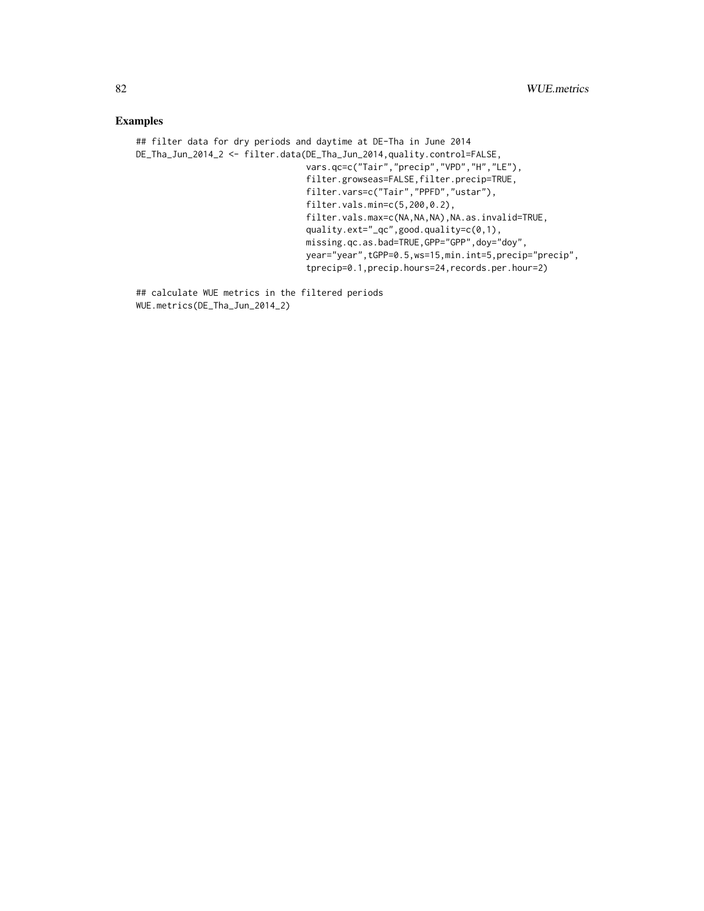# Examples

```
## filter data for dry periods and daytime at DE-Tha in June 2014
DE_Tha_Jun_2014_2 <- filter.data(DE_Tha_Jun_2014,quality.control=FALSE,
                                 vars.qc=c("Tair","precip","VPD","H","LE"),
                                 filter.growseas=FALSE,filter.precip=TRUE,
                                 filter.vars=c("Tair","PPFD","ustar"),
                                 filter.vals.min=c(5,200,0.2),
                                 filter.vals.max=c(NA,NA,NA),NA.as.invalid=TRUE,
                                 quality.ext="_qc",good.quality=c(0,1),
                                 missing.qc.as.bad=TRUE,GPP="GPP",doy="doy",
                                 year="year",tGPP=0.5,ws=15,min.int=5,precip="precip",
                                 tprecip=0.1,precip.hours=24,records.per.hour=2)
```
## calculate WUE metrics in the filtered periods WUE.metrics(DE\_Tha\_Jun\_2014\_2)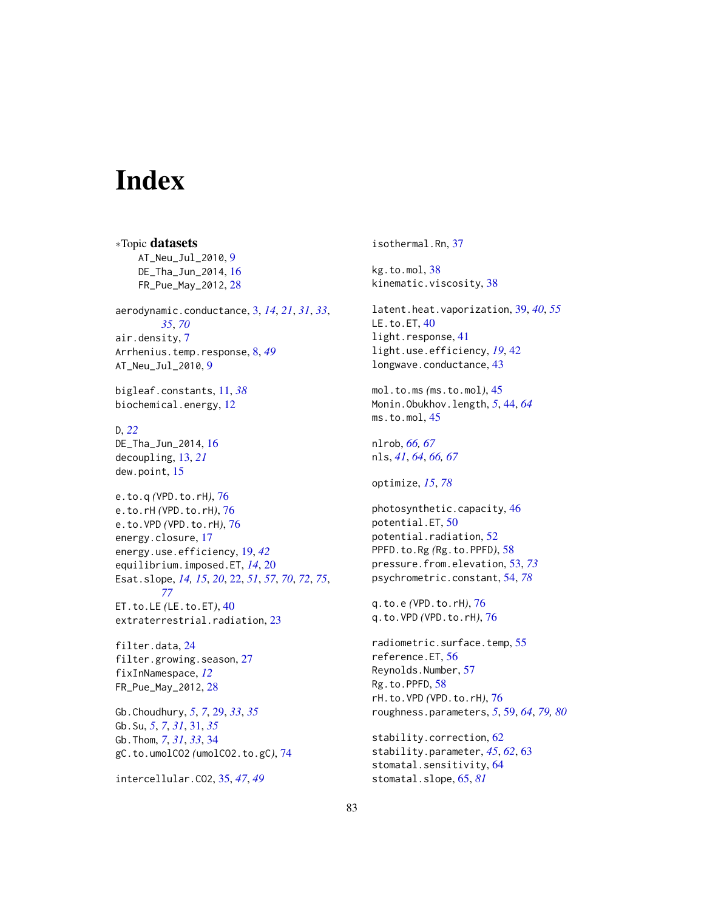# **Index**

∗Topic datasets AT\_Neu\_Jul\_2010, [9](#page-8-0) DE\_Tha\_Jun\_2014, [16](#page-15-0) FR\_Pue\_May\_2012, [28](#page-27-0) aerodynamic.conductance, [3,](#page-2-0) *[14](#page-13-0)*, *[21](#page-20-0)*, *[31](#page-30-0)*, *[33](#page-32-0)*, *[35](#page-34-0)*, *[70](#page-69-0)* air.density, [7](#page-6-0) Arrhenius.temp.response, [8,](#page-7-0) *[49](#page-48-0)* AT\_Neu\_Jul\_2010, [9](#page-8-0) bigleaf.constants, [11,](#page-10-0) *[38](#page-37-0)* biochemical.energy, [12](#page-11-0) D, *[22](#page-21-1)* DE\_Tha\_Jun\_2014, [16](#page-15-0) decoupling, [13,](#page-12-0) *[21](#page-20-0)* dew.point, [15](#page-14-0) e.to.q *(*VPD.to.rH*)*, [76](#page-75-1) e.to.rH *(*VPD.to.rH*)*, [76](#page-75-1) e.to.VPD *(*VPD.to.rH*)*, [76](#page-75-1) energy.closure, [17](#page-16-0) energy.use.efficiency, [19,](#page-18-0) *[42](#page-41-0)* equilibrium.imposed.ET, *[14](#page-13-0)*, [20](#page-19-0) Esat.slope, *[14,](#page-13-0) [15](#page-14-0)*, *[20](#page-19-0)*, [22,](#page-21-1) *[51](#page-50-0)*, *[57](#page-56-0)*, *[70](#page-69-0)*, *[72](#page-71-0)*, *[75](#page-74-0)*, *[77](#page-76-0)* ET.to.LE *(*LE.to.ET*)*, [40](#page-39-0) extraterrestrial.radiation, [23](#page-22-0) filter.data, [24](#page-23-0) filter.growing.season, [27](#page-26-0) fixInNamespace, *[12](#page-11-0)*

FR\_Pue\_May\_2012, [28](#page-27-0) Gb.Choudhury, *[5](#page-4-0)*, *[7](#page-6-0)*, [29,](#page-28-0) *[33](#page-32-0)*, *[35](#page-34-0)* Gb.Su, *[5](#page-4-0)*, *[7](#page-6-0)*, *[31](#page-30-0)*, [31,](#page-30-0) *[35](#page-34-0)* Gb.Thom, *[7](#page-6-0)*, *[31](#page-30-0)*, *[33](#page-32-0)*, [34](#page-33-0) gC.to.umolCO2 *(*umolCO2.to.gC*)*, [74](#page-73-0)

intercellular.CO2, [35,](#page-34-0) *[47](#page-46-0)*, *[49](#page-48-0)*

isothermal.Rn, [37](#page-36-0)

kg.to.mol, [38](#page-37-0) kinematic.viscosity, [38](#page-37-0)

latent.heat.vaporization, [39,](#page-38-0) *[40](#page-39-0)*, *[55](#page-54-0)* LE.to.ET, [40](#page-39-0) light.response, [41](#page-40-0) light.use.efficiency, *[19](#page-18-0)*, [42](#page-41-0) longwave.conductance, [43](#page-42-0)

mol.to.ms *(*ms.to.mol*)*, [45](#page-44-0) Monin.Obukhov.length, *[5](#page-4-0)*, [44,](#page-43-0) *[64](#page-63-0)* ms.to.mol, [45](#page-44-0)

nlrob, *[66,](#page-65-0) [67](#page-66-0)* nls, *[41](#page-40-0)*, *[64](#page-63-0)*, *[66,](#page-65-0) [67](#page-66-0)*

optimize, *[15](#page-14-0)*, *[78](#page-77-0)*

photosynthetic.capacity, [46](#page-45-0) potential.ET, [50](#page-49-0) potential.radiation, [52](#page-51-0) PPFD.to.Rg *(*Rg.to.PPFD*)*, [58](#page-57-0) pressure.from.elevation, [53,](#page-52-1) *[73](#page-72-0)* psychrometric.constant, [54,](#page-53-1) *[78](#page-77-0)*

q.to.e *(*VPD.to.rH*)*, [76](#page-75-1) q.to.VPD *(*VPD.to.rH*)*, [76](#page-75-1)

radiometric.surface.temp, [55](#page-54-0) reference.ET, [56](#page-55-0) Reynolds.Number, [57](#page-56-0) Rg.to.PPFD, [58](#page-57-0) rH.to.VPD *(*VPD.to.rH*)*, [76](#page-75-1) roughness.parameters, *[5](#page-4-0)*, [59,](#page-58-1) *[64](#page-63-0)*, *[79,](#page-78-0) [80](#page-79-0)*

stability.correction, [62](#page-61-0) stability.parameter, *[45](#page-44-0)*, *[62](#page-61-0)*, [63](#page-62-0) stomatal.sensitivity, [64](#page-63-0) stomatal.slope, [65,](#page-64-1) *[81](#page-80-0)*